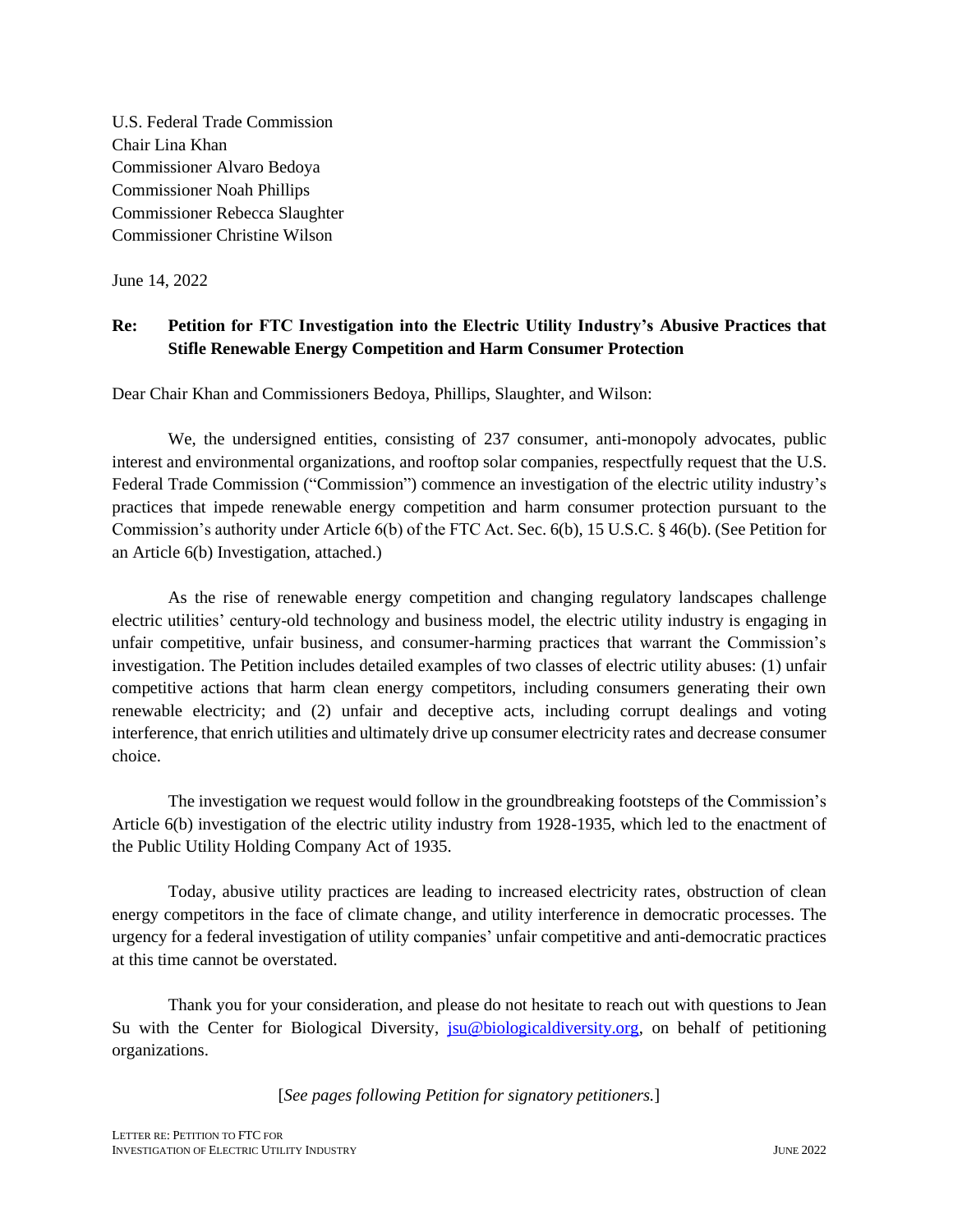U.S. Federal Trade Commission Chair Lina Khan Commissioner Alvaro Bedoya Commissioner Noah Phillips Commissioner Rebecca Slaughter Commissioner Christine Wilson

June 14, 2022

#### **Re: Petition for FTC Investigation into the Electric Utility Industry's Abusive Practices that Stifle Renewable Energy Competition and Harm Consumer Protection**

Dear Chair Khan and Commissioners Bedoya, Phillips, Slaughter, and Wilson:

We, the undersigned entities, consisting of 237 consumer, anti-monopoly advocates, public interest and environmental organizations, and rooftop solar companies, respectfully request that the U.S. Federal Trade Commission ("Commission") commence an investigation of the electric utility industry's practices that impede renewable energy competition and harm consumer protection pursuant to the Commission's authority under Article 6(b) of the FTC Act. Sec. 6(b), 15 U.S.C. § 46(b). (See Petition for an Article 6(b) Investigation, attached.)

As the rise of renewable energy competition and changing regulatory landscapes challenge electric utilities' century-old technology and business model, the electric utility industry is engaging in unfair competitive, unfair business, and consumer-harming practices that warrant the Commission's investigation. The Petition includes detailed examples of two classes of electric utility abuses: (1) unfair competitive actions that harm clean energy competitors, including consumers generating their own renewable electricity; and (2) unfair and deceptive acts, including corrupt dealings and voting interference, that enrich utilities and ultimately drive up consumer electricity rates and decrease consumer choice.

The investigation we request would follow in the groundbreaking footsteps of the Commission's Article 6(b) investigation of the electric utility industry from 1928-1935, which led to the enactment of the Public Utility Holding Company Act of 1935.

Today, abusive utility practices are leading to increased electricity rates, obstruction of clean energy competitors in the face of climate change, and utility interference in democratic processes. The urgency for a federal investigation of utility companies' unfair competitive and anti-democratic practices at this time cannot be overstated.

Thank you for your consideration, and please do not hesitate to reach out with questions to Jean Su with the Center for Biological Diversity,  $ju@biological diversity.org$ , on behalf of petitioning organizations.

[*See pages following Petition for signatory petitioners.*]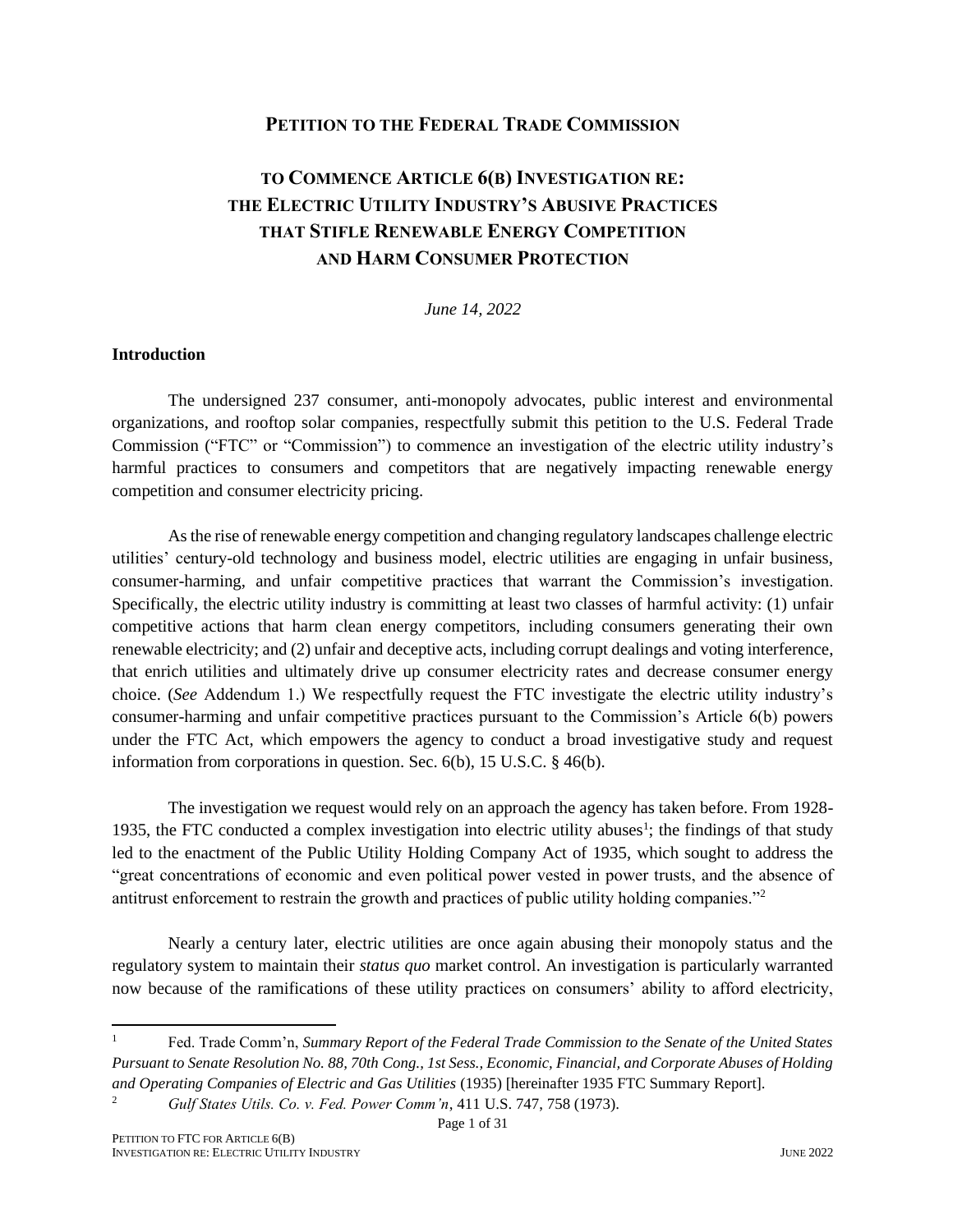#### **PETITION TO THE FEDERAL TRADE COMMISSION**

## **TO COMMENCE ARTICLE 6(B) INVESTIGATION RE: THE ELECTRIC UTILITY INDUSTRY'S ABUSIVE PRACTICES THAT STIFLE RENEWABLE ENERGY COMPETITION AND HARM CONSUMER PROTECTION**

*June 14, 2022*

#### **Introduction**

The undersigned 237 consumer, anti-monopoly advocates, public interest and environmental organizations, and rooftop solar companies, respectfully submit this petition to the U.S. Federal Trade Commission ("FTC" or "Commission") to commence an investigation of the electric utility industry's harmful practices to consumers and competitors that are negatively impacting renewable energy competition and consumer electricity pricing.

As the rise of renewable energy competition and changing regulatory landscapes challenge electric utilities' century-old technology and business model, electric utilities are engaging in unfair business, consumer-harming, and unfair competitive practices that warrant the Commission's investigation. Specifically, the electric utility industry is committing at least two classes of harmful activity: (1) unfair competitive actions that harm clean energy competitors, including consumers generating their own renewable electricity; and (2) unfair and deceptive acts, including corrupt dealings and voting interference, that enrich utilities and ultimately drive up consumer electricity rates and decrease consumer energy choice. (*See* Addendum 1.) We respectfully request the FTC investigate the electric utility industry's consumer-harming and unfair competitive practices pursuant to the Commission's Article 6(b) powers under the FTC Act, which empowers the agency to conduct a broad investigative study and request information from corporations in question. Sec. 6(b), 15 U.S.C. § 46(b).

The investigation we request would rely on an approach the agency has taken before. From 1928- 1935, the FTC conducted a complex investigation into electric utility abuses<sup>1</sup>; the findings of that study led to the enactment of the Public Utility Holding Company Act of 1935, which sought to address the "great concentrations of economic and even political power vested in power trusts, and the absence of antitrust enforcement to restrain the growth and practices of public utility holding companies."<sup>2</sup>

Nearly a century later, electric utilities are once again abusing their monopoly status and the regulatory system to maintain their *status quo* market control. An investigation is particularly warranted now because of the ramifications of these utility practices on consumers' ability to afford electricity,

<sup>1</sup> Fed. Trade Comm'n, *Summary Report of the Federal Trade Commission to the Senate of the United States Pursuant to Senate Resolution No. 88, 70th Cong., 1st Sess., Economic, Financial, and Corporate Abuses of Holding and Operating Companies of Electric and Gas Utilities* (1935) [hereinafter 1935 FTC Summary Report].

<sup>2</sup> *Gulf States Utils. Co. v. Fed. Power Comm'n*, 411 U.S. 747, 758 (1973).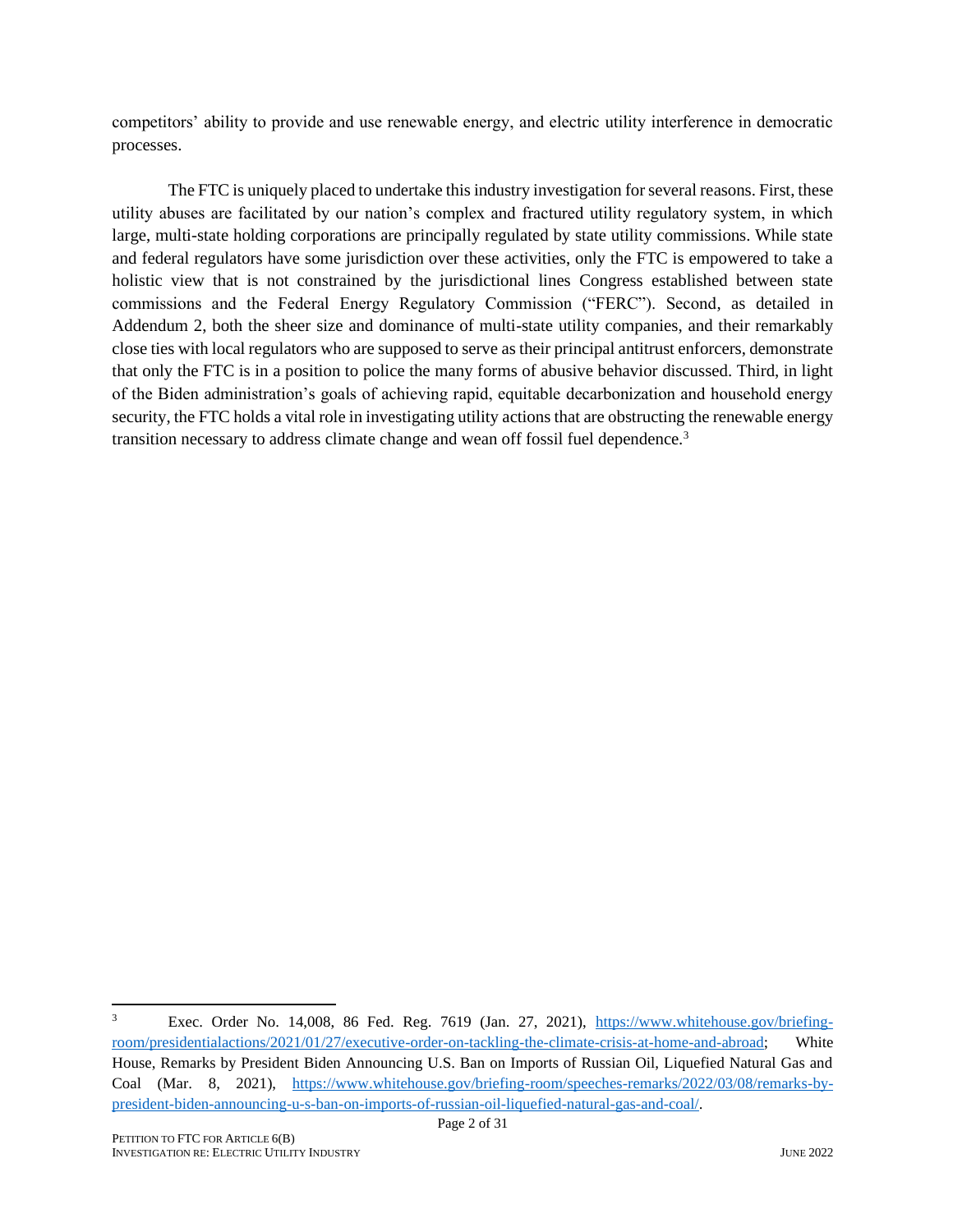competitors' ability to provide and use renewable energy, and electric utility interference in democratic processes.

The FTC is uniquely placed to undertake this industry investigation for several reasons. First, these utility abuses are facilitated by our nation's complex and fractured utility regulatory system, in which large, multi-state holding corporations are principally regulated by state utility commissions. While state and federal regulators have some jurisdiction over these activities, only the FTC is empowered to take a holistic view that is not constrained by the jurisdictional lines Congress established between state commissions and the Federal Energy Regulatory Commission ("FERC"). Second, as detailed in Addendum 2, both the sheer size and dominance of multi-state utility companies, and their remarkably close ties with local regulators who are supposed to serve as their principal antitrust enforcers, demonstrate that only the FTC is in a position to police the many forms of abusive behavior discussed. Third, in light of the Biden administration's goals of achieving rapid, equitable decarbonization and household energy security, the FTC holds a vital role in investigating utility actions that are obstructing the renewable energy transition necessary to address climate change and wean off fossil fuel dependence.<sup>3</sup>

<sup>3</sup> Exec. Order No. 14,008, 86 Fed. Reg. 7619 (Jan. 27, 2021), [https://www.whitehouse.gov/briefing](https://www.whitehouse.gov/briefing-room/presidentialactions/2021/01/27/executive-order-on-tackling-the-climate-crisis-at-home-and-abroad)[room/presidentialactions/2021/01/27/executive-order-on-tackling-the-climate-crisis-at-home-and-abroad;](https://www.whitehouse.gov/briefing-room/presidentialactions/2021/01/27/executive-order-on-tackling-the-climate-crisis-at-home-and-abroad) White House, Remarks by President Biden Announcing U.S. Ban on Imports of Russian Oil, Liquefied Natural Gas and Coal (Mar. 8, 2021), [https://www.whitehouse.gov/briefing-room/speeches-remarks/2022/03/08/remarks-by](https://www.whitehouse.gov/briefing-room/speeches-remarks/2022/03/08/remarks-by-president-biden-announcing-u-s-ban-on-imports-of-russian-oil-liquefied-natural-gas-and-coal/)[president-biden-announcing-u-s-ban-on-imports-of-russian-oil-liquefied-natural-gas-and-coal/.](https://www.whitehouse.gov/briefing-room/speeches-remarks/2022/03/08/remarks-by-president-biden-announcing-u-s-ban-on-imports-of-russian-oil-liquefied-natural-gas-and-coal/)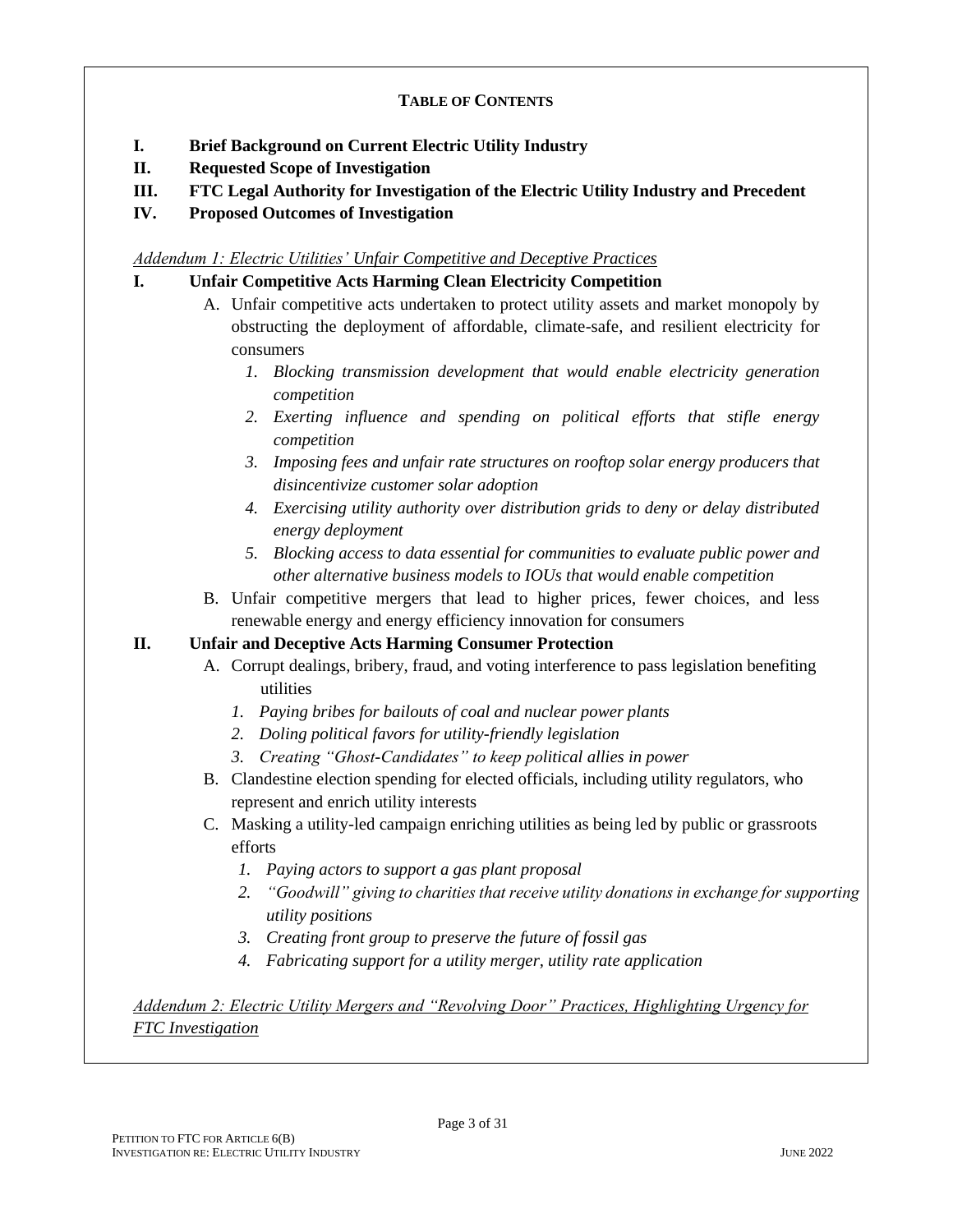#### **TABLE OF CONTENTS**

- **I. Brief Background on Current Electric Utility Industry**
- **II. Requested Scope of Investigation**
- **III. FTC Legal Authority for Investigation of the Electric Utility Industry and Precedent**
- **IV. Proposed Outcomes of Investigation**

#### *Addendum 1: Electric Utilities' Unfair Competitive and Deceptive Practices*

#### **I. Unfair Competitive Acts Harming Clean Electricity Competition**

- A. Unfair competitive acts undertaken to protect utility assets and market monopoly by obstructing the deployment of affordable, climate-safe, and resilient electricity for consumers
	- *1. Blocking transmission development that would enable electricity generation competition*
	- *2. Exerting influence and spending on political efforts that stifle energy competition*
	- *3. Imposing fees and unfair rate structures on rooftop solar energy producers that disincentivize customer solar adoption*
	- *4. Exercising utility authority over distribution grids to deny or delay distributed energy deployment*
	- *5. Blocking access to data essential for communities to evaluate public power and other alternative business models to IOUs that would enable competition*
- B. Unfair competitive mergers that lead to higher prices, fewer choices, and less renewable energy and energy efficiency innovation for consumers

#### **II. Unfair and Deceptive Acts Harming Consumer Protection**

- A. Corrupt dealings, bribery, fraud, and voting interference to pass legislation benefiting utilities
	- *1. Paying bribes for bailouts of coal and nuclear power plants*
	- *2. Doling political favors for utility-friendly legislation*
	- *3. Creating "Ghost-Candidates" to keep political allies in power*
- B. Clandestine election spending for elected officials, including utility regulators, who represent and enrich utility interests
- C. Masking a utility-led campaign enriching utilities as being led by public or grassroots efforts
	- *1. Paying actors to support a gas plant proposal*
	- *2. "Goodwill" giving to charities that receive utility donations in exchange for supporting utility positions*
	- *3. Creating front group to preserve the future of fossil gas*
	- *4. Fabricating support for a utility merger, utility rate application*

*Addendum 2: Electric Utility Mergers and "Revolving Door" Practices, Highlighting Urgency for FTC Investigation*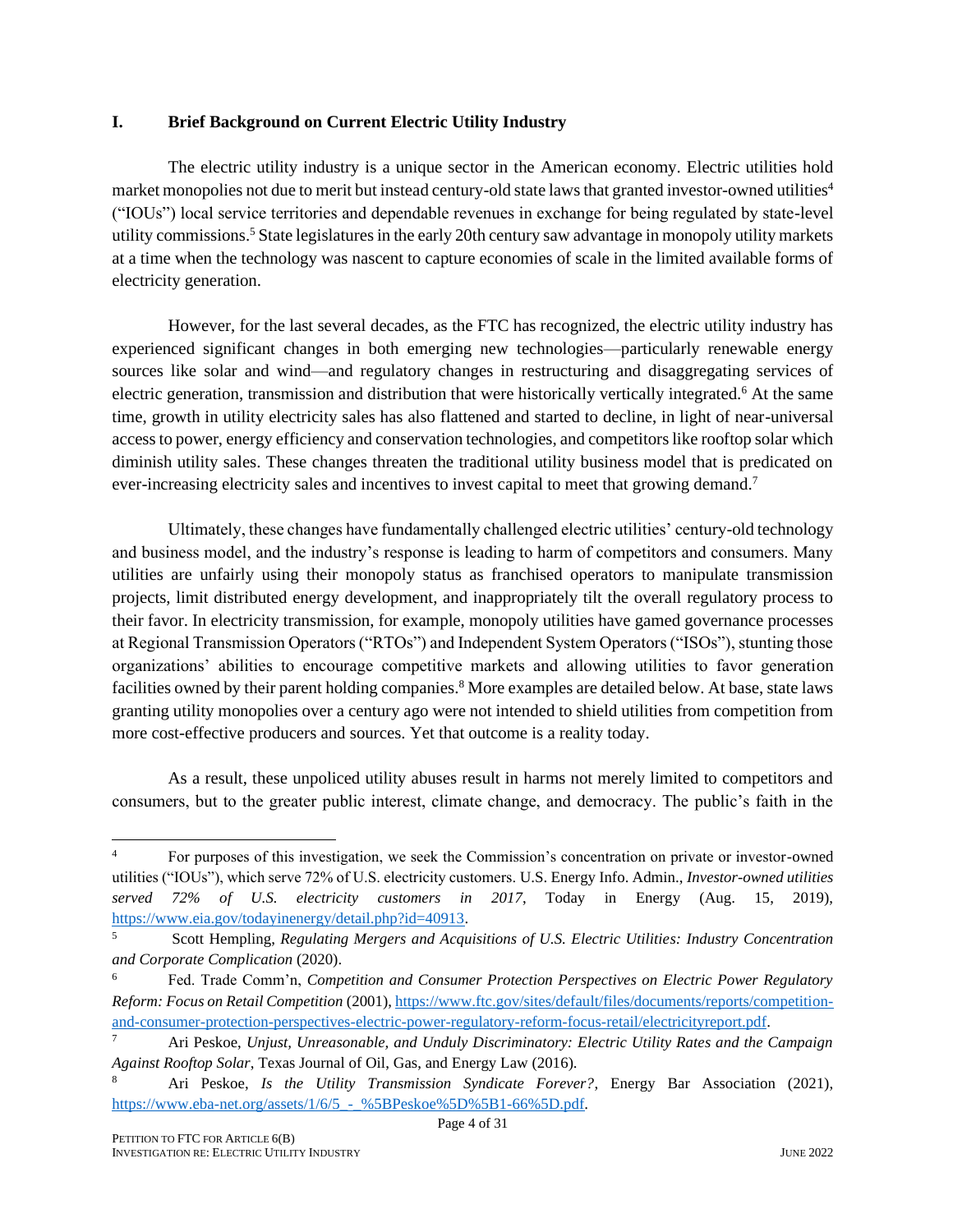#### **I. Brief Background on Current Electric Utility Industry**

The electric utility industry is a unique sector in the American economy. Electric utilities hold market monopolies not due to merit but instead century-old state laws that granted investor-owned utilities<sup>4</sup> ("IOUs") local service territories and dependable revenues in exchange for being regulated by state-level utility commissions.<sup>5</sup> State legislatures in the early 20th century saw advantage in monopoly utility markets at a time when the technology was nascent to capture economies of scale in the limited available forms of electricity generation.

However, for the last several decades, as the FTC has recognized, the electric utility industry has experienced significant changes in both emerging new technologies—particularly renewable energy sources like solar and wind—and regulatory changes in restructuring and disaggregating services of electric generation, transmission and distribution that were historically vertically integrated.<sup>6</sup> At the same time, growth in utility electricity sales has also flattened and started to decline, in light of near-universal access to power, energy efficiency and conservation technologies, and competitors like rooftop solar which diminish utility sales. These changes threaten the traditional utility business model that is predicated on ever-increasing electricity sales and incentives to invest capital to meet that growing demand.<sup>7</sup>

Ultimately, these changes have fundamentally challenged electric utilities' century-old technology and business model, and the industry's response is leading to harm of competitors and consumers. Many utilities are unfairly using their monopoly status as franchised operators to manipulate transmission projects, limit distributed energy development, and inappropriately tilt the overall regulatory process to their favor. In electricity transmission, for example, monopoly utilities have gamed governance processes at Regional Transmission Operators ("RTOs") and Independent System Operators ("ISOs"), stunting those organizations' abilities to encourage competitive markets and allowing utilities to favor generation facilities owned by their parent holding companies.<sup>8</sup> More examples are detailed below. At base, state laws granting utility monopolies over a century ago were not intended to shield utilities from competition from more cost-effective producers and sources. Yet that outcome is a reality today.

As a result, these unpoliced utility abuses result in harms not merely limited to competitors and consumers, but to the greater public interest, climate change, and democracy. The public's faith in the

<sup>&</sup>lt;sup>4</sup> For purposes of this investigation, we seek the Commission's concentration on private or investor-owned utilities ("IOUs"), which serve 72% of U.S. electricity customers. U.S. Energy Info. Admin., *Investor-owned utilities served 72% of U.S. electricity customers in 2017*, Today in Energy (Aug. 15, 2019), [https://www.eia.gov/todayinenergy/detail.php?id=40913.](https://www.eia.gov/todayinenergy/detail.php?id=40913)

<sup>5</sup> Scott Hempling, *Regulating Mergers and Acquisitions of U.S. Electric Utilities: Industry Concentration and Corporate Complication* (2020).

<sup>6</sup> Fed. Trade Comm'n, *Competition and Consumer Protection Perspectives on Electric Power Regulatory Reform: Focus on Retail Competition* (2001), [https://www.ftc.gov/sites/default/files/documents/reports/competition](https://www.ftc.gov/sites/default/files/documents/reports/competition-and-consumer-protection-perspectives-electric-power-regulatory-reform-focus-retail/electricityreport.pdf)[and-consumer-protection-perspectives-electric-power-regulatory-reform-focus-retail/electricityreport.pdf.](https://www.ftc.gov/sites/default/files/documents/reports/competition-and-consumer-protection-perspectives-electric-power-regulatory-reform-focus-retail/electricityreport.pdf)

<sup>7</sup> Ari Peskoe, *Unjust, Unreasonable, and Unduly Discriminatory: Electric Utility Rates and the Campaign Against Rooftop Solar*, Texas Journal of Oil, Gas, and Energy Law (2016).

<sup>8</sup> Ari Peskoe, *Is the Utility Transmission Syndicate Forever?*, Energy Bar Association (2021), [https://www.eba-net.org/assets/1/6/5\\_-\\_%5BPeskoe%5D%5B1-66%5D.pdf.](https://www.eba-net.org/assets/1/6/5_-_%5BPeskoe%5D%5B1-66%5D.pdf)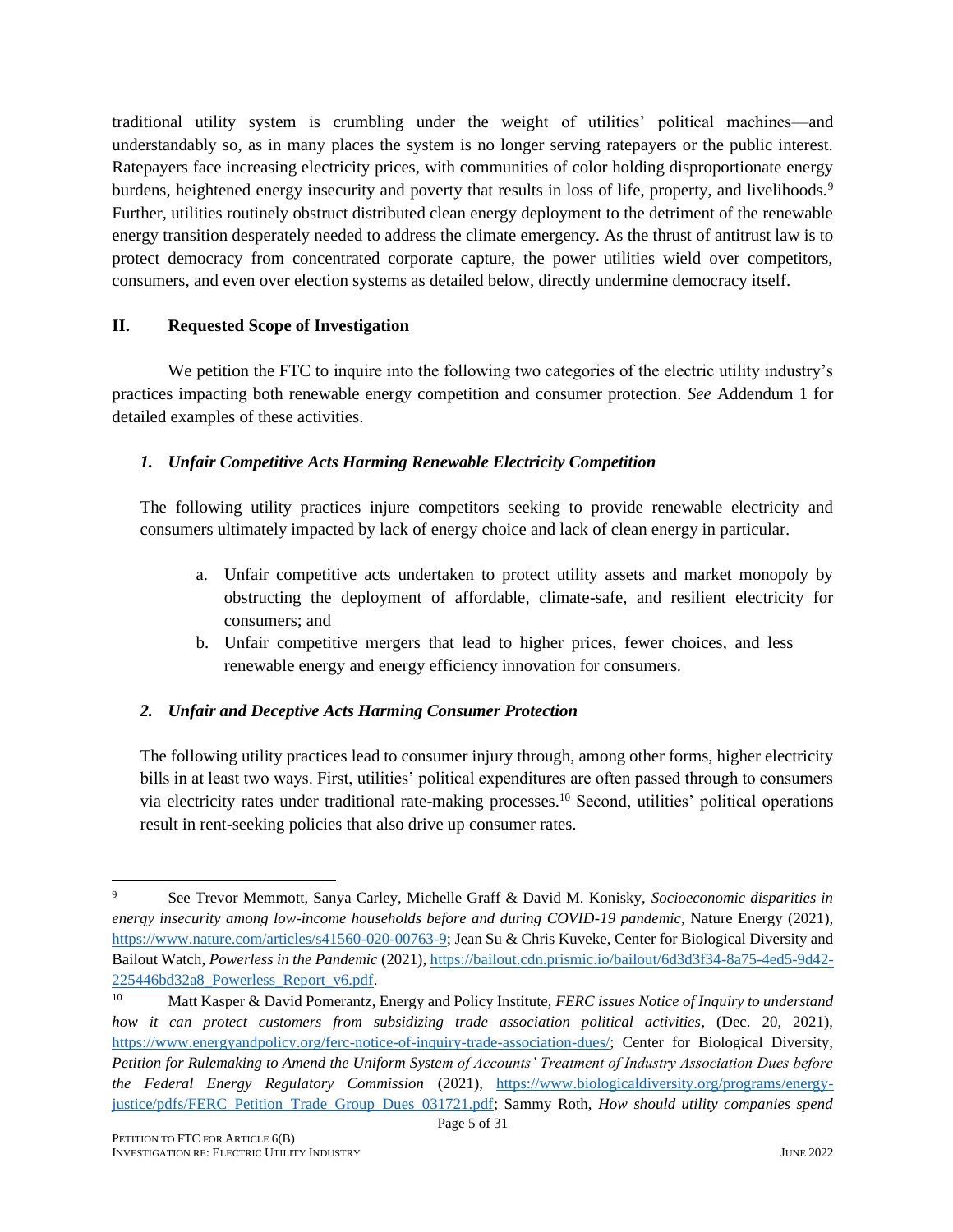traditional utility system is crumbling under the weight of utilities' political machines—and understandably so, as in many places the system is no longer serving ratepayers or the public interest. Ratepayers face increasing electricity prices, with communities of color holding disproportionate energy burdens, heightened energy insecurity and poverty that results in loss of life, property, and livelihoods.<sup>9</sup> Further, utilities routinely obstruct distributed clean energy deployment to the detriment of the renewable energy transition desperately needed to address the climate emergency. As the thrust of antitrust law is to protect democracy from concentrated corporate capture, the power utilities wield over competitors, consumers, and even over election systems as detailed below, directly undermine democracy itself.

#### **II. Requested Scope of Investigation**

We petition the FTC to inquire into the following two categories of the electric utility industry's practices impacting both renewable energy competition and consumer protection. *See* Addendum 1 for detailed examples of these activities.

#### *1. Unfair Competitive Acts Harming Renewable Electricity Competition*

The following utility practices injure competitors seeking to provide renewable electricity and consumers ultimately impacted by lack of energy choice and lack of clean energy in particular.

- a. Unfair competitive acts undertaken to protect utility assets and market monopoly by obstructing the deployment of affordable, climate-safe, and resilient electricity for consumers; and
- b. Unfair competitive mergers that lead to higher prices, fewer choices, and less renewable energy and energy efficiency innovation for consumers.

#### *2. Unfair and Deceptive Acts Harming Consumer Protection*

The following utility practices lead to consumer injury through, among other forms, higher electricity bills in at least two ways. First, utilities' political expenditures are often passed through to consumers via electricity rates under traditional rate-making processes.<sup>10</sup> Second, utilities' political operations result in rent-seeking policies that also drive up consumer rates.

<sup>9</sup> See Trevor Memmott, Sanya Carley, Michelle Graff & David M. Konisky, *Socioeconomic disparities in energy insecurity among low-income households before and during COVID-19 pandemic*, Nature Energy (2021), [https://www.nature.com/articles/s41560-020-00763-9;](https://www.nature.com/articles/s41560-020-00763-9) Jean Su & Chris Kuveke, Center for Biological Diversity and Bailout Watch, *Powerless in the Pandemic* (2021)[, https://bailout.cdn.prismic.io/bailout/6d3d3f34-8a75-4ed5-9d42-](https://bailout.cdn.prismic.io/bailout/6d3d3f34-8a75-4ed5-9d42-225446bd32a8_Powerless_Report_v6.pdf) [225446bd32a8\\_Powerless\\_Report\\_v6.pdf.](https://bailout.cdn.prismic.io/bailout/6d3d3f34-8a75-4ed5-9d42-225446bd32a8_Powerless_Report_v6.pdf)

<sup>10</sup> Matt Kasper & David Pomerantz, Energy and Policy Institute, *FERC issues Notice of Inquiry to understand how it can protect customers from subsidizing trade association political activities*, (Dec. 20, 2021), [https://www.energyandpolicy.org/ferc-notice-of-inquiry-trade-association-dues/;](https://www.energyandpolicy.org/ferc-notice-of-inquiry-trade-association-dues/) Center for Biological Diversity, *Petition for Rulemaking to Amend the Uniform System of Accounts' Treatment of Industry Association Dues before the Federal Energy Regulatory Commission* (2021), [https://www.biologicaldiversity.org/programs/energy](https://www.biologicaldiversity.org/programs/energy-justice/pdfs/FERC_Petition_Trade_Group_Dues_031721.pdf)[justice/pdfs/FERC\\_Petition\\_Trade\\_Group\\_Dues\\_031721.pdf;](https://www.biologicaldiversity.org/programs/energy-justice/pdfs/FERC_Petition_Trade_Group_Dues_031721.pdf) Sammy Roth, *How should utility companies spend*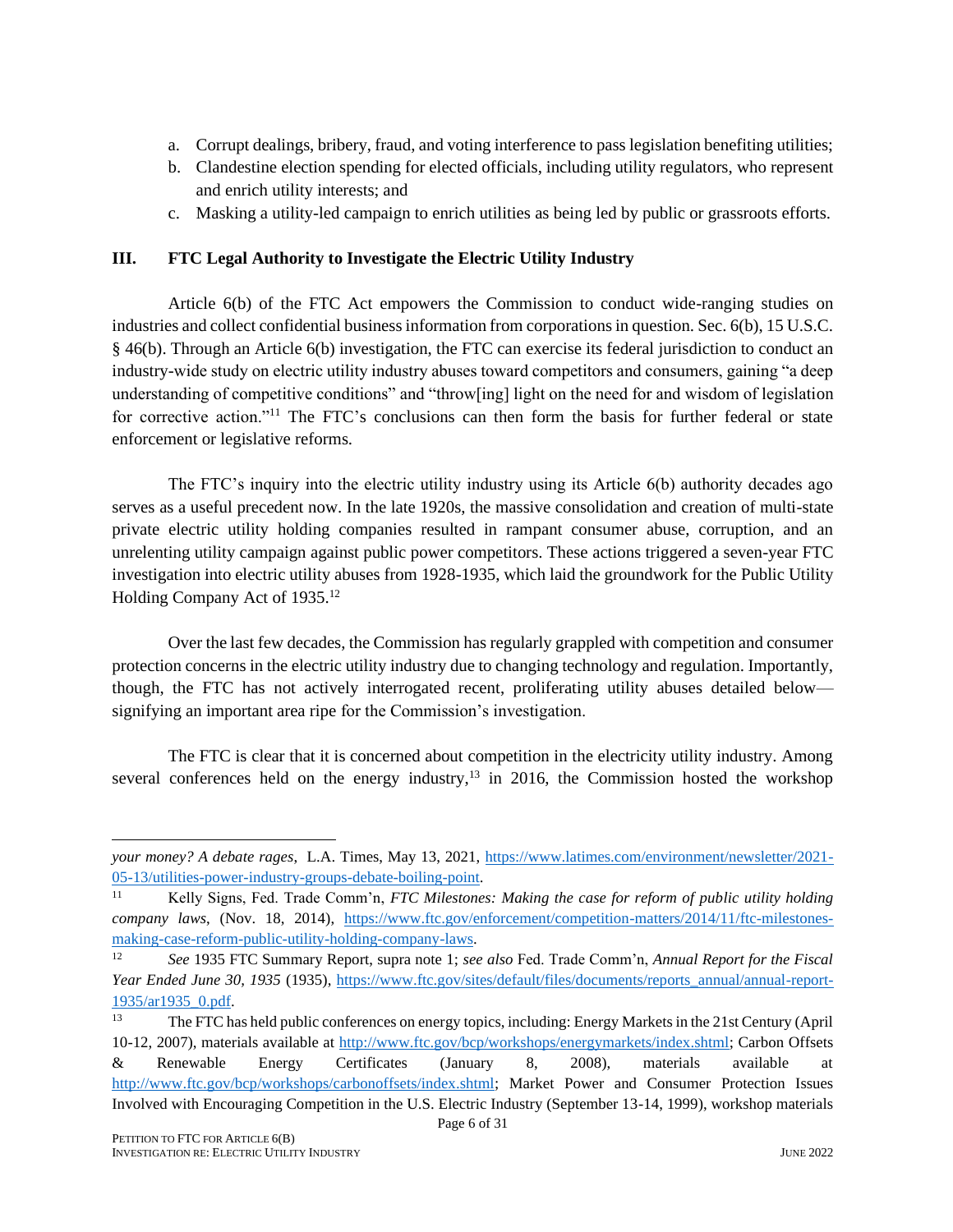- a. Corrupt dealings, bribery, fraud, and voting interference to pass legislation benefiting utilities;
- b. Clandestine election spending for elected officials, including utility regulators, who represent and enrich utility interests; and
- c. Masking a utility-led campaign to enrich utilities as being led by public or grassroots efforts.

#### **III. FTC Legal Authority to Investigate the Electric Utility Industry**

Article 6(b) of the FTC Act empowers the Commission to conduct wide-ranging studies on industries and collect confidential business information from corporations in question. Sec. 6(b), 15 U.S.C. § 46(b). Through an Article 6(b) investigation, the FTC can exercise its federal jurisdiction to conduct an industry-wide study on electric utility industry abuses toward competitors and consumers, gaining "a deep understanding of competitive conditions" and "throw[ing] light on the need for and wisdom of legislation for corrective action."<sup>11</sup> The FTC's conclusions can then form the basis for further federal or state enforcement or legislative reforms.

The FTC's inquiry into the electric utility industry using its Article 6(b) authority decades ago serves as a useful precedent now. In the late 1920s, the massive consolidation and creation of multi-state private electric utility holding companies resulted in rampant consumer abuse, corruption, and an unrelenting utility campaign against public power competitors. These actions triggered a seven-year FTC investigation into electric utility abuses from 1928-1935, which laid the groundwork for the Public Utility Holding Company Act of 1935.<sup>12</sup>

Over the last few decades, the Commission has regularly grappled with competition and consumer protection concerns in the electric utility industry due to changing technology and regulation. Importantly, though, the FTC has not actively interrogated recent, proliferating utility abuses detailed below signifying an important area ripe for the Commission's investigation.

The FTC is clear that it is concerned about competition in the electricity utility industry. Among several conferences held on the energy industry, $13$  in 2016, the Commission hosted the workshop

*your money? A debate rages*, L.A. Times, May 13, 2021, [https://www.latimes.com/environment/newsletter/2021-](https://www.latimes.com/environment/newsletter/2021-05-13/utilities-power-industry-groups-debate-boiling-point) [05-13/utilities-power-industry-groups-debate-boiling-point.](https://www.latimes.com/environment/newsletter/2021-05-13/utilities-power-industry-groups-debate-boiling-point)

<sup>11</sup> Kelly Signs, Fed. Trade Comm'n, *FTC Milestones: Making the case for reform of public utility holding company laws*, (Nov. 18, 2014), [https://www.ftc.gov/enforcement/competition-matters/2014/11/ftc-milestones](https://www.ftc.gov/enforcement/competition-matters/2014/11/ftc-milestones-making-case-reform-public-utility-holding-company-laws)[making-case-reform-public-utility-holding-company-laws.](https://www.ftc.gov/enforcement/competition-matters/2014/11/ftc-milestones-making-case-reform-public-utility-holding-company-laws)

<sup>12</sup> *See* 1935 FTC Summary Report, supra note 1; *see also* Fed. Trade Comm'n, *Annual Report for the Fiscal Year Ended June 30, 1935* (1935), [https://www.ftc.gov/sites/default/files/documents/reports\\_annual/annual-report-](https://www.ftc.gov/sites/default/files/documents/reports_annual/annual-report-1935/ar1935_0.pdf)[1935/ar1935\\_0.pdf.](https://www.ftc.gov/sites/default/files/documents/reports_annual/annual-report-1935/ar1935_0.pdf) 

Page 6 of 31 <sup>13</sup> The FTC has held public conferences on energy topics, including: Energy Markets in the 21st Century (April 10-12, 2007), materials available at [http://www.ftc.gov/bcp/workshops/energymarkets/index.shtml;](http://www.ftc.gov/bcp/workshops/energymarkets/index.shtml) Carbon Offsets & Renewable Energy Certificates (January 8, 2008), materials available at [http://www.ftc.gov/bcp/workshops/carbonoffsets/index.shtml;](http://www.ftc.gov/bcp/workshops/carbonoffsets/index.shtml) Market Power and Consumer Protection Issues Involved with Encouraging Competition in the U.S. Electric Industry (September 13-14, 1999), workshop materials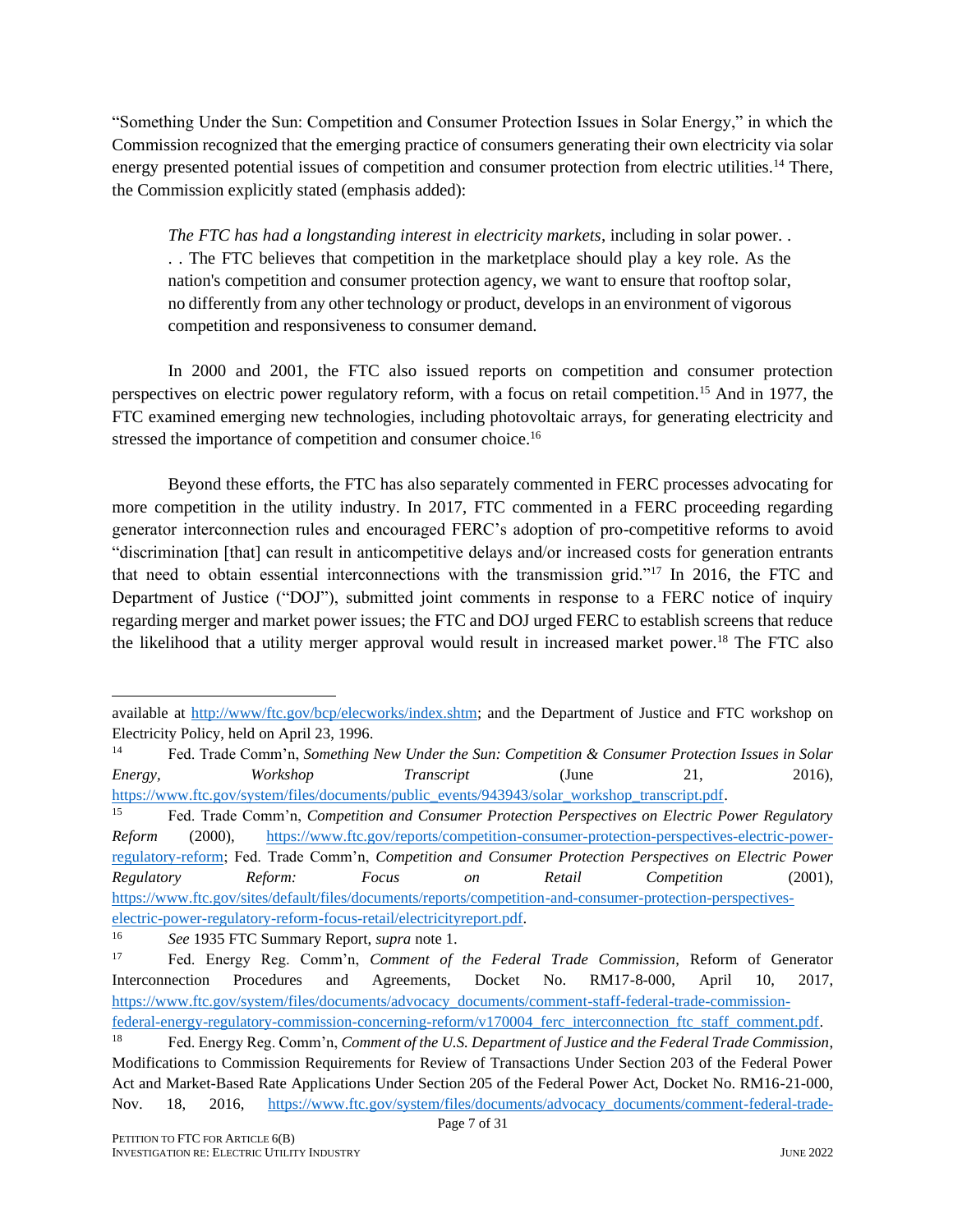"Something Under the Sun: Competition and Consumer Protection Issues in Solar Energy," in which the Commission recognized that the emerging practice of consumers generating their own electricity via solar energy presented potential issues of competition and consumer protection from electric utilities.<sup>14</sup> There, the Commission explicitly stated (emphasis added):

*The FTC has had a longstanding interest in electricity markets*, including in solar power. . . . The FTC believes that competition in the marketplace should play a key role. As the nation's competition and consumer protection agency, we want to ensure that rooftop solar, no differently from any other technology or product, develops in an environment of vigorous competition and responsiveness to consumer demand.

In 2000 and 2001, the FTC also issued reports on competition and consumer protection perspectives on electric power regulatory reform, with a focus on retail competition.<sup>15</sup> And in 1977, the FTC examined emerging new technologies, including photovoltaic arrays, for generating electricity and stressed the importance of competition and consumer choice.<sup>16</sup>

Beyond these efforts, the FTC has also separately commented in FERC processes advocating for more competition in the utility industry. In 2017, FTC commented in a FERC proceeding regarding generator interconnection rules and encouraged FERC's adoption of pro-competitive reforms to avoid "discrimination [that] can result in anticompetitive delays and/or increased costs for generation entrants that need to obtain essential interconnections with the transmission grid."<sup>17</sup> In 2016, the FTC and Department of Justice ("DOJ"), submitted joint comments in response to a FERC notice of inquiry regarding merger and market power issues; the FTC and DOJ urged FERC to establish screens that reduce the likelihood that a utility merger approval would result in increased market power.<sup>18</sup> The FTC also

available at [http://www/ftc.gov/bcp/elecworks/index.shtm;](http://www/ftc.gov/bcp/elecworks/index.shtm) and the Department of Justice and FTC workshop on Electricity Policy, held on April 23, 1996.

<sup>14</sup> Fed. Trade Comm'n, *Something New Under the Sun: Competition & Consumer Protection Issues in Solar Energy, Workshop Transcript* (June 21, 2016), [https://www.ftc.gov/system/files/documents/public\\_events/943943/solar\\_workshop\\_transcript.pdf.](https://www.ftc.gov/system/files/documents/public_events/943943/solar_workshop_transcript.pdf)

<sup>15</sup> Fed. Trade Comm'n, *Competition and Consumer Protection Perspectives on Electric Power Regulatory Reform* (2000), [https://www.ftc.gov/reports/competition-consumer-protection-perspectives-electric-power](https://www.ftc.gov/reports/competition-consumer-protection-perspectives-electric-power-regulatory-reform)[regulatory-reform;](https://www.ftc.gov/reports/competition-consumer-protection-perspectives-electric-power-regulatory-reform) Fed. Trade Comm'n, *Competition and Consumer Protection Perspectives on Electric Power Regulatory Reform: Focus on Retail Competition* (2001), [https://www.ftc.gov/sites/default/files/documents/reports/competition-and-consumer-protection-perspectives](https://www.ftc.gov/sites/default/files/documents/reports/competition-and-consumer-protection-perspectives-electric-power-regulatory-reform-focus-retail/electricityreport.pdf)[electric-power-regulatory-reform-focus-retail/electricityreport.pdf.](https://www.ftc.gov/sites/default/files/documents/reports/competition-and-consumer-protection-perspectives-electric-power-regulatory-reform-focus-retail/electricityreport.pdf)

<sup>16</sup> *See* 1935 FTC Summary Report, *supra* note 1.

<sup>17</sup> Fed. Energy Reg. Comm'n, *Comment of the Federal Trade Commission*, Reform of Generator Interconnection Procedures and Agreements, Docket No. RM17-8-000, April 10, 2017, [https://www.ftc.gov/system/files/documents/advocacy\\_documents/comment-staff-federal-trade-commission-](https://www.ftc.gov/system/files/documents/advocacy_documents/comment-staff-federal-trade-commission-federal-energy-regulatory-commission-concerning-reform/v170004_ferc_interconnection_ftc_staff_comment.pdf)

federal-energy-regulatory-commission-concerning-reform/v170004 ferc interconnection ftc staff comment.pdf.

<sup>18</sup> Fed. Energy Reg. Comm'n, *Comment of the U.S. Department of Justice and the Federal Trade Commission*, Modifications to Commission Requirements for Review of Transactions Under Section 203 of the Federal Power Act and Market-Based Rate Applications Under Section 205 of the Federal Power Act, Docket No. RM16-21-000, Nov. 18, 2016, [https://www.ftc.gov/system/files/documents/advocacy\\_documents/comment-federal-trade-](https://www.ftc.gov/system/files/documents/advocacy_documents/comment-federal-trade-commission-us-department-justice-federal-energy-regulatory-commission-ferc/v170000_ferc_market_power_comment_28_nov_2016.pdf)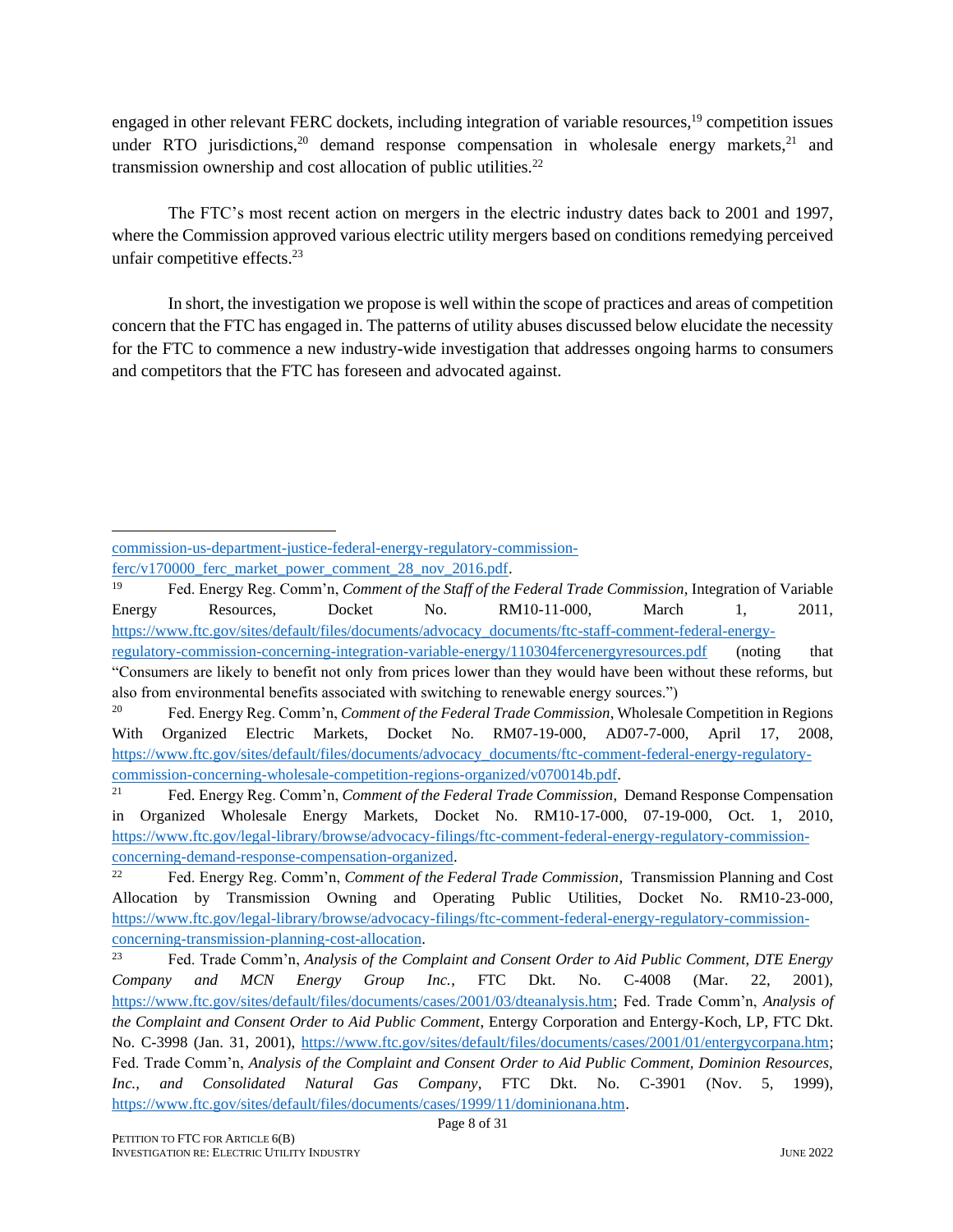engaged in other relevant FERC dockets, including integration of variable resources,<sup>19</sup> competition issues under RTO jurisdictions,<sup>20</sup> demand response compensation in wholesale energy markets,<sup>21</sup> and transmission ownership and cost allocation of public utilities. $^{22}$ 

The FTC's most recent action on mergers in the electric industry dates back to 2001 and 1997, where the Commission approved various electric utility mergers based on conditions remedying perceived unfair competitive effects.<sup>23</sup>

In short, the investigation we propose is well within the scope of practices and areas of competition concern that the FTC has engaged in. The patterns of utility abuses discussed below elucidate the necessity for the FTC to commence a new industry-wide investigation that addresses ongoing harms to consumers and competitors that the FTC has foreseen and advocated against.

[commission-us-department-justice-federal-energy-regulatory-commission](https://www.ftc.gov/system/files/documents/advocacy_documents/comment-federal-trade-commission-us-department-justice-federal-energy-regulatory-commission-ferc/v170000_ferc_market_power_comment_28_nov_2016.pdf)ferc/v170000 ferc\_market\_power\_comment\_28\_nov\_2016.pdf.

<sup>19</sup> Fed. Energy Reg. Comm'n, *Comment of the Staff of the Federal Trade Commission*, Integration of Variable Energy Resources, Docket No. RM10-11-000, March 1, 2011, [https://www.ftc.gov/sites/default/files/documents/advocacy\\_documents/ftc-staff-comment-federal-energy](https://www.ftc.gov/sites/default/files/documents/advocacy_documents/ftc-staff-comment-federal-energy-regulatory-commission-concerning-integration-variable-energy/110304fercenergyresources.pdf)[regulatory-commission-concerning-integration-variable-energy/110304fercenergyresources.pdf](https://www.ftc.gov/sites/default/files/documents/advocacy_documents/ftc-staff-comment-federal-energy-regulatory-commission-concerning-integration-variable-energy/110304fercenergyresources.pdf) (noting that

<sup>&</sup>quot;Consumers are likely to benefit not only from prices lower than they would have been without these reforms, but also from environmental benefits associated with switching to renewable energy sources.")

<sup>20</sup> Fed. Energy Reg. Comm'n, *Comment of the Federal Trade Commission*, Wholesale Competition in Regions With Organized Electric Markets, Docket No. RM07-19-000, AD07-7-000, April 17, 2008, [https://www.ftc.gov/sites/default/files/documents/advocacy\\_documents/ftc-comment-federal-energy-regulatory](https://www.ftc.gov/sites/default/files/documents/advocacy_documents/ftc-comment-federal-energy-regulatory-commission-concerning-wholesale-competition-regions-organized/v070014b.pdf)[commission-concerning-wholesale-competition-regions-organized/v070014b.pdf.](https://www.ftc.gov/sites/default/files/documents/advocacy_documents/ftc-comment-federal-energy-regulatory-commission-concerning-wholesale-competition-regions-organized/v070014b.pdf)

<sup>21</sup> Fed. Energy Reg. Comm'n, *Comment of the Federal Trade Commission*, Demand Response Compensation in Organized Wholesale Energy Markets, Docket No. RM10-17-000, 07-19-000, Oct. 1, 2010, [https://www.ftc.gov/legal-library/browse/advocacy-filings/ftc-comment-federal-energy-regulatory-commission](https://www.ftc.gov/legal-library/browse/advocacy-filings/ftc-comment-federal-energy-regulatory-commission-concerning-demand-response-compensation-organized)[concerning-demand-response-compensation-organized.](https://www.ftc.gov/legal-library/browse/advocacy-filings/ftc-comment-federal-energy-regulatory-commission-concerning-demand-response-compensation-organized)

<sup>22</sup> Fed. Energy Reg. Comm'n, *Comment of the Federal Trade Commission*, Transmission Planning and Cost Allocation by Transmission Owning and Operating Public Utilities, Docket No. RM10-23-000, [https://www.ftc.gov/legal-library/browse/advocacy-filings/ftc-comment-federal-energy-regulatory-commission](https://www.ftc.gov/legal-library/browse/advocacy-filings/ftc-comment-federal-energy-regulatory-commission-concerning-transmission-planning-cost-allocation)[concerning-transmission-planning-cost-allocation.](https://www.ftc.gov/legal-library/browse/advocacy-filings/ftc-comment-federal-energy-regulatory-commission-concerning-transmission-planning-cost-allocation)

<sup>23</sup> Fed. Trade Comm'n, *Analysis of the Complaint and Consent Order to Aid Public Comment, DTE Energy Company and MCN Energy Group Inc.*, FTC Dkt. No. C-4008 (Mar. 22, 2001), [https://www.ftc.gov/sites/default/files/documents/cases/2001/03/dteanalysis.htm;](https://www.ftc.gov/sites/default/files/documents/cases/2001/03/dteanalysis.htm) Fed. Trade Comm'n, *Analysis of the Complaint and Consent Order to Aid Public Comment*, Entergy Corporation and Entergy-Koch, LP, FTC Dkt. No. C-3998 (Jan. 31, 2001), [https://www.ftc.gov/sites/default/files/documents/cases/2001/01/entergycorpana.htm;](https://www.ftc.gov/sites/default/files/documents/cases/2001/01/entergycorpana.htm) Fed. Trade Comm'n, *Analysis of the Complaint and Consent Order to Aid Public Comment, Dominion Resources, Inc., and Consolidated Natural Gas Company*, FTC Dkt. No. C-3901 (Nov. 5, 1999), [https://www.ftc.gov/sites/default/files/documents/cases/1999/11/dominionana.htm.](https://www.ftc.gov/sites/default/files/documents/cases/1999/11/dominionana.htm)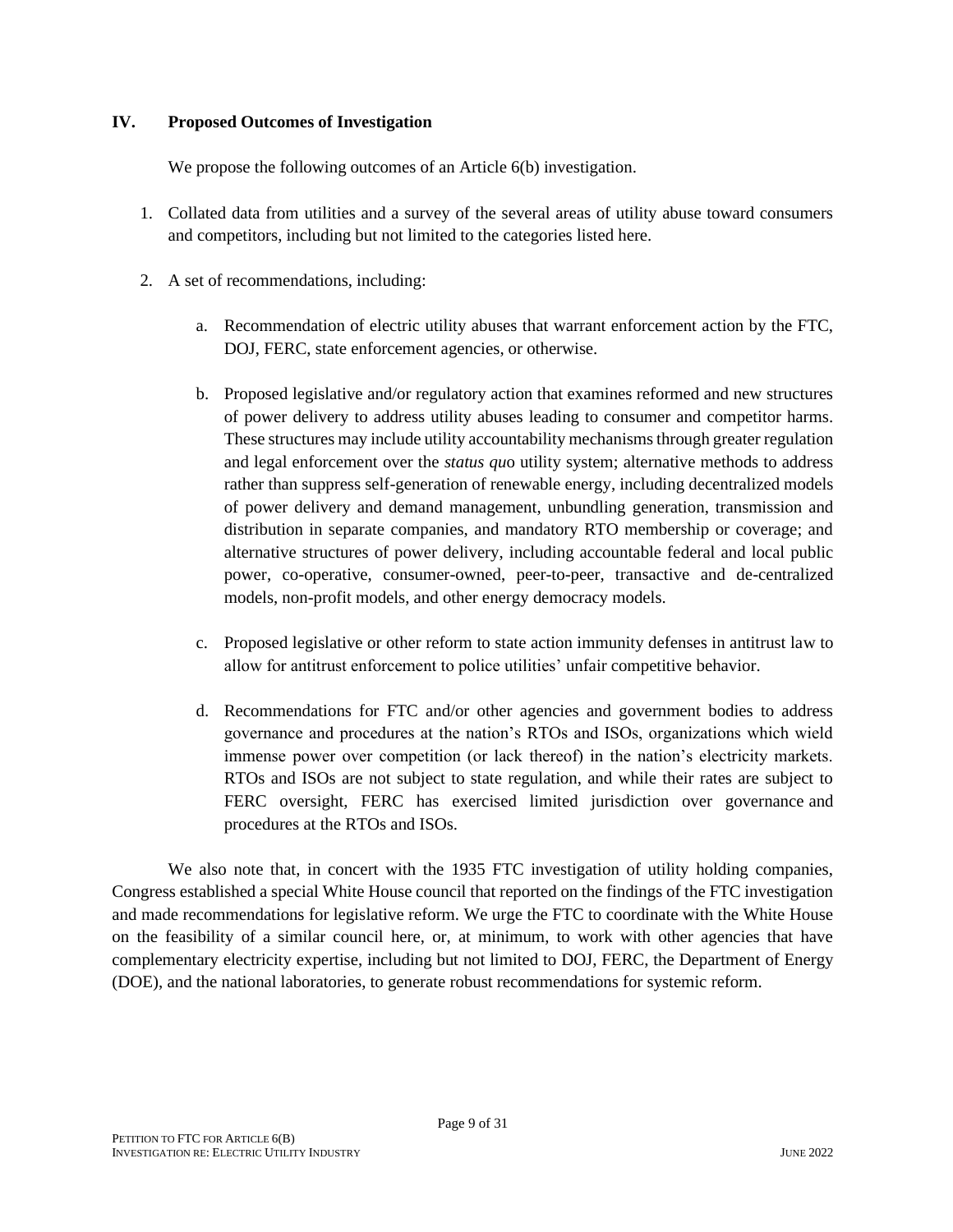#### **IV. Proposed Outcomes of Investigation**

We propose the following outcomes of an Article 6(b) investigation.

- 1. Collated data from utilities and a survey of the several areas of utility abuse toward consumers and competitors, including but not limited to the categories listed here.
- 2. A set of recommendations, including:
	- a. Recommendation of electric utility abuses that warrant enforcement action by the FTC, DOJ, FERC, state enforcement agencies, or otherwise.
	- b. Proposed legislative and/or regulatory action that examines reformed and new structures of power delivery to address utility abuses leading to consumer and competitor harms. These structures may include utility accountability mechanisms through greater regulation and legal enforcement over the *status qu*o utility system; alternative methods to address rather than suppress self-generation of renewable energy, including decentralized models of power delivery and demand management, unbundling generation, transmission and distribution in separate companies, and mandatory RTO membership or coverage; and alternative structures of power delivery, including accountable federal and local public power, co-operative, consumer-owned, peer-to-peer, transactive and de-centralized models, non-profit models, and other energy democracy models.
	- c. Proposed legislative or other reform to state action immunity defenses in antitrust law to allow for antitrust enforcement to police utilities' unfair competitive behavior.
	- d. Recommendations for FTC and/or other agencies and government bodies to address governance and procedures at the nation's RTOs and ISOs, organizations which wield immense power over competition (or lack thereof) in the nation's electricity markets. RTOs and ISOs are not subject to state regulation, and while their rates are subject to FERC oversight, FERC has exercised limited jurisdiction over governance and procedures at the RTOs and ISOs.

We also note that, in concert with the 1935 FTC investigation of utility holding companies, Congress established a special White House council that reported on the findings of the FTC investigation and made recommendations for legislative reform. We urge the FTC to coordinate with the White House on the feasibility of a similar council here, or, at minimum, to work with other agencies that have complementary electricity expertise, including but not limited to DOJ, FERC, the Department of Energy (DOE), and the national laboratories, to generate robust recommendations for systemic reform.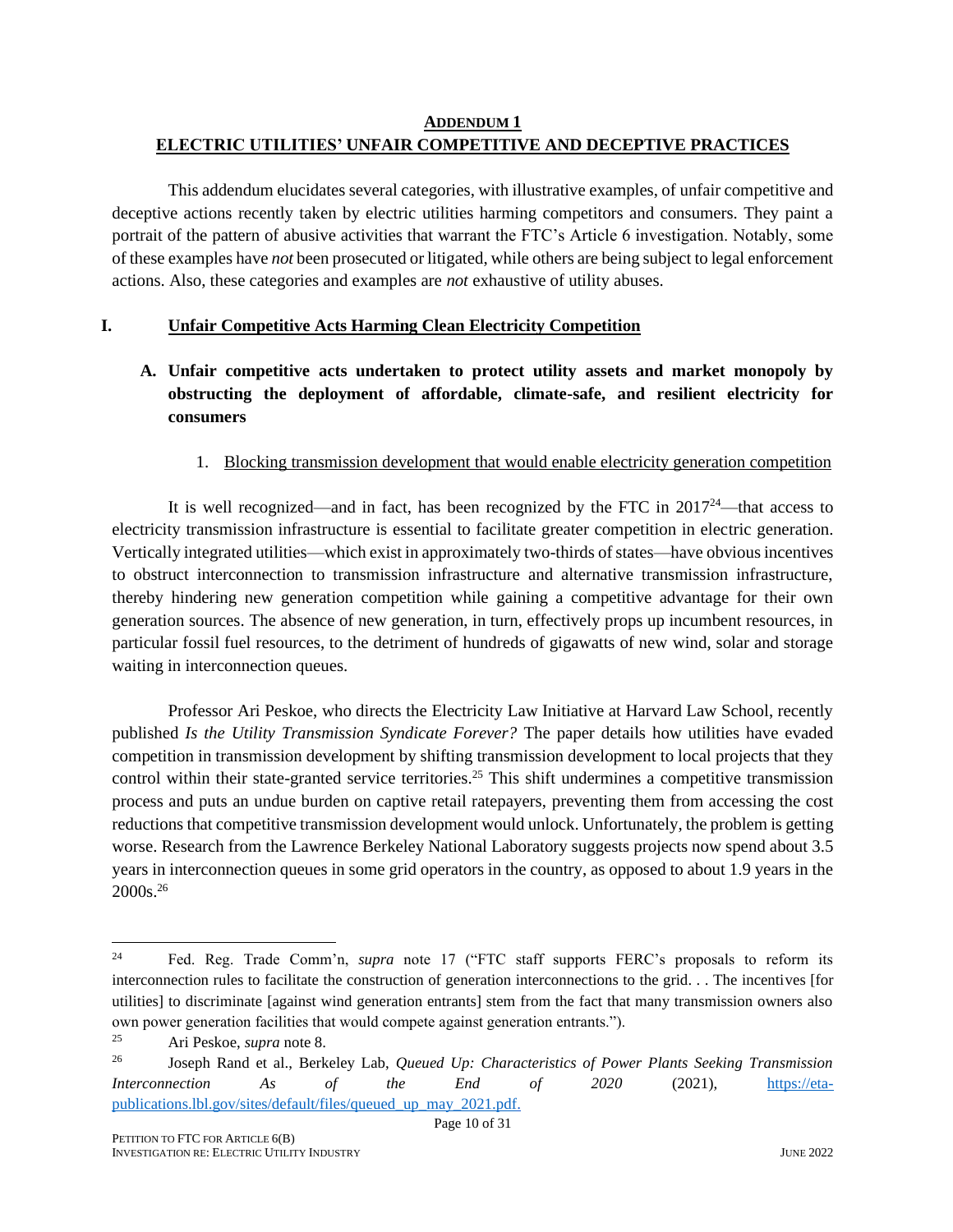#### **ADDENDUM 1 ELECTRIC UTILITIES' UNFAIR COMPETITIVE AND DECEPTIVE PRACTICES**

This addendum elucidates several categories, with illustrative examples, of unfair competitive and deceptive actions recently taken by electric utilities harming competitors and consumers. They paint a portrait of the pattern of abusive activities that warrant the FTC's Article 6 investigation. Notably, some of these examples have *not* been prosecuted or litigated, while others are being subject to legal enforcement actions. Also, these categories and examples are *not* exhaustive of utility abuses.

#### **I. Unfair Competitive Acts Harming Clean Electricity Competition**

**A. Unfair competitive acts undertaken to protect utility assets and market monopoly by obstructing the deployment of affordable, climate-safe, and resilient electricity for consumers** 

#### 1. Blocking transmission development that would enable electricity generation competition

It is well recognized—and in fact, has been recognized by the FTC in  $2017^{24}$ —that access to electricity transmission infrastructure is essential to facilitate greater competition in electric generation. Vertically integrated utilities—which exist in approximately two-thirds of states—have obvious incentives to obstruct interconnection to transmission infrastructure and alternative transmission infrastructure, thereby hindering new generation competition while gaining a competitive advantage for their own generation sources. The absence of new generation, in turn, effectively props up incumbent resources, in particular fossil fuel resources, to the detriment of hundreds of gigawatts of new wind, solar and storage waiting in interconnection queues.

Professor Ari Peskoe, who directs the Electricity Law Initiative at Harvard Law School, recently published *Is the Utility Transmission Syndicate Forever?* The paper details how utilities have evaded competition in transmission development by shifting transmission development to local projects that they control within their state-granted service territories.<sup>25</sup> This shift undermines a competitive transmission process and puts an undue burden on captive retail ratepayers, preventing them from accessing the cost reductions that competitive transmission development would unlock. Unfortunately, the problem is getting worse. Research from the Lawrence Berkeley National Laboratory suggests projects now spend about 3.5 years in interconnection queues in some grid operators in the country, as opposed to about 1.9 years in the 2000s.<sup>26</sup>

<sup>&</sup>lt;sup>24</sup> Fed. Reg. Trade Comm'n, *supra* note 17 ("FTC staff supports FERC's proposals to reform its interconnection rules to facilitate the construction of generation interconnections to the grid. . . The incentives [for utilities] to discriminate [against wind generation entrants] stem from the fact that many transmission owners also own power generation facilities that would compete against generation entrants.").

<sup>25</sup> Ari Peskoe, *supra* note 8.

<sup>26</sup> Joseph Rand et al., Berkeley Lab, *Queued Up: Characteristics of Power Plants Seeking Transmission Interconnection As of the End of 2020* (2021), [https://eta](https://eta-publications.lbl.gov/sites/default/files/queued_up_may_2021.pdf)[publications.lbl.gov/sites/default/files/queued\\_up\\_may\\_2021.pdf.](https://eta-publications.lbl.gov/sites/default/files/queued_up_may_2021.pdf)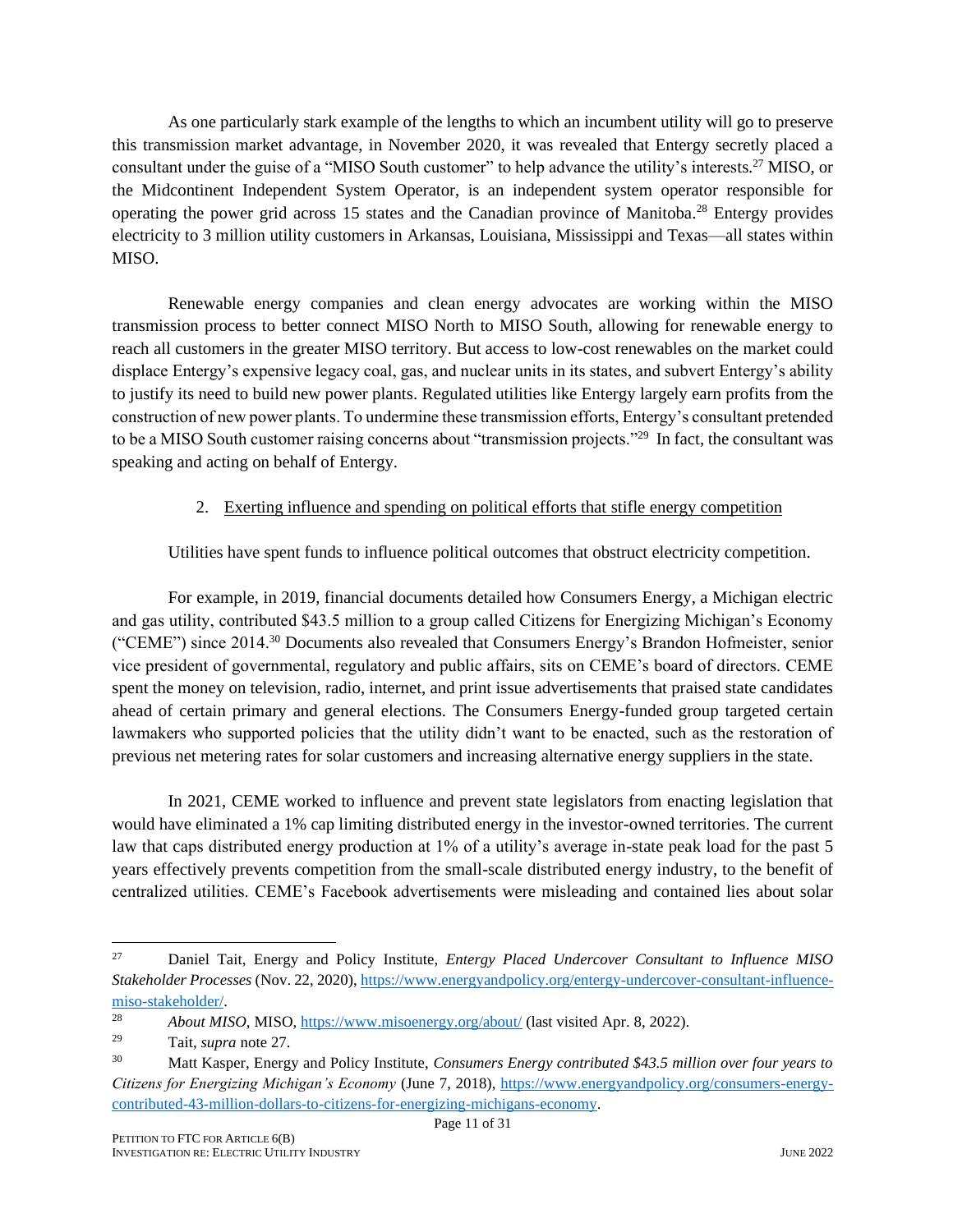<span id="page-11-0"></span>As one particularly stark example of the lengths to which an incumbent utility will go to preserve this transmission market advantage, in November 2020, it was revealed that Entergy secretly placed a consultant under the guise of a "MISO South customer" to help advance the utility's interests.<sup>27</sup> MISO, or the Midcontinent Independent System Operator, is an independent system operator responsible for operating the power grid across 15 states and the Canadian province of Manitoba.<sup>28</sup> Entergy provides electricity to 3 million utility customers in Arkansas, Louisiana, Mississippi and Texas—all states within MISO.

Renewable energy companies and clean energy advocates are working within the MISO transmission process to better connect MISO North to MISO South, allowing for renewable energy to reach all customers in the greater MISO territory. But access to low-cost renewables on the market could displace Entergy's expensive legacy coal, gas, and nuclear units in its states, and subvert Entergy's ability to justify its need to build new power plants. Regulated utilities like Entergy largely earn profits from the construction of new power plants. To undermine these transmission efforts, Entergy's consultant pretended to be a MISO South customer raising concerns about "transmission projects."<sup>29</sup> In fact, the consultant was speaking and acting on behalf of Entergy.

#### 2. Exerting influence and spending on political efforts that stifle energy competition

Utilities have spent funds to influence political outcomes that obstruct electricity competition.

For example, in 2019, financial documents detailed how Consumers Energy, a Michigan electric and gas utility, contributed \$43.5 million to a group called Citizens for Energizing Michigan's Economy ("CEME") since 2014.<sup>30</sup> Documents also revealed that Consumers Energy's Brandon Hofmeister, senior vice president of governmental, regulatory and public affairs, sits on CEME's board of directors. CEME spent the money on television, radio, internet, and print issue advertisements that praised state candidates ahead of certain primary and general elections. The Consumers Energy-funded group targeted certain lawmakers who supported policies that the utility didn't want to be enacted, such as the restoration of previous net metering rates for solar customers and increasing alternative energy suppliers in the state.

In 2021, CEME worked to influence and prevent state legislators from enacting legislation that would have eliminated a 1% cap limiting distributed energy in the investor-owned territories. The current law that caps distributed energy production at 1% of a utility's average in-state peak load for the past 5 years effectively prevents competition from the small-scale distributed energy industry, to the benefit of centralized utilities. CEME's Facebook advertisements were misleading and contained lies about solar

<sup>27</sup> Daniel Tait, Energy and Policy Institute, *Entergy Placed Undercover Consultant to Influence MISO Stakeholder Processes* (Nov. 22, 2020)[, https://www.energyandpolicy.org/entergy-undercover-consultant-influence](https://www.energyandpolicy.org/entergy-undercover-consultant-influence-miso-stakeholder/)[miso-stakeholder/.](https://www.energyandpolicy.org/entergy-undercover-consultant-influence-miso-stakeholder/)

<sup>28</sup> *About MISO,* MISO,<https://www.misoenergy.org/about/> (last visited Apr. 8, 2022).

<sup>29</sup> Tait, *supra* note [27.](#page-11-0)

<sup>30</sup> Matt Kasper, Energy and Policy Institute, *Consumers Energy contributed \$43.5 million over four years to Citizens for Energizing Michigan's Economy* (June 7, 2018), [https://www.energyandpolicy.org/consumers-energy](https://www.energyandpolicy.org/consumers-energy-contributed-43-million-dollars-to-citizens-for-energizing-michigans-economy)[contributed-43-million-dollars-to-citizens-for-energizing-michigans-economy.](https://www.energyandpolicy.org/consumers-energy-contributed-43-million-dollars-to-citizens-for-energizing-michigans-economy)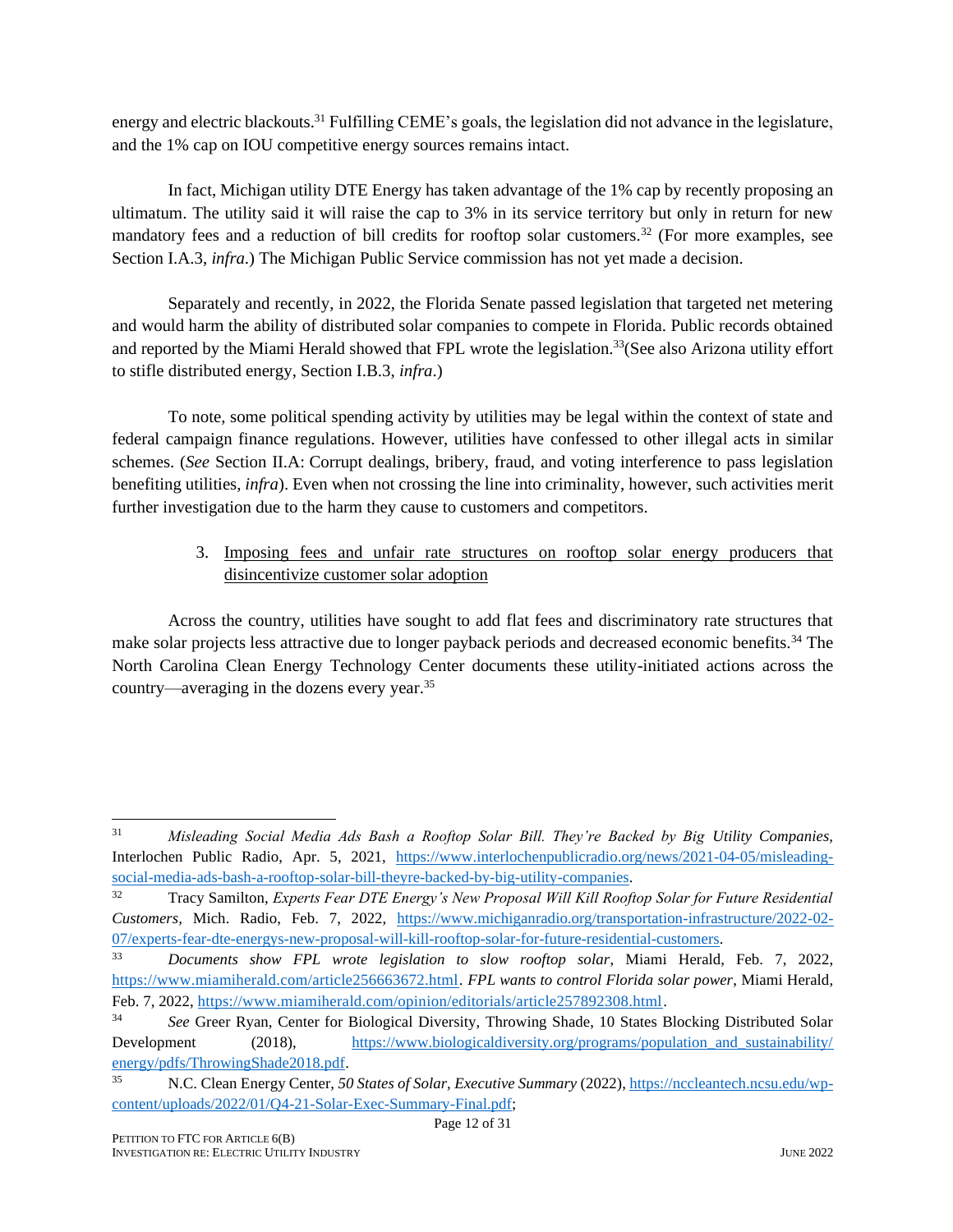energy and electric blackouts.<sup>31</sup> Fulfilling CEME's goals, the legislation did not advance in the legislature, and the 1% cap on IOU competitive energy sources remains intact.

In fact, Michigan utility DTE Energy has taken advantage of the 1% cap by recently proposing an ultimatum. The utility said it will raise the cap to 3% in its service territory but only in return for new mandatory fees and a reduction of bill credits for rooftop solar customers.<sup>32</sup> (For more examples, see Section I.A.3, *infra*.) The Michigan Public Service commission has not yet made a decision.

Separately and recently, in 2022, the Florida Senate passed legislation that targeted net metering and would harm the ability of distributed solar companies to compete in Florida. Public records obtained and reported by the Miami Herald showed that FPL wrote the legislation.<sup>33</sup> (See also Arizona utility effort to stifle distributed energy, Section I.B.3, *infra*.)

To note, some political spending activity by utilities may be legal within the context of state and federal campaign finance regulations. However, utilities have confessed to other illegal acts in similar schemes. (*See* Section II.A: Corrupt dealings, bribery, fraud, and voting interference to pass legislation benefiting utilities, *infra*). Even when not crossing the line into criminality, however, such activities merit further investigation due to the harm they cause to customers and competitors.

### 3. Imposing fees and unfair rate structures on rooftop solar energy producers that disincentivize customer solar adoption

Across the country, utilities have sought to add flat fees and discriminatory rate structures that make solar projects less attractive due to longer payback periods and decreased economic benefits.<sup>34</sup> The North Carolina Clean Energy Technology Center documents these utility-initiated actions across the country—averaging in the dozens every year.<sup>35</sup>

<sup>31</sup> *Misleading Social Media Ads Bash a Rooftop Solar Bill. They're Backed by Big Utility Companies,*  Interlochen Public Radio, Apr. 5, 2021, [https://www.interlochenpublicradio.org/news/2021-04-05/misleading](https://www.interlochenpublicradio.org/news/2021-04-05/misleading-social-media-ads-bash-a-rooftop-solar-bill-theyre-backed-by-big-utility-companies)[social-media-ads-bash-a-rooftop-solar-bill-theyre-backed-by-big-utility-companies.](https://www.interlochenpublicradio.org/news/2021-04-05/misleading-social-media-ads-bash-a-rooftop-solar-bill-theyre-backed-by-big-utility-companies)

<sup>32</sup> Tracy Samilton, *Experts Fear DTE Energy's New Proposal Will Kill Rooftop Solar for Future Residential Customers,* Mich. Radio, Feb. 7, 2022, [https://www.michiganradio.org/transportation-infrastructure/2022-02-](https://www.michiganradio.org/transportation-infrastructure/2022-02-07/experts-fear-dte-energys-new-proposal-will-kill-rooftop-solar-for-future-residential-customers) [07/experts-fear-dte-energys-new-proposal-will-kill-rooftop-solar-for-future-residential-customers.](https://www.michiganradio.org/transportation-infrastructure/2022-02-07/experts-fear-dte-energys-new-proposal-will-kill-rooftop-solar-for-future-residential-customers) 

<sup>33</sup> *Documents show FPL wrote legislation to slow rooftop solar*, Miami Herald, Feb. 7, 2022, [https://www.miamiherald.com/article256663672.html.](https://www.miamiherald.com/article256663672.html) *FPL wants to control Florida solar power*, Miami Herald, Feb. 7, 2022, [https://www.miamiherald.com/opinion/editorials/article257892308.html.](https://www.miamiherald.com/opinion/editorials/article257892308.html) 

<sup>&</sup>lt;sup>34</sup> See Greer Ryan, Center for Biological Diversity, Throwing Shade, 10 States Blocking Distributed Solar Development (2018), https://www.biologicaldiversity.org/programs/population\_and\_sustainability/ [energy/pdfs/ThrowingShade2018.pdf.](https://www.biologicaldiversity.org/programs/population_and_sustainability/%20energy/pdfs/ThrowingShade2018.pdf)

<sup>35</sup> N.C. Clean Energy Center, *50 States of Solar, Executive Summary* (2022)[, https://nccleantech.ncsu.edu/wp](https://nccleantech.ncsu.edu/wp-content/uploads/2022/01/Q4-21-Solar-Exec-Summary-Final.pdf)[content/uploads/2022/01/Q4-21-Solar-Exec-Summary-Final.pdf;](https://nccleantech.ncsu.edu/wp-content/uploads/2022/01/Q4-21-Solar-Exec-Summary-Final.pdf)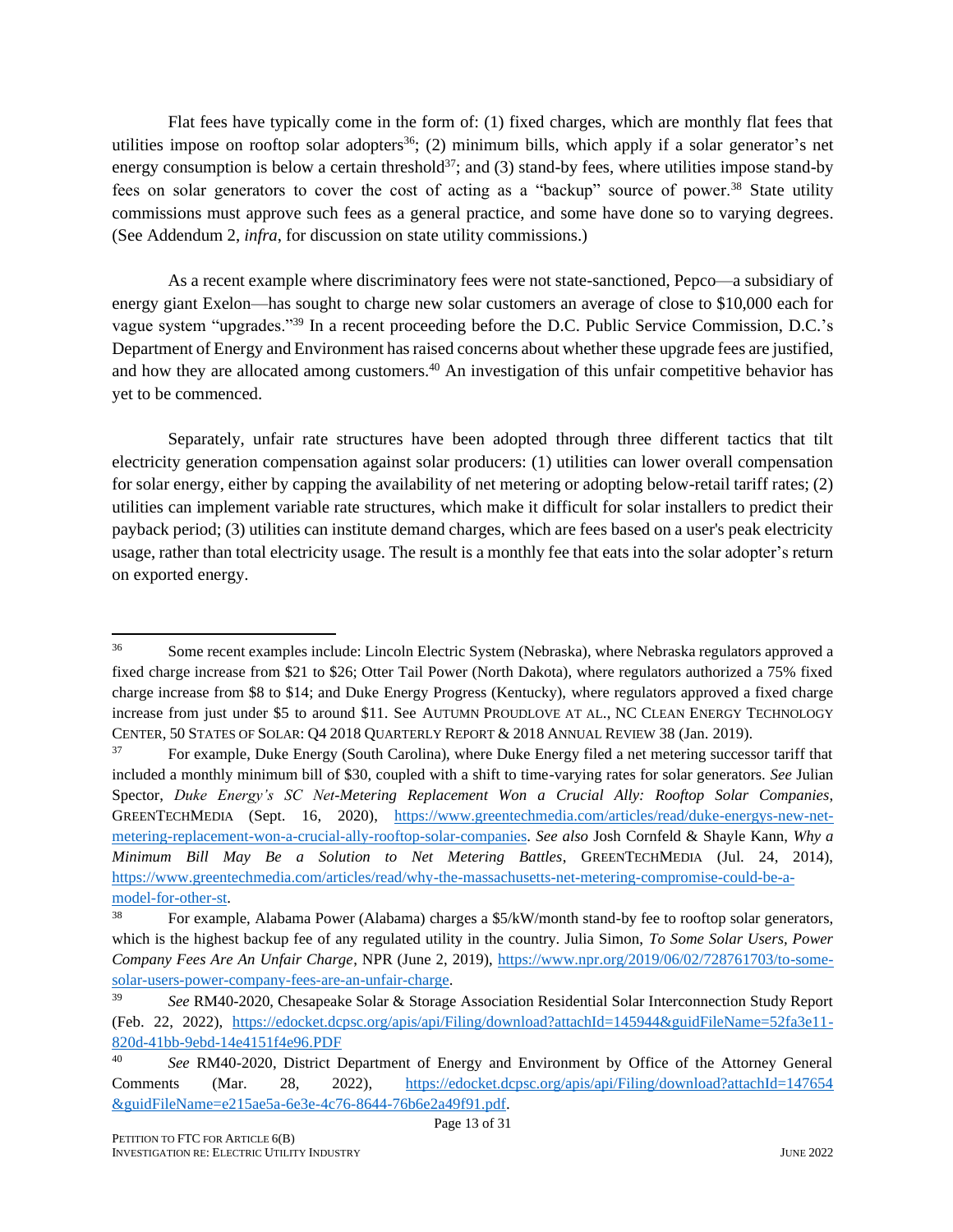Flat fees have typically come in the form of: (1) fixed charges, which are monthly flat fees that utilities impose on rooftop solar adopters<sup>36</sup>; (2) minimum bills, which apply if a solar generator's net energy consumption is below a certain threshold<sup>37</sup>; and (3) stand-by fees, where utilities impose stand-by fees on solar generators to cover the cost of acting as a "backup" source of power.<sup>38</sup> State utility commissions must approve such fees as a general practice, and some have done so to varying degrees. (See Addendum 2, *infra*, for discussion on state utility commissions.)

As a recent example where discriminatory fees were not state-sanctioned, Pepco—a subsidiary of energy giant Exelon—has sought to charge new solar customers an average of close to \$10,000 each for vague system "upgrades."<sup>39</sup> In a recent proceeding before the D.C. Public Service Commission, D.C.'s Department of Energy and Environment has raised concerns about whether these upgrade fees are justified, and how they are allocated among customers.<sup>40</sup> An investigation of this unfair competitive behavior has yet to be commenced.

Separately, unfair rate structures have been adopted through three different tactics that tilt electricity generation compensation against solar producers: (1) utilities can lower overall compensation for solar energy, either by capping the availability of net metering or adopting below-retail tariff rates; (2) utilities can implement variable rate structures, which make it difficult for solar installers to predict their payback period; (3) utilities can institute demand charges, which are fees based on a user's peak electricity usage, rather than total electricity usage. The result is a monthly fee that eats into the solar adopter's return on exported energy.

<sup>&</sup>lt;sup>36</sup> Some recent examples include: Lincoln Electric System (Nebraska), where Nebraska regulators approved a fixed charge increase from \$21 to \$26; Otter Tail Power (North Dakota), where regulators authorized a 75% fixed charge increase from \$8 to \$14; and Duke Energy Progress (Kentucky), where regulators approved a fixed charge increase from just under \$5 to around \$11. See AUTUMN PROUDLOVE AT AL., NC CLEAN ENERGY TECHNOLOGY CENTER, 50 STATES OF SOLAR: Q4 2018 QUARTERLY REPORT & 2018 ANNUAL REVIEW 38 (Jan. 2019).

<sup>&</sup>lt;sup>37</sup> For example, Duke Energy (South Carolina), where Duke Energy filed a net metering successor tariff that included a monthly minimum bill of \$30, coupled with a shift to time-varying rates for solar generators. *See* Julian Spector, *Duke Energy's SC Net-Metering Replacement Won a Crucial Ally: Rooftop Solar Companies*, GREENTECHMEDIA (Sept. 16, 2020), [https://www.greentechmedia.com/articles/read/duke-energys-new-net](https://www.greentechmedia.com/articles/read/duke-energys-new-net-metering-replacement-won-a-crucial-ally-rooftop-solar-companies)[metering-replacement-won-a-crucial-ally-rooftop-solar-companies.](https://www.greentechmedia.com/articles/read/duke-energys-new-net-metering-replacement-won-a-crucial-ally-rooftop-solar-companies) *See also* Josh Cornfeld & Shayle Kann, *Why a Minimum Bill May Be a Solution to Net Metering Battles*, GREENTECHMEDIA (Jul. 24, 2014), [https://www.greentechmedia.com/articles/read/why-the-massachusetts-net-metering-compromise-could-be-a](https://www.greentechmedia.com/articles/read/why-the-massachusetts-net-metering-compromise-could-be-a-model-for-other-st)[model-for-other-st.](https://www.greentechmedia.com/articles/read/why-the-massachusetts-net-metering-compromise-could-be-a-model-for-other-st)

For example, Alabama Power (Alabama) charges a \$5/kW/month stand-by fee to rooftop solar generators, which is the highest backup fee of any regulated utility in the country. Julia Simon, *To Some Solar Users, Power Company Fees Are An Unfair Charge*, NPR (June 2, 2019), [https://www.npr.org/2019/06/02/728761703/to-some](https://www.npr.org/2019/06/02/728761703/to-some-solar-users-power-company-fees-are-an-unfair-charge)[solar-users-power-company-fees-are-an-unfair-charge.](https://www.npr.org/2019/06/02/728761703/to-some-solar-users-power-company-fees-are-an-unfair-charge)

<sup>39</sup> *See* RM40-2020, Chesapeake Solar & Storage Association Residential Solar Interconnection Study Report (Feb. 22, 2022), [https://edocket.dcpsc.org/apis/api/Filing/download?attachId=145944&guidFileName=52fa3e11-](https://edocket.dcpsc.org/apis/api/Filing/download?attachId=145944&guidFileName=52fa3e11-820d-41bb-9ebd-14e4151f4e96.PDF) [820d-41bb-9ebd-14e4151f4e96.PDF](https://edocket.dcpsc.org/apis/api/Filing/download?attachId=145944&guidFileName=52fa3e11-820d-41bb-9ebd-14e4151f4e96.PDF)

<sup>40</sup> *See* RM40-2020, District Department of Energy and Environment by Office of the Attorney General Comments (Mar. 28, 2022), [https://edocket.dcpsc.org/apis/api/Filing/download?attachId=147654](https://edocket.dcpsc.org/apis/api/Filing/download?attachId=147654%20&guidFileName=e215ae5a-6e3e-4c76-8644-76b6e2a49f91.pdf)  [&guidFileName=e215ae5a-6e3e-4c76-8644-76b6e2a49f91.pdf.](https://edocket.dcpsc.org/apis/api/Filing/download?attachId=147654%20&guidFileName=e215ae5a-6e3e-4c76-8644-76b6e2a49f91.pdf)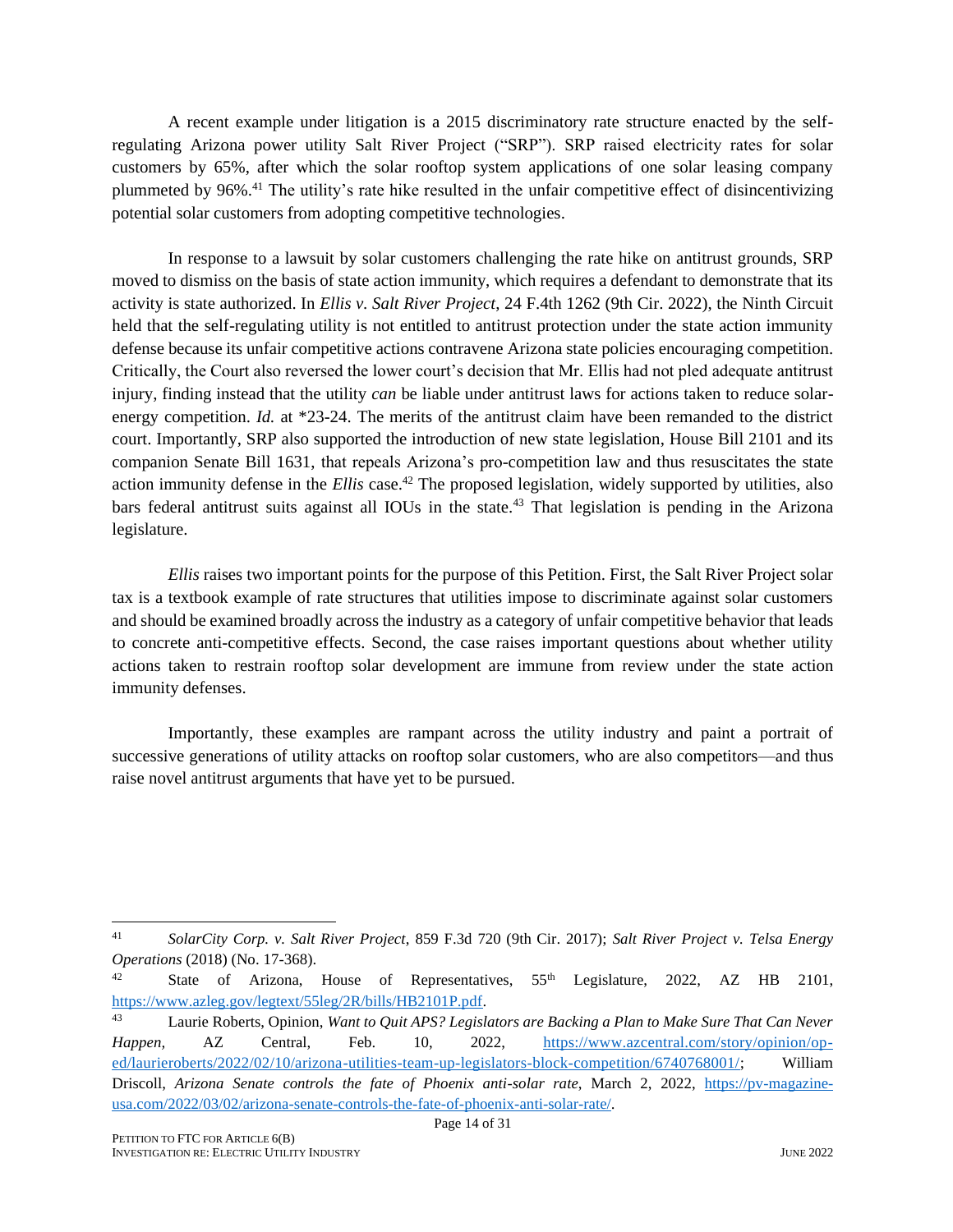A recent example under litigation is a 2015 discriminatory rate structure enacted by the selfregulating Arizona power utility Salt River Project ("SRP"). SRP raised electricity rates for solar customers by 65%, after which the solar rooftop system applications of one solar leasing company plummeted by 96%.<sup>41</sup> The utility's rate hike resulted in the unfair competitive effect of disincentivizing potential solar customers from adopting competitive technologies.

In response to a lawsuit by solar customers challenging the rate hike on antitrust grounds, SRP moved to dismiss on the basis of state action immunity, which requires a defendant to demonstrate that its activity is state authorized. In *Ellis v. Salt River Project*, 24 F.4th 1262 (9th Cir. 2022), the Ninth Circuit held that the self-regulating utility is not entitled to antitrust protection under the state action immunity defense because its unfair competitive actions contravene Arizona state policies encouraging competition. Critically, the Court also reversed the lower court's decision that Mr. Ellis had not pled adequate antitrust injury, finding instead that the utility *can* be liable under antitrust laws for actions taken to reduce solarenergy competition. *Id.* at \*23-24. The merits of the antitrust claim have been remanded to the district court. Importantly, SRP also supported the introduction of new state legislation, House Bill 2101 and its companion Senate Bill 1631, that repeals Arizona's pro-competition law and thus resuscitates the state action immunity defense in the *Ellis* case.<sup>42</sup> The proposed legislation, widely supported by utilities, also bars federal antitrust suits against all IOUs in the state.<sup>43</sup> That legislation is pending in the Arizona legislature.

*Ellis* raises two important points for the purpose of this Petition. First, the Salt River Project solar tax is a textbook example of rate structures that utilities impose to discriminate against solar customers and should be examined broadly across the industry as a category of unfair competitive behavior that leads to concrete anti-competitive effects. Second, the case raises important questions about whether utility actions taken to restrain rooftop solar development are immune from review under the state action immunity defenses.

Importantly, these examples are rampant across the utility industry and paint a portrait of successive generations of utility attacks on rooftop solar customers, who are also competitors—and thus raise novel antitrust arguments that have yet to be pursued.

<sup>41</sup> *SolarCity Corp. v. Salt River Project*, 859 F.3d 720 (9th Cir. 2017); *Salt River Project v. Telsa Energy Operations* (2018) (No. 17-368).

<sup>&</sup>lt;sup>42</sup> State of Arizona, House of Representatives,  $55<sup>th</sup>$  Legislature, 2022, AZ HB 2101, [https://www.azleg.gov/legtext/55leg/2R/bills/HB2101P.pdf.](https://www.azleg.gov/legtext/55leg/2R/bills/HB2101P.pdf)

<sup>43</sup> Laurie Roberts, Opinion, *Want to Quit APS? Legislators are Backing a Plan to Make Sure That Can Never Happen,* AZ Central, Feb. 10, 2022, [https://www.azcentral.com/story/opinion/op](https://www.azcentral.com/story/opinion/op-ed/laurieroberts/2022/02/10/arizona-utilities-team-up-legislators-block-competition/6740768001/)[ed/laurieroberts/2022/02/10/arizona-utilities-team-up-legislators-block-competition/6740768001/;](https://www.azcentral.com/story/opinion/op-ed/laurieroberts/2022/02/10/arizona-utilities-team-up-legislators-block-competition/6740768001/) William Driscoll, *Arizona Senate controls the fate of Phoenix anti-solar rate*, March 2, 2022, [https://pv-magazine](https://pv-magazine-usa.com/2022/03/02/arizona-senate-controls-the-fate-of-phoenix-anti-solar-rate/)[usa.com/2022/03/02/arizona-senate-controls-the-fate-of-phoenix-anti-solar-rate/.](https://pv-magazine-usa.com/2022/03/02/arizona-senate-controls-the-fate-of-phoenix-anti-solar-rate/)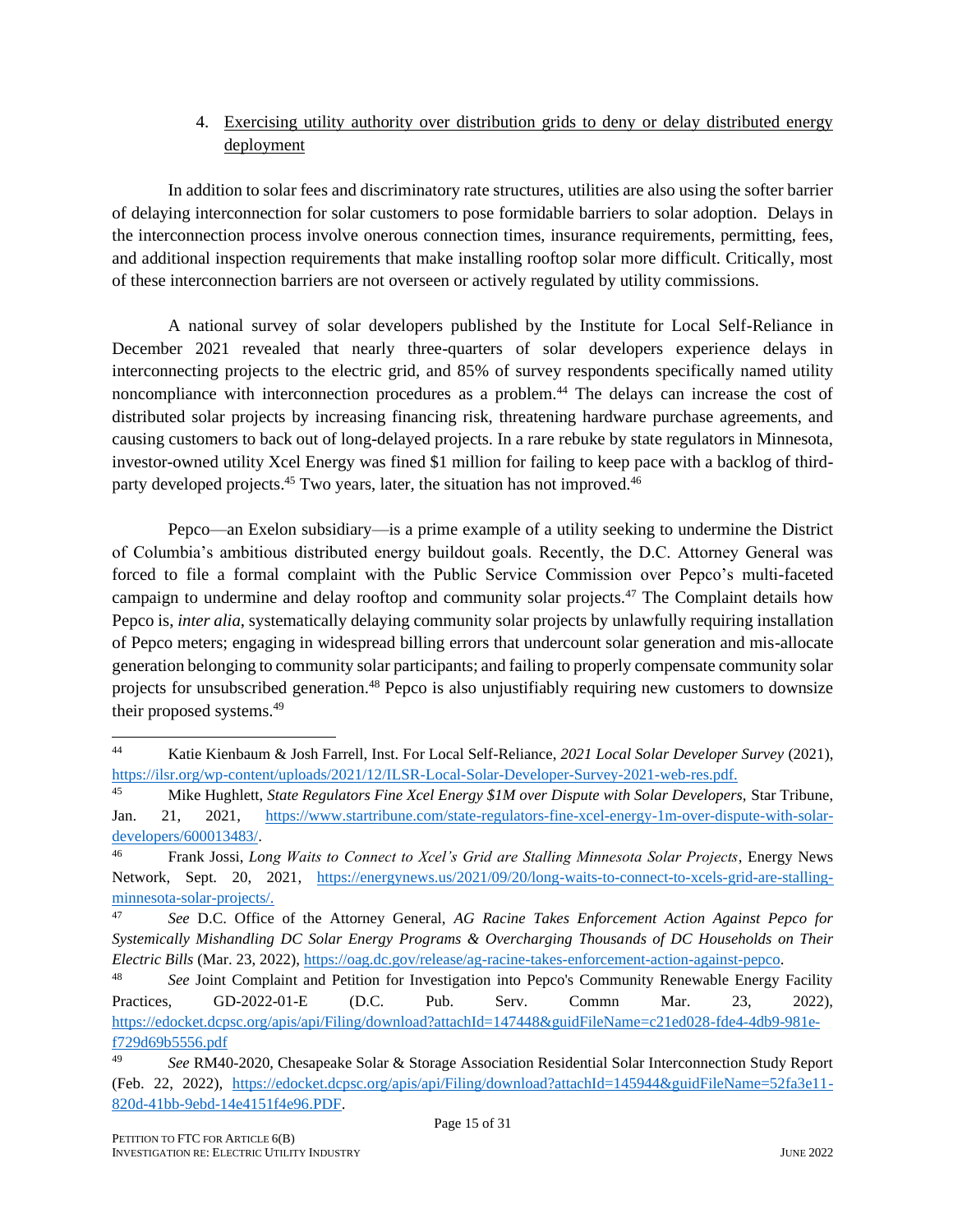#### 4. Exercising utility authority over distribution grids to deny or delay distributed energy deployment

In addition to solar fees and discriminatory rate structures, utilities are also using the softer barrier of delaying interconnection for solar customers to pose formidable barriers to solar adoption. Delays in the interconnection process involve onerous connection times, insurance requirements, permitting, fees, and additional inspection requirements that make installing rooftop solar more difficult. Critically, most of these interconnection barriers are not overseen or actively regulated by utility commissions.

A national survey of solar developers published by the Institute for Local Self-Reliance in December 2021 revealed that nearly three-quarters of solar developers experience delays in interconnecting projects to the electric grid, and 85% of survey respondents specifically named utility noncompliance with interconnection procedures as a problem.<sup>44</sup> The delays can increase the cost of distributed solar projects by increasing financing risk, threatening hardware purchase agreements, and causing customers to back out of long-delayed projects. In a rare rebuke by state regulators in Minnesota, investor-owned utility Xcel Energy was fined \$1 million for failing to keep pace with a backlog of thirdparty developed projects.<sup>45</sup> Two years, later, the situation has not improved.<sup>46</sup>

Pepco—an Exelon subsidiary—is a prime example of a utility seeking to undermine the District of Columbia's ambitious distributed energy buildout goals. Recently, the D.C. Attorney General was forced to file a formal complaint with the Public Service Commission over Pepco's multi-faceted campaign to undermine and delay rooftop and community solar projects.<sup>47</sup> The Complaint details how Pepco is, *inter alia*, systematically delaying community solar projects by unlawfully requiring installation of Pepco meters; engaging in widespread billing errors that undercount solar generation and mis-allocate generation belonging to community solar participants; and failing to properly compensate community solar projects for unsubscribed generation.<sup>48</sup> Pepco is also unjustifiably requiring new customers to downsize their proposed systems.<sup>49</sup>

<sup>44</sup> Katie Kienbaum & Josh Farrell, Inst. For Local Self-Reliance, *2021 Local Solar Developer Survey* (2021), [https://ilsr.org/wp-content/uploads/2021/12/ILSR-Local-Solar-Developer-Survey-2021-web-res.pdf.](https://ilsr.org/wp-content/uploads/2021/12/ILSR-Local-Solar-Developer-Survey-2021-web-res.pdf)

<sup>45</sup> Mike Hughlett, *State Regulators Fine Xcel Energy \$1M over Dispute with Solar Developers,* Star Tribune, Jan. 21, 2021, [https://www.startribune.com/state-regulators-fine-xcel-energy-1m-over-dispute-with-solar](https://www.startribune.com/state-regulators-fine-xcel-energy-1m-over-dispute-with-solar-developers/600013483/)[developers/600013483/.](https://www.startribune.com/state-regulators-fine-xcel-energy-1m-over-dispute-with-solar-developers/600013483/)

<sup>46</sup> Frank Jossi, *Long Waits to Connect to Xcel's Grid are Stalling Minnesota Solar Projects*, Energy News Network, Sept. 20, 2021, [https://energynews.us/2021/09/20/long-waits-to-connect-to-xcels-grid-are-stalling](https://energynews.us/2021/09/20/long-waits-to-connect-to-xcels-grid-are-stalling-minnesota-solar-projects/)[minnesota-solar-projects/.](https://energynews.us/2021/09/20/long-waits-to-connect-to-xcels-grid-are-stalling-minnesota-solar-projects/)

<sup>47</sup> *See* D.C. Office of the Attorney General, *AG Racine Takes Enforcement Action Against Pepco for Systemically Mishandling DC Solar Energy Programs & Overcharging Thousands of DC Households on Their Electric Bills* (Mar. 23, 2022), [https://oag.dc.gov/release/ag-racine-takes-enforcement-action-against-pepco.](https://oag.dc.gov/release/ag-racine-takes-enforcement-action-against-pepco)

<sup>48</sup> *See* Joint Complaint and Petition for Investigation into Pepco's Community Renewable Energy Facility Practices, GD-2022-01-E (D.C. Pub. Serv. Commn Mar. 23, 2022), [https://edocket.dcpsc.org/apis/api/Filing/download?attachId=147448&guidFileName=c21ed028-fde4-4db9-981e](https://edocket.dcpsc.org/apis/api/Filing/download?attachId=147448&guidFileName=c21ed028-fde4-4db9-981e-f729d69b5556.pdf)[f729d69b5556.pdf](https://edocket.dcpsc.org/apis/api/Filing/download?attachId=147448&guidFileName=c21ed028-fde4-4db9-981e-f729d69b5556.pdf) 

<sup>49</sup> *See* RM40-2020, Chesapeake Solar & Storage Association Residential Solar Interconnection Study Report (Feb. 22, 2022), [https://edocket.dcpsc.org/apis/api/Filing/download?attachId=145944&guidFileName=52fa3e11-](https://edocket.dcpsc.org/apis/api/Filing/download?attachId=145944&guidFileName=52fa3e11-820d-41bb-9ebd-14e4151f4e96.PDF) [820d-41bb-9ebd-14e4151f4e96.PDF.](https://edocket.dcpsc.org/apis/api/Filing/download?attachId=145944&guidFileName=52fa3e11-820d-41bb-9ebd-14e4151f4e96.PDF)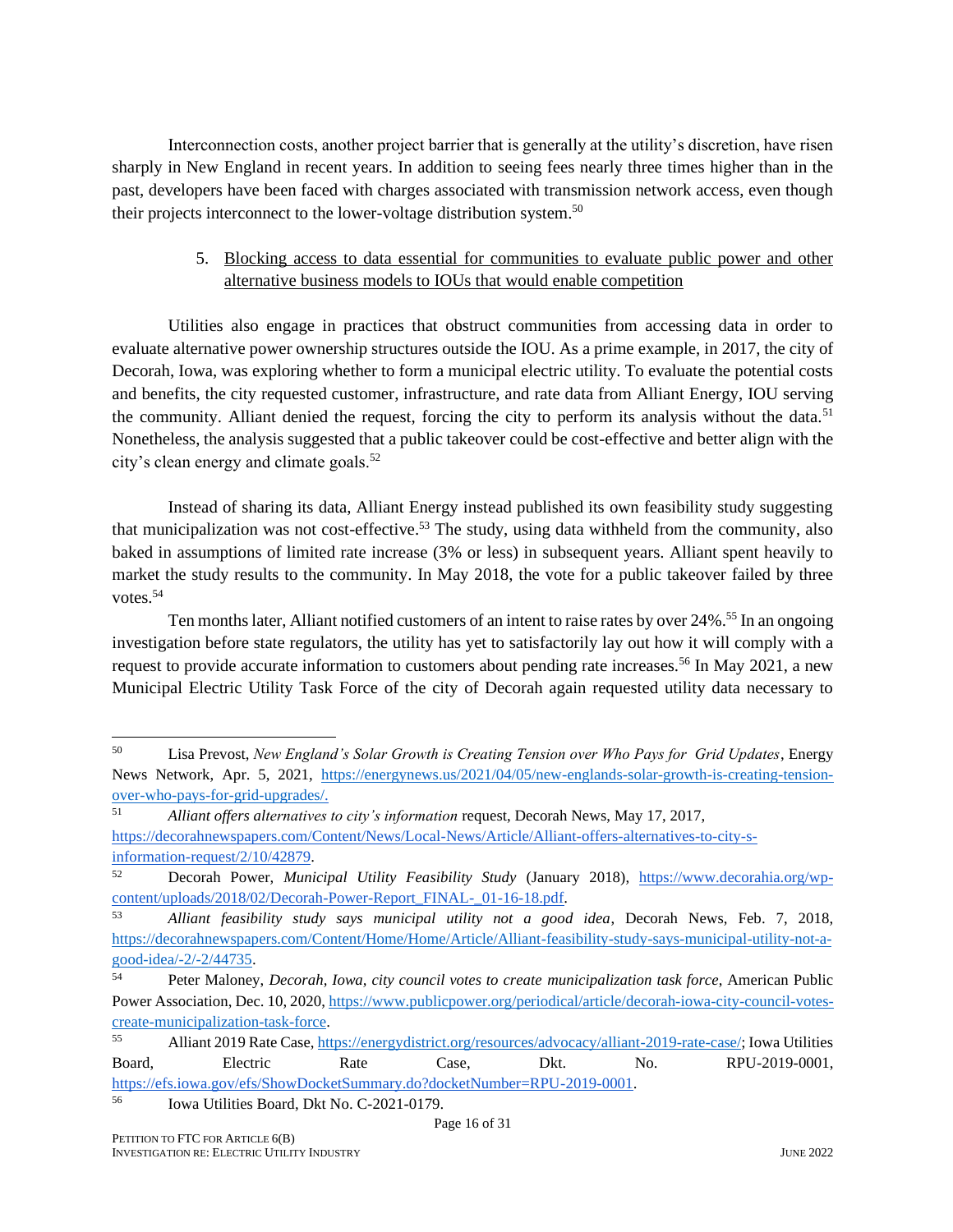Interconnection costs, another project barrier that is generally at the utility's discretion, have risen sharply in New England in recent years. In addition to seeing fees nearly three times higher than in the past, developers have been faced with charges associated with transmission network access, even though their projects interconnect to the lower-voltage distribution system.<sup>50</sup>

#### 5. Blocking access to data essential for communities to evaluate public power and other alternative business models to IOUs that would enable competition

Utilities also engage in practices that obstruct communities from accessing data in order to evaluate alternative power ownership structures outside the IOU. As a prime example, in 2017, the city of Decorah, Iowa, was exploring whether to form a municipal electric utility. To evaluate the potential costs and benefits, the city requested customer, infrastructure, and rate data from Alliant Energy, IOU serving the community. Alliant denied the request, forcing the city to perform its analysis without the data.<sup>51</sup> Nonetheless, the analysis suggested that a public takeover could be cost-effective and better align with the city's clean energy and climate goals.<sup>52</sup>

Instead of sharing its data, Alliant Energy instead published its own feasibility study suggesting that municipalization was not cost-effective.<sup>53</sup> The study, using data withheld from the community, also baked in assumptions of limited rate increase (3% or less) in subsequent years. Alliant spent heavily to market the study results to the community. In May 2018, the vote for a public takeover failed by three votes.<sup>54</sup>

Ten months later, Alliant notified customers of an intent to raise rates by over 24%.<sup>55</sup> In an ongoing investigation before state regulators, the utility has yet to satisfactorily lay out how it will comply with a request to provide accurate information to customers about pending rate increases.<sup>56</sup> In May 2021, a new Municipal Electric Utility Task Force of the city of Decorah again requested utility data necessary to

<sup>50</sup> Lisa Prevost, *New England's Solar Growth is Creating Tension over Who Pays for Grid Updates*, Energy News Network, Apr. 5, 2021, [https://energynews.us/2021/04/05/new-englands-solar-growth-is-creating-tension](https://energynews.us/2021/04/05/new-englands-solar-growth-is-creating-tension-over-who-pays-for-grid-upgrades/)[over-who-pays-for-grid-upgrades/.](https://energynews.us/2021/04/05/new-englands-solar-growth-is-creating-tension-over-who-pays-for-grid-upgrades/)

<sup>51</sup> *Alliant offers alternatives to city's information* request, Decorah News, May 17, 2017,

[https://decorahnewspapers.com/Content/News/Local-News/Article/Alliant-offers-alternatives-to-city-s](https://decorahnewspapers.com/Content/News/Local-News/Article/Alliant-offers-alternatives-to-city-s-information-request/2/10/42879)[information-request/2/10/42879.](https://decorahnewspapers.com/Content/News/Local-News/Article/Alliant-offers-alternatives-to-city-s-information-request/2/10/42879)

<sup>52</sup> Decorah Power, *Municipal Utility Feasibility Study* (January 2018), [https://www.decorahia.org/wp](https://www.decorahia.org/wp-content/uploads/2018/02/Decorah-Power-Report_FINAL-_01-16-18.pdf)[content/uploads/2018/02/Decorah-Power-Report\\_FINAL-\\_01-16-18.pdf.](https://www.decorahia.org/wp-content/uploads/2018/02/Decorah-Power-Report_FINAL-_01-16-18.pdf)

<sup>53</sup> *Alliant feasibility study says municipal utility not a good idea*, Decorah News, Feb. 7, 2018, [https://decorahnewspapers.com/Content/Home/Home/Article/Alliant-feasibility-study-says-municipal-utility-not-a](https://decorahnewspapers.com/Content/Home/Home/Article/Alliant-feasibility-study-says-municipal-utility-not-a-good-idea/-2/-2/44735)[good-idea/-2/-2/44735.](https://decorahnewspapers.com/Content/Home/Home/Article/Alliant-feasibility-study-says-municipal-utility-not-a-good-idea/-2/-2/44735)

<sup>54</sup> Peter Maloney, *Decorah, Iowa, city council votes to create municipalization task force*, American Public Power Association, Dec. 10, 2020[, https://www.publicpower.org/periodical/article/decorah-iowa-city-council-votes](https://www.publicpower.org/periodical/article/decorah-iowa-city-council-votes-create-municipalization-task-force)[create-municipalization-task-force.](https://www.publicpower.org/periodical/article/decorah-iowa-city-council-votes-create-municipalization-task-force)

<sup>55</sup> Alliant 2019 Rate Case[, https://energydistrict.org/resources/advocacy/alliant-2019-rate-case/;](https://energydistrict.org/resources/advocacy/alliant-2019-rate-case/) Iowa Utilities Board, Electric Rate Case, Dkt. No. RPU-2019-0001, [https://efs.iowa.gov/efs/ShowDocketSummary.do?docketNumber=RPU-2019-0001.](https://efs.iowa.gov/efs/ShowDocketSummary.do?docketNumber=RPU-2019-0001)

<sup>56</sup> Iowa Utilities Board, Dkt No. C-2021-0179.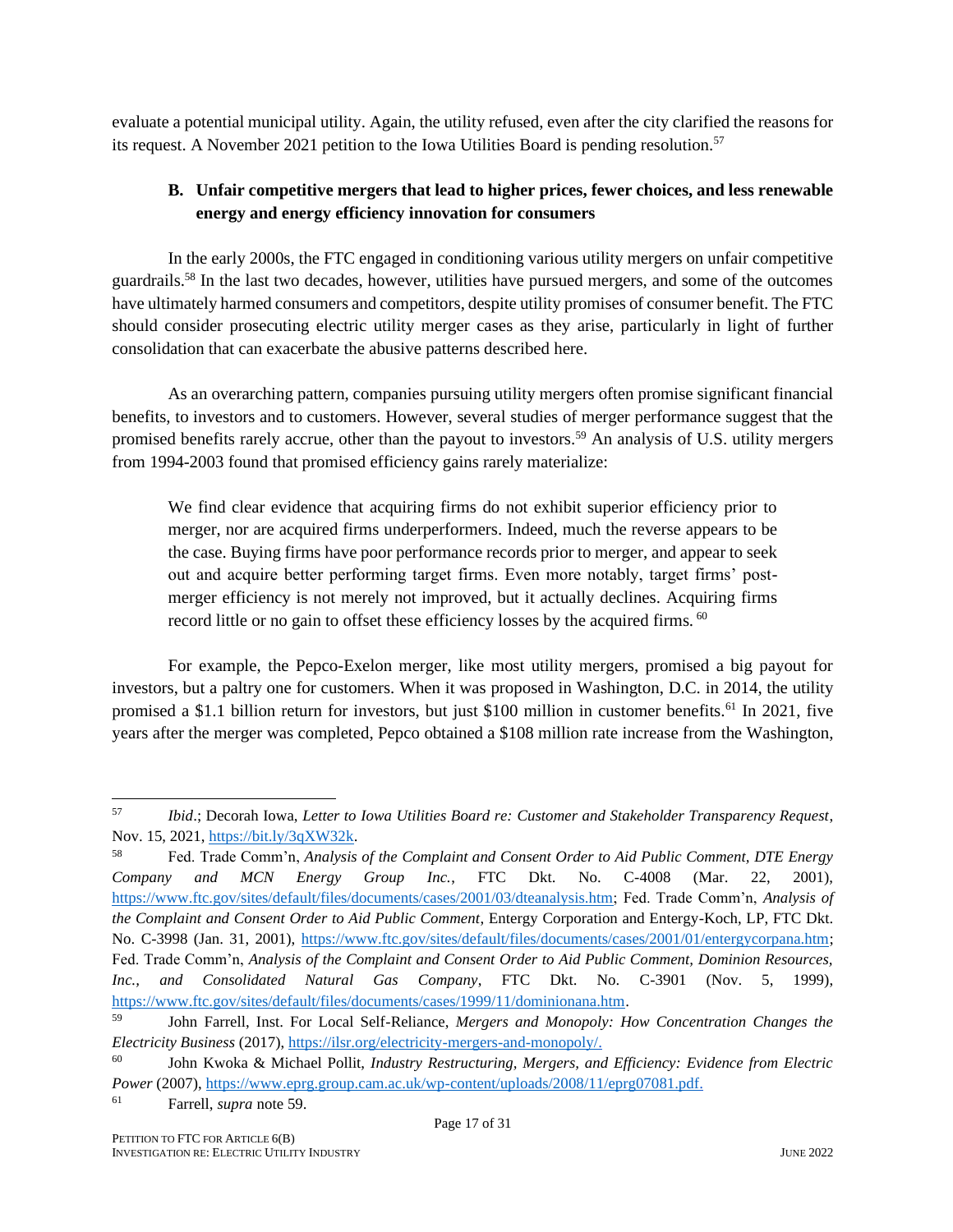evaluate a potential municipal utility. Again, the utility refused, even after the city clarified the reasons for its request. A November 2021 petition to the Iowa Utilities Board is pending resolution.<sup>57</sup>

#### **B. Unfair competitive mergers that lead to higher prices, fewer choices, and less renewable energy and energy efficiency innovation for consumers**

In the early 2000s, the FTC engaged in conditioning various utility mergers on unfair competitive guardrails.<sup>58</sup> In the last two decades, however, utilities have pursued mergers, and some of the outcomes have ultimately harmed consumers and competitors, despite utility promises of consumer benefit. The FTC should consider prosecuting electric utility merger cases as they arise, particularly in light of further consolidation that can exacerbate the abusive patterns described here.

As an overarching pattern, companies pursuing utility mergers often promise significant financial benefits, to investors and to customers. However, several studies of merger performance suggest that the promised benefits rarely accrue, other than the payout to investors.<sup>59</sup> An analysis of U.S. utility mergers from 1994-2003 found that promised efficiency gains rarely materialize:

<span id="page-17-0"></span>We find clear evidence that acquiring firms do not exhibit superior efficiency prior to merger, nor are acquired firms underperformers. Indeed, much the reverse appears to be the case. Buying firms have poor performance records prior to merger, and appear to seek out and acquire better performing target firms. Even more notably, target firms' postmerger efficiency is not merely not improved, but it actually declines. Acquiring firms record little or no gain to offset these efficiency losses by the acquired firms. <sup>60</sup>

For example, the Pepco-Exelon merger, like most utility mergers, promised a big payout for investors, but a paltry one for customers. When it was proposed in Washington, D.C. in 2014, the utility promised a \$1.1 billion return for investors, but just \$100 million in customer benefits.<sup>61</sup> In 2021, five years after the merger was completed, Pepco obtained a \$108 million rate increase from the Washington,

<sup>57</sup> *Ibid*.; Decorah Iowa, *Letter to Iowa Utilities Board re: Customer and Stakeholder Transparency Request*, Nov. 15, 2021, [https://bit.ly/3qXW32k.](https://bit.ly/3qXW32k) 

<sup>58</sup> Fed. Trade Comm'n, *Analysis of the Complaint and Consent Order to Aid Public Comment, DTE Energy Company and MCN Energy Group Inc.*, FTC Dkt. No. C-4008 (Mar. 22, 2001), [https://www.ftc.gov/sites/default/files/documents/cases/2001/03/dteanalysis.htm;](https://www.ftc.gov/sites/default/files/documents/cases/2001/03/dteanalysis.htm) Fed. Trade Comm'n, *Analysis of the Complaint and Consent Order to Aid Public Comment*, Entergy Corporation and Entergy-Koch, LP, FTC Dkt. No. C-3998 (Jan. 31, 2001), [https://www.ftc.gov/sites/default/files/documents/cases/2001/01/entergycorpana.htm;](https://www.ftc.gov/sites/default/files/documents/cases/2001/01/entergycorpana.htm) Fed. Trade Comm'n, *Analysis of the Complaint and Consent Order to Aid Public Comment, Dominion Resources, Inc., and Consolidated Natural Gas Company*, FTC Dkt. No. C-3901 (Nov. 5, 1999), [https://www.ftc.gov/sites/default/files/documents/cases/1999/11/dominionana.htm.](https://www.ftc.gov/sites/default/files/documents/cases/1999/11/dominionana.htm)

<sup>59</sup> John Farrell, Inst. For Local Self-Reliance, *Mergers and Monopoly: How Concentration Changes the Electricity Business* (2017), [https://ilsr.org/electricity-mergers-and-monopoly/.](https://ilsr.org/electricity-mergers-and-monopoly/)

<sup>60</sup> John Kwoka & Michael Pollit, *Industry Restructuring, Mergers, and Efficiency: Evidence from Electric Power* (2007), [https://www.eprg.group.cam.ac.uk/wp-content/uploads/2008/11/eprg07081.pdf.](https://www.eprg.group.cam.ac.uk/wp-content/uploads/2008/11/eprg07081.pdf)

<sup>61</sup> Farrell, *supra* not[e 59.](#page-17-0)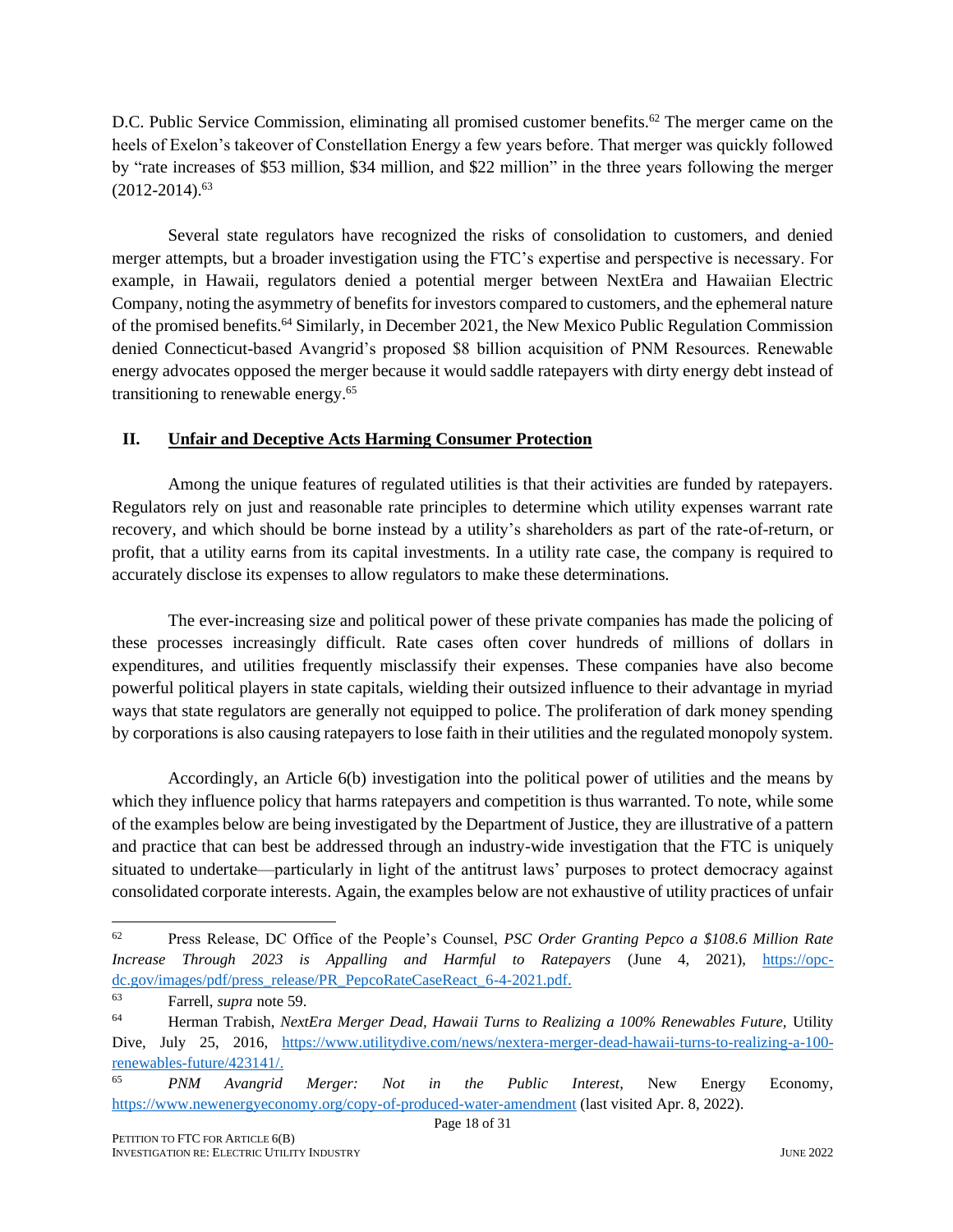D.C. Public Service Commission, eliminating all promised customer benefits.<sup>62</sup> The merger came on the heels of Exelon's takeover of Constellation Energy a few years before. That merger was quickly followed by "rate increases of \$53 million, \$34 million, and \$22 million" in the three years following the merger  $(2012-2014).$ <sup>63</sup>

Several state regulators have recognized the risks of consolidation to customers, and denied merger attempts, but a broader investigation using the FTC's expertise and perspective is necessary. For example, in Hawaii, regulators denied a potential merger between NextEra and Hawaiian Electric Company, noting the asymmetry of benefits for investors compared to customers, and the ephemeral nature of the promised benefits.<sup>64</sup> Similarly, in December 2021, the New Mexico Public Regulation Commission denied Connecticut-based Avangrid's proposed \$8 billion acquisition of PNM Resources. Renewable energy advocates opposed the merger because it would saddle ratepayers with dirty energy debt instead of transitioning to renewable energy.<sup>65</sup>

#### **II. Unfair and Deceptive Acts Harming Consumer Protection**

Among the unique features of regulated utilities is that their activities are funded by ratepayers. Regulators rely on just and reasonable rate principles to determine which utility expenses warrant rate recovery, and which should be borne instead by a utility's shareholders as part of the rate-of-return, or profit, that a utility earns from its capital investments. In a utility rate case, the company is required to accurately disclose its expenses to allow regulators to make these determinations.

The ever-increasing size and political power of these private companies has made the policing of these processes increasingly difficult. Rate cases often cover hundreds of millions of dollars in expenditures, and utilities frequently misclassify their expenses. These companies have also become powerful political players in state capitals, wielding their outsized influence to their advantage in myriad ways that state regulators are generally not equipped to police. The proliferation of dark money spending by corporations is also causing ratepayers to lose faith in their utilities and the regulated monopoly system.

Accordingly, an Article 6(b) investigation into the political power of utilities and the means by which they influence policy that harms ratepayers and competition is thus warranted. To note, while some of the examples below are being investigated by the Department of Justice, they are illustrative of a pattern and practice that can best be addressed through an industry-wide investigation that the FTC is uniquely situated to undertake—particularly in light of the antitrust laws' purposes to protect democracy against consolidated corporate interests. Again, the examples below are not exhaustive of utility practices of unfair

<sup>62</sup> Press Release, DC Office of the People's Counsel, *PSC Order Granting Pepco a \$108.6 Million Rate Increase Through 2023 is Appalling and Harmful to Ratepayers* (June 4, 2021), [https://opc](https://opc-dc.gov/images/pdf/press_release/PR_PepcoRateCaseReact_6-4-2021.pdf)[dc.gov/images/pdf/press\\_release/PR\\_PepcoRateCaseReact\\_6-4-2021.pdf.](https://opc-dc.gov/images/pdf/press_release/PR_PepcoRateCaseReact_6-4-2021.pdf)

<sup>63</sup> Farrell, *supra* not[e 59.](#page-17-0)

<sup>64</sup> Herman Trabish, *NextEra Merger Dead, Hawaii Turns to Realizing a 100% Renewables Future,* Utility Dive, July 25, 2016, [https://www.utilitydive.com/news/nextera-merger-dead-hawaii-turns-to-realizing-a-100](https://www.utilitydive.com/news/nextera-merger-dead-hawaii-turns-to-realizing-a-100-renewables-future/423141/) [renewables-future/423141/.](https://www.utilitydive.com/news/nextera-merger-dead-hawaii-turns-to-realizing-a-100-renewables-future/423141/)

<sup>65</sup> *PNM Avangrid Merger: Not in the Public Interest*, New Energy Economy, <https://www.newenergyeconomy.org/copy-of-produced-water-amendment> (last visited Apr. 8, 2022).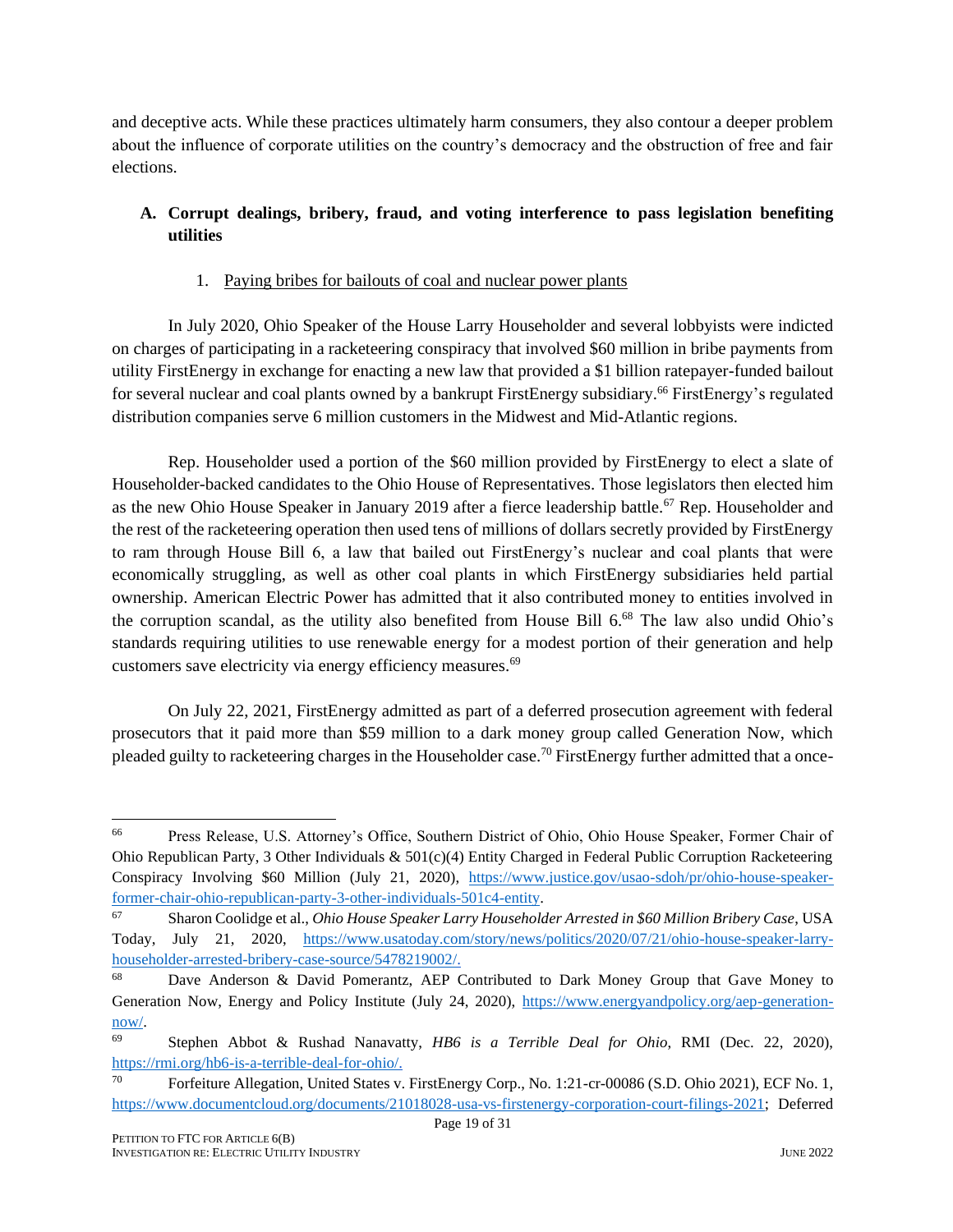and deceptive acts. While these practices ultimately harm consumers, they also contour a deeper problem about the influence of corporate utilities on the country's democracy and the obstruction of free and fair elections.

### **A. Corrupt dealings, bribery, fraud, and voting interference to pass legislation benefiting utilities**

#### 1. Paying bribes for bailouts of coal and nuclear power plants

In July 2020, Ohio Speaker of the House Larry Householder and several lobbyists were indicted on charges of participating in a racketeering conspiracy that involved \$60 million in bribe payments from utility FirstEnergy in exchange for enacting a new law that provided a \$1 billion ratepayer-funded bailout for several nuclear and coal plants owned by a bankrupt FirstEnergy subsidiary.<sup>66</sup> FirstEnergy's regulated distribution companies serve 6 million customers in the Midwest and Mid-Atlantic regions.

Rep. Householder used a portion of the \$60 million provided by FirstEnergy to elect a slate of Householder-backed candidates to the Ohio House of Representatives. Those legislators then elected him as the new Ohio House Speaker in January 2019 after a fierce leadership battle.<sup>67</sup> Rep. Householder and the rest of the racketeering operation then used tens of millions of dollars secretly provided by FirstEnergy to ram through House Bill 6, a law that bailed out FirstEnergy's nuclear and coal plants that were economically struggling, as well as other coal plants in which FirstEnergy subsidiaries held partial ownership. American Electric Power has admitted that it also contributed money to entities involved in the corruption scandal, as the utility also benefited from House Bill 6.<sup>68</sup> The law also undid Ohio's standards requiring utilities to use renewable energy for a modest portion of their generation and help customers save electricity via energy efficiency measures.<sup>69</sup>

On July 22, 2021, FirstEnergy admitted as part of a deferred prosecution agreement with federal prosecutors that it paid more than \$59 million to a dark money group called Generation Now, which pleaded guilty to racketeering charges in the Householder case.<sup>70</sup> FirstEnergy further admitted that a once-

<sup>66</sup> Press Release, U.S. Attorney's Office, Southern District of Ohio, Ohio House Speaker, Former Chair of Ohio Republican Party, 3 Other Individuals  $& 501(c)(4)$  Entity Charged in Federal Public Corruption Racketeering Conspiracy Involving \$60 Million (July 21, 2020), [https://www.justice.gov/usao-sdoh/pr/ohio-house-speaker](https://www.justice.gov/usao-sdoh/pr/ohio-house-speaker-former-chair-ohio-republican-party-3-other-individuals-501c4-entity)[former-chair-ohio-republican-party-3-other-individuals-501c4-entity.](https://www.justice.gov/usao-sdoh/pr/ohio-house-speaker-former-chair-ohio-republican-party-3-other-individuals-501c4-entity)

<sup>67</sup> Sharon Coolidge et al., *Ohio House Speaker Larry Householder Arrested in \$60 Million Bribery Case*, USA Today, July 21, 2020, [https://www.usatoday.com/story/news/politics/2020/07/21/ohio-house-speaker-larry](https://www.usatoday.com/story/news/politics/2020/07/21/ohio-house-speaker-larry-householder-arrested-bribery-case-source/5478219002/)[householder-arrested-bribery-case-source/5478219002/.](https://www.usatoday.com/story/news/politics/2020/07/21/ohio-house-speaker-larry-householder-arrested-bribery-case-source/5478219002/)

<sup>68</sup> Dave Anderson & David Pomerantz, AEP Contributed to Dark Money Group that Gave Money to Generation Now, Energy and Policy Institute (July 24, 2020), [https://www.energyandpolicy.org/aep-generation](https://www.energyandpolicy.org/aep-generation-now/)[now/.](https://www.energyandpolicy.org/aep-generation-now/)

<sup>69</sup> Stephen Abbot & Rushad Nanavatty, *HB6 is a Terrible Deal for Ohio*, RMI (Dec. 22, 2020), [https://rmi.org/hb6-is-a-terrible-deal-for-ohio/.](https://rmi.org/hb6-is-a-terrible-deal-for-ohio/)

<sup>70</sup> Forfeiture Allegation, United States v. FirstEnergy Corp., No. 1:21-cr-00086 (S.D. Ohio 2021), ECF No. 1, [https://www.documentcloud.org/documents/21018028-usa-vs-firstenergy-corporation-court-filings-2021;](https://www.documentcloud.org/documents/21018028-usa-vs-firstenergy-corporation-court-filings-2021) Deferred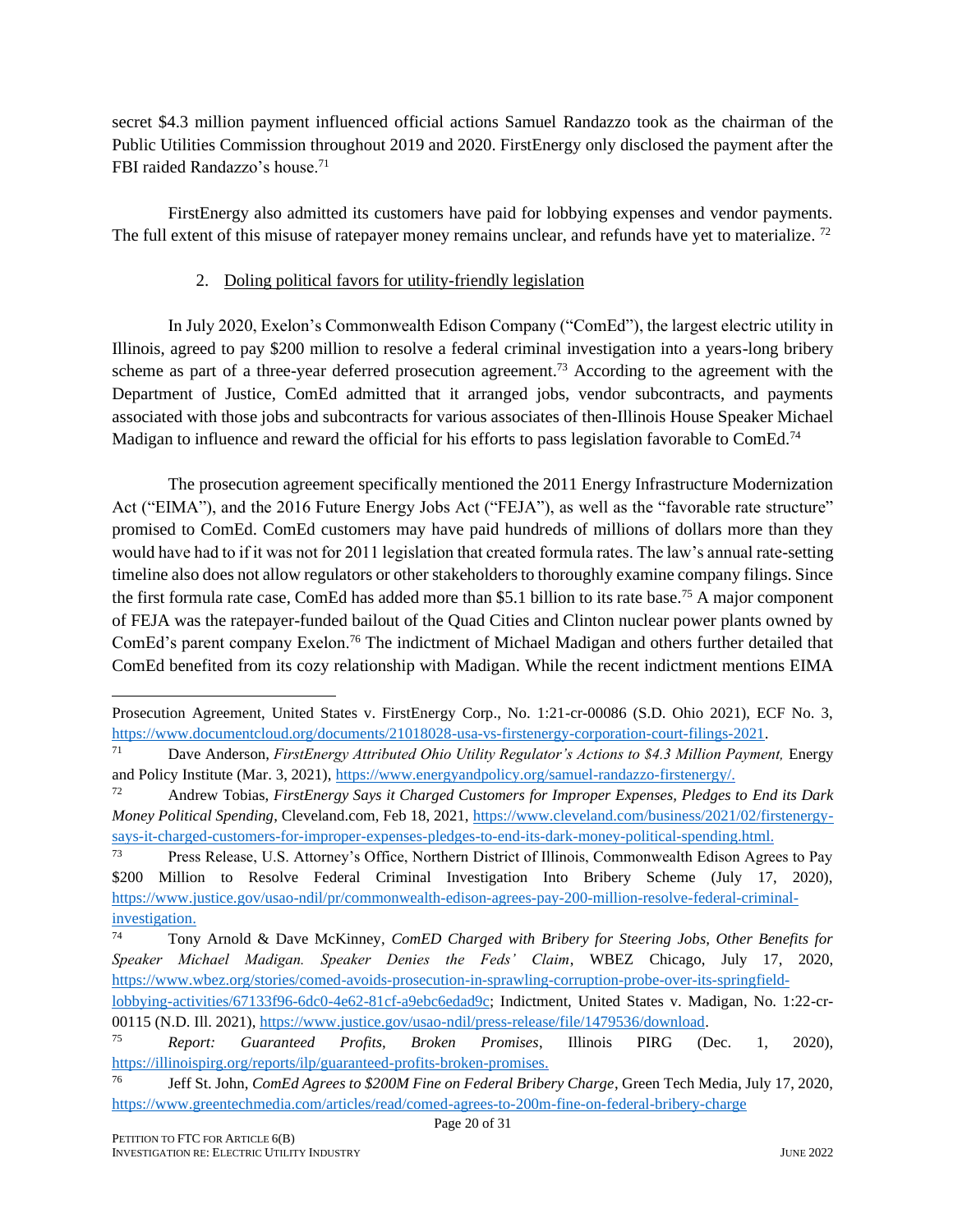secret \$4.3 million payment influenced official actions Samuel Randazzo took as the chairman of the Public Utilities Commission throughout 2019 and 2020. FirstEnergy only disclosed the payment after the FBI raided Randazzo's house.<sup>71</sup>

FirstEnergy also admitted its customers have paid for lobbying expenses and vendor payments. The full extent of this misuse of ratepayer money remains unclear, and refunds have yet to materialize.<sup>72</sup>

#### 2. Doling political favors for utility-friendly legislation

In July 2020, Exelon's Commonwealth Edison Company ("ComEd"), the largest electric utility in Illinois, agreed to pay \$200 million to resolve a federal criminal investigation into a years-long bribery scheme as part of a three-year deferred prosecution agreement.<sup>73</sup> According to the agreement with the Department of Justice, ComEd admitted that it arranged jobs, vendor subcontracts, and payments associated with those jobs and subcontracts for various associates of then-Illinois House Speaker Michael Madigan to influence and reward the official for his efforts to pass legislation favorable to ComEd.<sup>74</sup>

The prosecution agreement specifically mentioned the 2011 Energy Infrastructure Modernization Act ("EIMA"), and the 2016 Future Energy Jobs Act ("FEJA"), as well as the "favorable rate structure" promised to ComEd. ComEd customers may have paid hundreds of millions of dollars more than they would have had to if it was not for 2011 legislation that created formula rates. The law's annual rate-setting timeline also does not allow regulators or other stakeholders to thoroughly examine company filings. Since the first formula rate case, ComEd has added more than \$5.1 billion to its rate base.<sup>75</sup> A major component of FEJA was the ratepayer-funded bailout of the Quad Cities and Clinton nuclear power plants owned by ComEd's parent company Exelon.<sup>76</sup> The indictment of Michael Madigan and others further detailed that ComEd benefited from its cozy relationship with Madigan. While the recent indictment mentions EIMA

Prosecution Agreement, United States v. FirstEnergy Corp., No. 1:21-cr-00086 (S.D. Ohio 2021), ECF No. 3, [https://www.documentcloud.org/documents/21018028-usa-vs-firstenergy-corporation-court-filings-2021.](https://www.documentcloud.org/documents/21018028-usa-vs-firstenergy-corporation-court-filings-2021)

<sup>71</sup> Dave Anderson, *FirstEnergy Attributed Ohio Utility Regulator's Actions to \$4.3 Million Payment,* Energy and Policy Institute (Mar. 3, 2021)[, https://www.energyandpolicy.org/samuel-randazzo-firstenergy/.](https://www.energyandpolicy.org/samuel-randazzo-firstenergy/)

<sup>72</sup> Andrew Tobias, *FirstEnergy Says it Charged Customers for Improper Expenses, Pledges to End its Dark Money Political Spending*, Cleveland.com, Feb 18, 2021, [https://www.cleveland.com/business/2021/02/firstenergy](https://www.cleveland.com/business/2021/02/firstenergy-says-it-charged-customers-for-improper-expenses-pledges-to-end-its-dark-money-political-spending.html)[says-it-charged-customers-for-improper-expenses-pledges-to-end-its-dark-money-political-spending.html.](https://www.cleveland.com/business/2021/02/firstenergy-says-it-charged-customers-for-improper-expenses-pledges-to-end-its-dark-money-political-spending.html)

<sup>73</sup> Press Release, U.S. Attorney's Office, Northern District of Illinois, Commonwealth Edison Agrees to Pay \$200 Million to Resolve Federal Criminal Investigation Into Bribery Scheme (July 17, 2020), [https://www.justice.gov/usao-ndil/pr/commonwealth-edison-agrees-pay-200-million-resolve-federal-criminal](https://www.justice.gov/usao-ndil/pr/commonwealth-edison-agrees-pay-200-million-resolve-federal-criminal-investigation)[investigation.](https://www.justice.gov/usao-ndil/pr/commonwealth-edison-agrees-pay-200-million-resolve-federal-criminal-investigation) 

<sup>74</sup> Tony Arnold & Dave McKinney, *ComED Charged with Bribery for Steering Jobs, Other Benefits for Speaker Michael Madigan. Speaker Denies the Feds' Claim*, WBEZ Chicago, July 17, 2020, [https://www.wbez.org/stories/comed-avoids-prosecution-in-sprawling-corruption-probe-over-its-springfield-](https://www.wbez.org/stories/comed-avoids-prosecution-in-sprawling-corruption-probe-over-its-springfield-lobbying-activities/67133f96-6dc0-4e62-81cf-a9ebc6edad9c)

[lobbying-activities/67133f96-6dc0-4e62-81cf-a9ebc6edad9c;](https://www.wbez.org/stories/comed-avoids-prosecution-in-sprawling-corruption-probe-over-its-springfield-lobbying-activities/67133f96-6dc0-4e62-81cf-a9ebc6edad9c) Indictment, United States v. Madigan, No. 1:22-cr-00115 (N.D. Ill. 2021), [https://www.justice.gov/usao-ndil/press-release/file/1479536/download.](https://www.justice.gov/usao-ndil/press-release/file/1479536/download)

<sup>75</sup> *Report: Guaranteed Profits, Broken Promises*, Illinois PIRG (Dec. 1, 2020), [https://illinoispirg.org/reports/ilp/guaranteed-profits-broken-promises.](https://illinoispirg.org/reports/ilp/guaranteed-profits-broken-promises)

<sup>76</sup> Jeff St. John, *ComEd Agrees to \$200M Fine on Federal Bribery Charge*, Green Tech Media, July 17, 2020, <https://www.greentechmedia.com/articles/read/comed-agrees-to-200m-fine-on-federal-bribery-charge>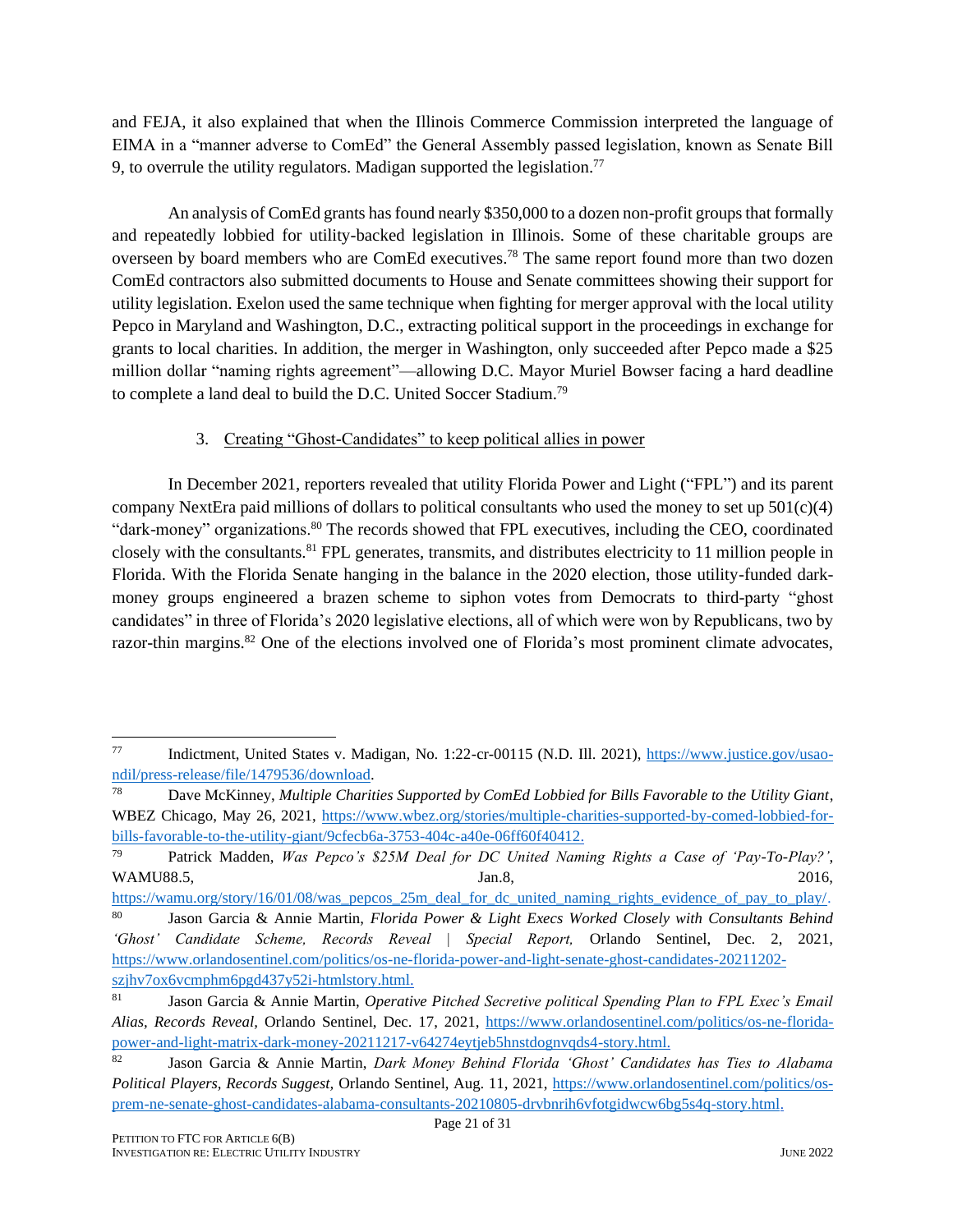and FEJA, it also explained that when the Illinois Commerce Commission interpreted the language of EIMA in a "manner adverse to ComEd" the General Assembly passed legislation, known as Senate Bill 9, to overrule the utility regulators. Madigan supported the legislation.<sup>77</sup>

An analysis of ComEd grants has found nearly \$350,000 to a dozen non-profit groups that formally and repeatedly lobbied for utility-backed legislation in Illinois. Some of these charitable groups are overseen by board members who are ComEd executives.<sup>78</sup> The same report found more than two dozen ComEd contractors also submitted documents to House and Senate committees showing their support for utility legislation. Exelon used the same technique when fighting for merger approval with the local utility Pepco in Maryland and Washington, D.C., extracting political support in the proceedings in exchange for grants to local charities. In addition, the merger in Washington, only succeeded after Pepco made a \$25 million dollar "naming rights agreement"—allowing D.C. Mayor Muriel Bowser facing a hard deadline to complete a land deal to build the D.C. United Soccer Stadium.<sup>79</sup>

#### 3. Creating "Ghost-Candidates" to keep political allies in power

In December 2021, reporters revealed that utility Florida Power and Light ("FPL") and its parent company NextEra paid millions of dollars to political consultants who used the money to set up  $501(c)(4)$ "dark-money" organizations.<sup>80</sup> The records showed that FPL executives, including the CEO, coordinated closely with the consultants.<sup>81</sup> FPL generates, transmits, and distributes electricity to 11 million people in Florida. With the Florida Senate hanging in the balance in the 2020 election, those utility-funded darkmoney groups engineered a brazen scheme to siphon votes from Democrats to third-party "ghost candidates" in three of Florida's 2020 legislative elections, all of which were won by Republicans, two by razor-thin margins.<sup>82</sup> One of the elections involved one of Florida's most prominent climate advocates,

<sup>77</sup> Indictment, United States v. Madigan, No. 1:22-cr-00115 (N.D. Ill. 2021), [https://www.justice.gov/usao](https://www.justice.gov/usao-ndil/press-release/file/1479536/download)[ndil/press-release/file/1479536/download.](https://www.justice.gov/usao-ndil/press-release/file/1479536/download)

<sup>78</sup> Dave McKinney, *Multiple Charities Supported by ComEd Lobbied for Bills Favorable to the Utility Giant*, WBEZ Chicago, May 26, 2021, [https://www.wbez.org/stories/multiple-charities-supported-by-comed-lobbied-for](https://www.wbez.org/stories/multiple-charities-supported-by-comed-lobbied-for-bills-favorable-to-the-utility-giant/9cfecb6a-3753-404c-a40e-06ff60f40412)[bills-favorable-to-the-utility-giant/9cfecb6a-3753-404c-a40e-06ff60f40412.](https://www.wbez.org/stories/multiple-charities-supported-by-comed-lobbied-for-bills-favorable-to-the-utility-giant/9cfecb6a-3753-404c-a40e-06ff60f40412)

<sup>79</sup> Patrick Madden, *Was Pepco's \$25M Deal for DC United Naming Rights a Case of 'Pay-To-Play?'*, WAMU88.5, 2016, Jan.8, 2016,

[https://wamu.org/story/16/01/08/was\\_pepcos\\_25m\\_deal\\_for\\_dc\\_united\\_naming\\_rights\\_evidence\\_of\\_pay\\_to\\_play/.](https://wamu.org/story/16/01/08/was_pepcos_25m_deal_for_dc_united_naming_rights_evidence_of_pay_to_play/)

<sup>80</sup> Jason Garcia & Annie Martin, *Florida Power & Light Execs Worked Closely with Consultants Behind 'Ghost' Candidate Scheme, Records Reveal | Special Report,* Orlando Sentinel, Dec. 2, 2021, [https://www.orlandosentinel.com/politics/os-ne-florida-power-and-light-senate-ghost-candidates-20211202](https://www.orlandosentinel.com/politics/os-ne-florida-power-and-light-senate-ghost-candidates-20211202-szjhv7ox6vcmphm6pgd437y52i-htmlstory.html) [szjhv7ox6vcmphm6pgd437y52i-htmlstory.html.](https://www.orlandosentinel.com/politics/os-ne-florida-power-and-light-senate-ghost-candidates-20211202-szjhv7ox6vcmphm6pgd437y52i-htmlstory.html)

<sup>81</sup> Jason Garcia & Annie Martin, *Operative Pitched Secretive political Spending Plan to FPL Exec's Email Alias, Records Reveal,* Orlando Sentinel, Dec. 17, 2021, [https://www.orlandosentinel.com/politics/os-ne-florida](https://www.orlandosentinel.com/politics/os-ne-florida-power-and-light-matrix-dark-money-20211217-v64274eytjeb5hnstdognvqds4-story.html)[power-and-light-matrix-dark-money-20211217-v64274eytjeb5hnstdognvqds4-story.html.](https://www.orlandosentinel.com/politics/os-ne-florida-power-and-light-matrix-dark-money-20211217-v64274eytjeb5hnstdognvqds4-story.html)

<sup>82</sup> Jason Garcia & Annie Martin, *Dark Money Behind Florida 'Ghost' Candidates has Ties to Alabama Political Players, Records Suggest,* Orlando Sentinel, Aug. 11, 2021, [https://www.orlandosentinel.com/politics/os](https://www.orlandosentinel.com/politics/os-prem-ne-senate-ghost-candidates-alabama-consultants-20210805-drvbnrih6vfotgidwcw6bg5s4q-story.html)[prem-ne-senate-ghost-candidates-alabama-consultants-20210805-drvbnrih6vfotgidwcw6bg5s4q-story.html.](https://www.orlandosentinel.com/politics/os-prem-ne-senate-ghost-candidates-alabama-consultants-20210805-drvbnrih6vfotgidwcw6bg5s4q-story.html)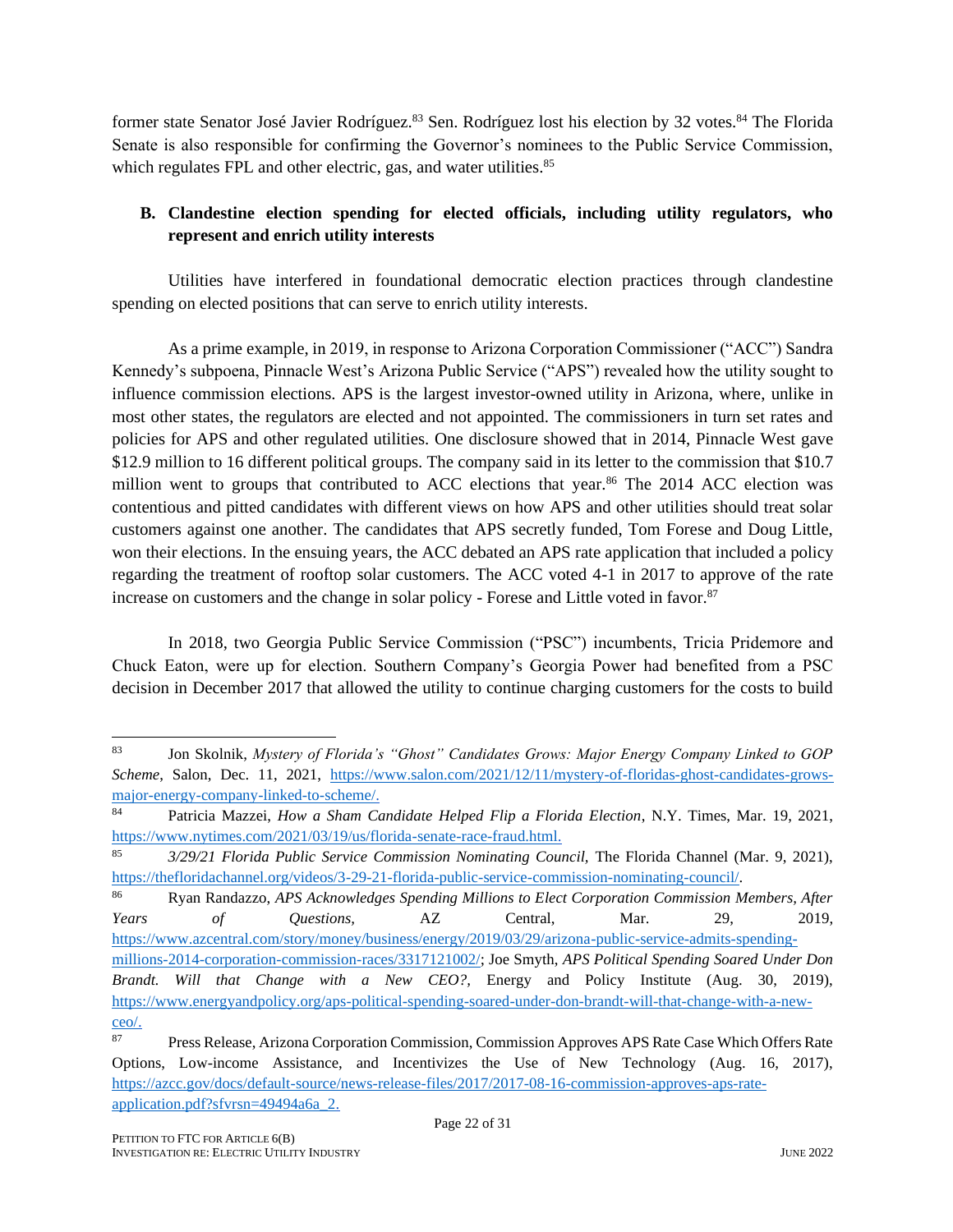former state Senator José Javier Rodríguez.<sup>83</sup> Sen. Rodríguez lost his election by 32 votes.<sup>84</sup> The Florida Senate is also responsible for confirming the Governor's nominees to the Public Service Commission, which regulates FPL and other electric, gas, and water utilities.<sup>85</sup>

### **B. Clandestine election spending for elected officials, including utility regulators, who represent and enrich utility interests**

Utilities have interfered in foundational democratic election practices through clandestine spending on elected positions that can serve to enrich utility interests.

As a prime example, in 2019, in response to Arizona Corporation Commissioner ("ACC") Sandra Kennedy's subpoena, Pinnacle West's Arizona Public Service ("APS") revealed how the utility sought to influence commission elections. APS is the largest investor-owned utility in Arizona, where, unlike in most other states, the regulators are elected and not appointed. The commissioners in turn set rates and policies for APS and other regulated utilities. One disclosure showed that in 2014, Pinnacle West gave \$12.9 million to 16 different political groups. The company said in its letter to the commission that \$10.7 million went to groups that contributed to ACC elections that year.<sup>86</sup> The 2014 ACC election was contentious and pitted candidates with different views on how APS and other utilities should treat solar customers against one another. The candidates that APS secretly funded, Tom Forese and Doug Little, won their elections. In the ensuing years, the ACC debated an APS rate application that included a policy regarding the treatment of rooftop solar customers. The ACC voted 4-1 in 2017 to approve of the rate increase on customers and the change in solar policy - Forese and Little voted in favor.<sup>87</sup>

In 2018, two Georgia Public Service Commission ("PSC") incumbents, Tricia Pridemore and Chuck Eaton, were up for election. Southern Company's Georgia Power had benefited from a PSC decision in December 2017 that allowed the utility to continue charging customers for the costs to build

<sup>83</sup> Jon Skolnik, *Mystery of Florida's "Ghost" Candidates Grows: Major Energy Company Linked to GOP Scheme*, Salon, Dec. 11, 2021, [https://www.salon.com/2021/12/11/mystery-of-floridas-ghost-candidates-grows](https://www.salon.com/2021/12/11/mystery-of-floridas-ghost-candidates-grows-major-energy-company-linked-to-scheme/)[major-energy-company-linked-to-scheme/.](https://www.salon.com/2021/12/11/mystery-of-floridas-ghost-candidates-grows-major-energy-company-linked-to-scheme/)

<sup>84</sup> Patricia Mazzei, *How a Sham Candidate Helped Flip a Florida Election*, N.Y. Times, Mar. 19, 2021, [https://www.nytimes.com/2021/03/19/us/florida-senate-race-fraud.html.](https://www.nytimes.com/2021/03/19/us/florida-senate-race-fraud.html)

<sup>85</sup> *3/29/21 Florida Public Service Commission Nominating Council,* The Florida Channel (Mar. 9, 2021), [https://thefloridachannel.org/videos/3-29-21-florida-public-service-commission-nominating-council/.](https://thefloridachannel.org/videos/3-29-21-florida-public-service-commission-nominating-council/)

<sup>86</sup> Ryan Randazzo, *APS Acknowledges Spending Millions to Elect Corporation Commission Members, After Years of Questions,* AZ Central, Mar. 29, 2019, [https://www.azcentral.com/story/money/business/energy/2019/03/29/arizona-public-service-admits-spending-](https://www.azcentral.com/story/money/business/energy/2019/03/29/arizona-public-service-admits-spending-millions-2014-corporation-commission-races/3317121002/)

[millions-2014-corporation-commission-races/3317121002/;](https://www.azcentral.com/story/money/business/energy/2019/03/29/arizona-public-service-admits-spending-millions-2014-corporation-commission-races/3317121002/) Joe Smyth, *APS Political Spending Soared Under Don Brandt. Will that Change with a New CEO?,* Energy and Policy Institute (Aug. 30, 2019), [https://www.energyandpolicy.org/aps-political-spending-soared-under-don-brandt-will-that-change-with-a-new](https://www.energyandpolicy.org/aps-political-spending-soared-under-don-brandt-will-that-change-with-a-new-ceo/)[ceo/.](https://www.energyandpolicy.org/aps-political-spending-soared-under-don-brandt-will-that-change-with-a-new-ceo/)

<sup>87</sup> Press Release, Arizona Corporation Commission, Commission Approves APS Rate Case Which Offers Rate Options, Low-income Assistance, and Incentivizes the Use of New Technology (Aug. 16, 2017), [https://azcc.gov/docs/default-source/news-release-files/2017/2017-08-16-commission-approves-aps-rate](https://azcc.gov/docs/default-source/news-release-files/2017/2017-08-16-commission-approves-aps-rate-application.pdf?sfvrsn=49494a6a_2)[application.pdf?sfvrsn=49494a6a\\_2.](https://azcc.gov/docs/default-source/news-release-files/2017/2017-08-16-commission-approves-aps-rate-application.pdf?sfvrsn=49494a6a_2)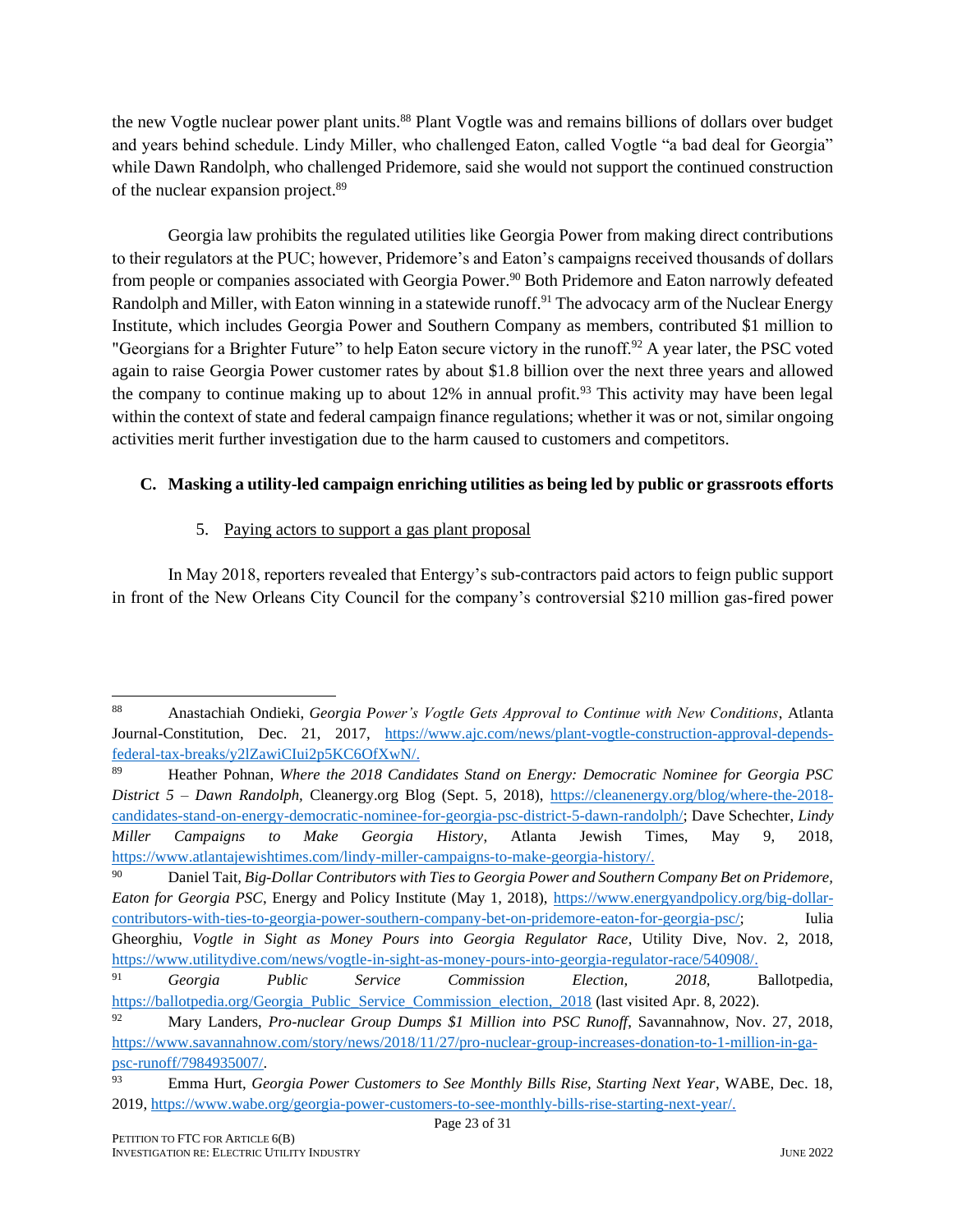the new Vogtle nuclear power plant units.<sup>88</sup> Plant Vogtle was and remains billions of dollars over budget and years behind schedule. Lindy Miller, who challenged Eaton, called Vogtle "a bad deal for Georgia" while Dawn Randolph, who challenged Pridemore, said she would not support the continued construction of the nuclear expansion project.<sup>89</sup>

Georgia law prohibits the regulated utilities like Georgia Power from making direct contributions to their regulators at the PUC; however, Pridemore's and Eaton's campaigns received thousands of dollars from people or companies associated with Georgia Power.<sup>90</sup> Both Pridemore and Eaton narrowly defeated Randolph and Miller, with Eaton winning in a statewide runoff.<sup>91</sup> The advocacy arm of the Nuclear Energy Institute, which includes Georgia Power and Southern Company as members, contributed \$1 million to "Georgians for a Brighter Future" to help Eaton secure victory in the runoff.<sup>92</sup> A year later, the PSC voted again to raise Georgia Power customer rates by about \$1.8 billion over the next three years and allowed the company to continue making up to about  $12\%$  in annual profit.<sup>93</sup> This activity may have been legal within the context of state and federal campaign finance regulations; whether it was or not, similar ongoing activities merit further investigation due to the harm caused to customers and competitors.

#### **C. Masking a utility-led campaign enriching utilities as being led by public or grassroots efforts**

#### 5. Paying actors to support a gas plant proposal

In May 2018, reporters revealed that Entergy's sub-contractors paid actors to feign public support in front of the New Orleans City Council for the company's controversial \$210 million gas-fired power

<sup>88</sup> Anastachiah Ondieki, *Georgia Power's Vogtle Gets Approval to Continue with New Conditions*, Atlanta Journal-Constitution, Dec. 21, 2017, [https://www.ajc.com/news/plant-vogtle-construction-approval-depends](https://www.ajc.com/news/plant-vogtle-construction-approval-depends-federal-tax-breaks/y2lZawiCIui2p5KC6OfXwN/)[federal-tax-breaks/y2lZawiCIui2p5KC6OfXwN/.](https://www.ajc.com/news/plant-vogtle-construction-approval-depends-federal-tax-breaks/y2lZawiCIui2p5KC6OfXwN/)

<sup>89</sup> Heather Pohnan, *Where the 2018 Candidates Stand on Energy: Democratic Nominee for Georgia PSC District 5 – Dawn Randolph,* Cleanergy.org Blog (Sept. 5, 2018), [https://cleanenergy.org/blog/where-the-2018](https://cleanenergy.org/blog/where-the-2018-candidates-stand-on-energy-democratic-nominee-for-georgia-psc-district-5-dawn-randolph/) [candidates-stand-on-energy-democratic-nominee-for-georgia-psc-district-5-dawn-randolph/;](https://cleanenergy.org/blog/where-the-2018-candidates-stand-on-energy-democratic-nominee-for-georgia-psc-district-5-dawn-randolph/) Dave Schechter, *Lindy Miller Campaigns to Make Georgia History*, Atlanta Jewish Times, May 9, 2018, [https://www.atlantajewishtimes.com/lindy-miller-campaigns-to-make-georgia-history/.](https://www.atlantajewishtimes.com/lindy-miller-campaigns-to-make-georgia-history/)

<sup>90</sup> Daniel Tait, *Big-Dollar Contributors with Ties to Georgia Power and Southern Company Bet on Pridemore, Eaton for Georgia PSC*, Energy and Policy Institute (May 1, 2018), [https://www.energyandpolicy.org/big-dollar](https://www.energyandpolicy.org/big-dollar-contributors-with-ties-to-georgia-power-southern-company-bet-on-pridemore-eaton-for-georgia-psc/)[contributors-with-ties-to-georgia-power-southern-company-bet-on-pridemore-eaton-for-georgia-psc/;](https://www.energyandpolicy.org/big-dollar-contributors-with-ties-to-georgia-power-southern-company-bet-on-pridemore-eaton-for-georgia-psc/) Iulia Gheorghiu, *Vogtle in Sight as Money Pours into Georgia Regulator Race*, Utility Dive, Nov. 2, 2018, [https://www.utilitydive.com/news/vogtle-in-sight-as-money-pours-into-georgia-regulator-race/540908/.](https://www.utilitydive.com/news/vogtle-in-sight-as-money-pours-into-georgia-regulator-race/540908/)

<sup>91</sup> *Georgia Public Service Commission Election, 2018,* Ballotpedia, [https://ballotpedia.org/Georgia\\_Public\\_Service\\_Commission\\_election,\\_2018](https://ballotpedia.org/Georgia_Public_Service_Commission_election,_2018) (last visited Apr. 8, 2022).

<sup>92</sup> Mary Landers, *Pro-nuclear Group Dumps \$1 Million into PSC Runoff*, Savannahnow, Nov. 27, 2018, [https://www.savannahnow.com/story/news/2018/11/27/pro-nuclear-group-increases-donation-to-1-million-in-ga](https://www.savannahnow.com/story/news/2018/11/27/pro-nuclear-group-increases-donation-to-1-million-in-ga-psc-runoff/7984935007/)[psc-runoff/7984935007/.](https://www.savannahnow.com/story/news/2018/11/27/pro-nuclear-group-increases-donation-to-1-million-in-ga-psc-runoff/7984935007/)

Page 23 of 31 <sup>93</sup> Emma Hurt, *Georgia Power Customers to See Monthly Bills Rise, Starting Next Year*, WABE, Dec. 18, 2019, [https://www.wabe.org/georgia-power-customers-to-see-monthly-bills-rise-starting-next-year/.](https://www.wabe.org/georgia-power-customers-to-see-monthly-bills-rise-starting-next-year/)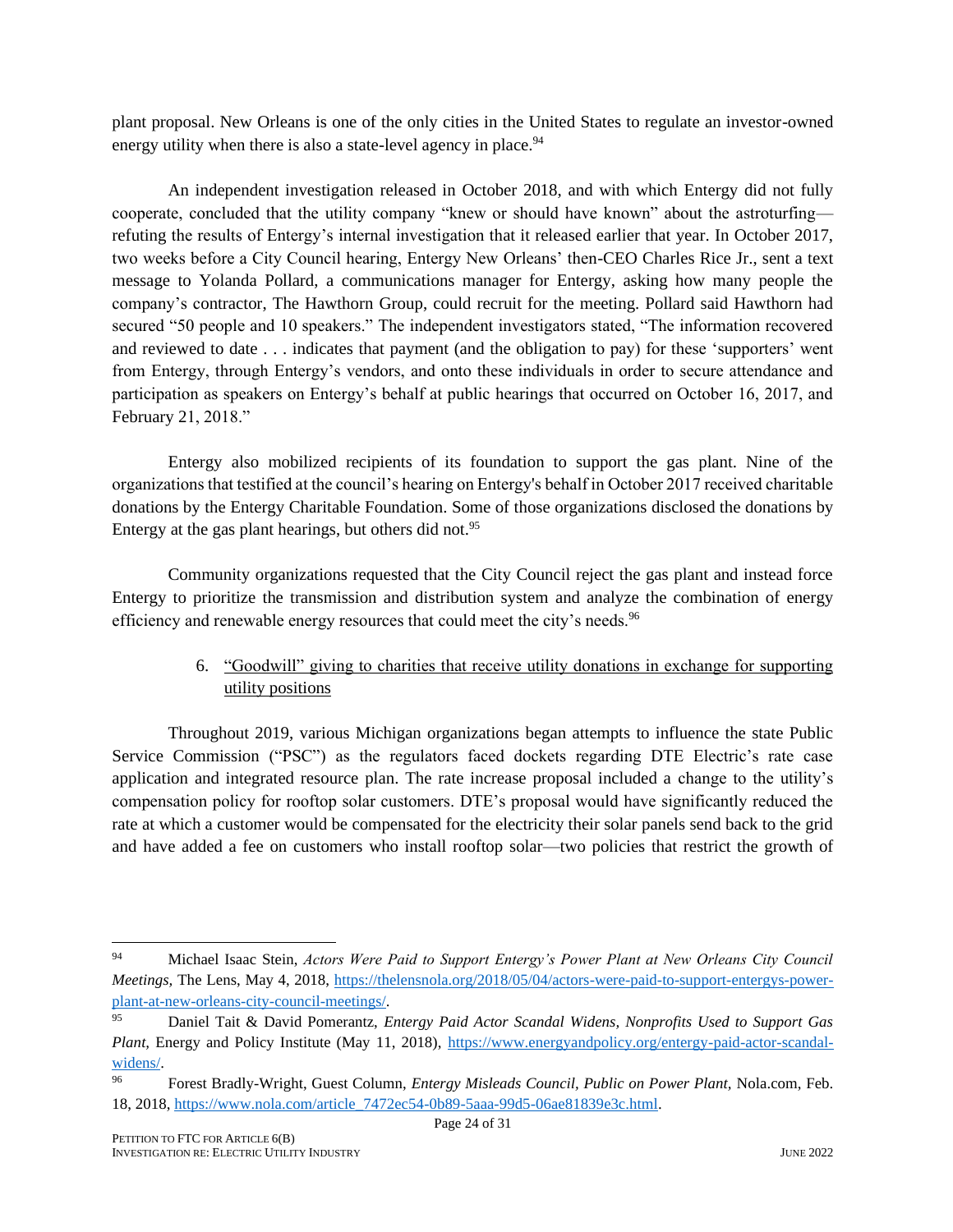plant proposal. New Orleans is one of the only cities in the United States to regulate an investor-owned energy utility when there is also a state-level agency in place.<sup>94</sup>

An independent investigation released in October 2018, and with which Entergy did not fully cooperate, concluded that the utility company "knew or should have known" about the astroturfing refuting the results of Entergy's internal investigation that it released earlier that year. In October 2017, two weeks before a City Council hearing, Entergy New Orleans' then-CEO Charles Rice Jr., sent a text message to Yolanda Pollard, a communications manager for Entergy, asking how many people the company's contractor, The Hawthorn Group, could recruit for the meeting. Pollard said Hawthorn had secured "50 people and 10 speakers." The independent investigators stated, "The information recovered and reviewed to date . . . indicates that payment (and the obligation to pay) for these 'supporters' went from Entergy, through Entergy's vendors, and onto these individuals in order to secure attendance and participation as speakers on Entergy's behalf at public hearings that occurred on October 16, 2017, and February 21, 2018."

Entergy also mobilized recipients of its foundation to support the gas plant. Nine of the organizations that testified at the council's hearing on Entergy's behalf in October 2017 received charitable donations by the Entergy Charitable Foundation. Some of those organizations disclosed the donations by Entergy at the gas plant hearings, but others did not. $95$ 

Community organizations requested that the City Council reject the gas plant and instead force Entergy to prioritize the transmission and distribution system and analyze the combination of energy efficiency and renewable energy resources that could meet the city's needs.<sup>96</sup>

### 6. "Goodwill" giving to charities that receive utility donations in exchange for supporting utility positions

Throughout 2019, various Michigan organizations began attempts to influence the state Public Service Commission ("PSC") as the regulators faced dockets regarding DTE Electric's rate case application and integrated resource plan. The rate increase proposal included a change to the utility's compensation policy for rooftop solar customers. DTE's proposal would have significantly reduced the rate at which a customer would be compensated for the electricity their solar panels send back to the grid and have added a fee on customers who install rooftop solar—two policies that restrict the growth of

<sup>94</sup> Michael Isaac Stein, *Actors Were Paid to Support Entergy's Power Plant at New Orleans City Council Meetings,* The Lens, May 4, 2018, [https://thelensnola.org/2018/05/04/actors-were-paid-to-support-entergys-power](https://thelensnola.org/2018/05/04/actors-were-paid-to-support-entergys-power-plant-at-new-orleans-city-council-meetings/)[plant-at-new-orleans-city-council-meetings/.](https://thelensnola.org/2018/05/04/actors-were-paid-to-support-entergys-power-plant-at-new-orleans-city-council-meetings/)

<sup>95</sup> Daniel Tait & David Pomerantz, *Entergy Paid Actor Scandal Widens, Nonprofits Used to Support Gas Plant, Energy and Policy Institute (May 11, 2018), [https://www.energyandpolicy.org/entergy-paid-actor-scandal](https://www.energyandpolicy.org/entergy-paid-actor-scandal-widens/)*[widens/.](https://www.energyandpolicy.org/entergy-paid-actor-scandal-widens/)

<sup>96</sup> Forest Bradly-Wright, Guest Column, *Entergy Misleads Council, Public on Power Plant,* Nola.com, Feb. 18, 2018, [https://www.nola.com/article\\_7472ec54-0b89-5aaa-99d5-06ae81839e3c.html.](https://www.nola.com/article_7472ec54-0b89-5aaa-99d5-06ae81839e3c.html)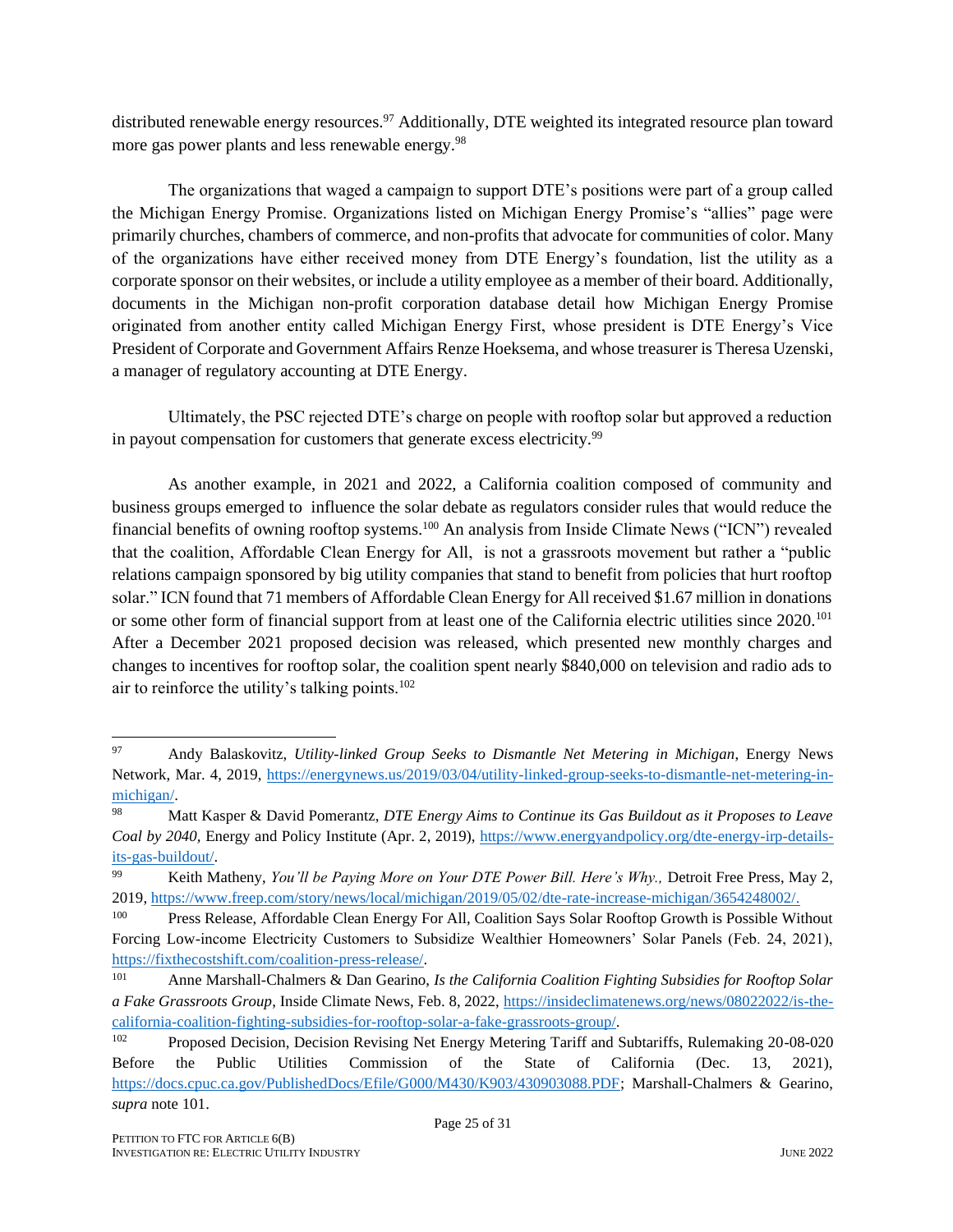distributed renewable energy resources.<sup>97</sup> Additionally, DTE weighted its integrated resource plan toward more gas power plants and less renewable energy.<sup>98</sup>

The organizations that waged a campaign to support DTE's positions were part of a group called the Michigan Energy Promise. Organizations listed on Michigan Energy Promise's "allies" page were primarily churches, chambers of commerce, and non-profits that advocate for communities of color. Many of the organizations have either received money from DTE Energy's foundation, list the utility as a corporate sponsor on their websites, or include a utility employee as a member of their board. Additionally, documents in the Michigan non-profit corporation database detail how Michigan Energy Promise originated from another entity called Michigan Energy First, whose president is DTE Energy's Vice President of Corporate and Government Affairs Renze Hoeksema, and whose treasurer is Theresa Uzenski, a manager of regulatory accounting at DTE Energy.

Ultimately, the PSC rejected DTE's charge on people with rooftop solar but approved a reduction in payout compensation for customers that generate excess electricity.<sup>99</sup>

As another example, in 2021 and 2022, a California coalition composed of community and business groups emerged to influence the solar debate as regulators consider rules that would reduce the financial benefits of owning rooftop systems.<sup>100</sup> An analysis from Inside Climate News ("ICN") revealed that the coalition, Affordable Clean Energy for All, is not a grassroots movement but rather a "public relations campaign sponsored by big utility companies that stand to benefit from policies that hurt rooftop solar." ICN found that 71 members of Affordable Clean Energy for All received \$1.67 million in donations or some other form of financial support from at least one of the California electric utilities since 2020.<sup>101</sup> After a December 2021 proposed decision was released, which presented new monthly charges and changes to incentives for rooftop solar, the coalition spent nearly \$840,000 on television and radio ads to air to reinforce the utility's talking points.<sup>102</sup>

<span id="page-25-0"></span><sup>97</sup> Andy Balaskovitz, *Utility-linked Group Seeks to Dismantle Net Metering in Michigan*, Energy News Network, Mar. 4, 2019, [https://energynews.us/2019/03/04/utility-linked-group-seeks-to-dismantle-net-metering-in](https://energynews.us/2019/03/04/utility-linked-group-seeks-to-dismantle-net-metering-in-michigan/)[michigan/.](https://energynews.us/2019/03/04/utility-linked-group-seeks-to-dismantle-net-metering-in-michigan/)

<sup>98</sup> Matt Kasper & David Pomerantz, *DTE Energy Aims to Continue its Gas Buildout as it Proposes to Leave Coal by 2040,* Energy and Policy Institute (Apr. 2, 2019), [https://www.energyandpolicy.org/dte-energy-irp-details](https://www.energyandpolicy.org/dte-energy-irp-details-its-gas-buildout/)[its-gas-buildout/.](https://www.energyandpolicy.org/dte-energy-irp-details-its-gas-buildout/)

<sup>99</sup> Keith Matheny, *You'll be Paying More on Your DTE Power Bill. Here's Why.,* Detroit Free Press, May 2, 2019, [https://www.freep.com/story/news/local/michigan/2019/05/02/dte-rate-increase-michigan/3654248002/.](https://www.freep.com/story/news/local/michigan/2019/05/02/dte-rate-increase-michigan/3654248002/)

<sup>100</sup> Press Release, Affordable Clean Energy For All, Coalition Says Solar Rooftop Growth is Possible Without Forcing Low-income Electricity Customers to Subsidize Wealthier Homeowners' Solar Panels (Feb. 24, 2021), [https://fixthecostshift.com/coalition-press-release/.](https://fixthecostshift.com/coalition-press-release/)

<sup>101</sup> Anne Marshall-Chalmers & Dan Gearino, *Is the California Coalition Fighting Subsidies for Rooftop Solar a Fake Grassroots Group*, Inside Climate News, Feb. 8, 2022, [https://insideclimatenews.org/news/08022022/is-the](https://insideclimatenews.org/news/08022022/is-the-california-coalition-fighting-subsidies-for-rooftop-solar-a-fake-grassroots-group/)[california-coalition-fighting-subsidies-for-rooftop-solar-a-fake-grassroots-group/.](https://insideclimatenews.org/news/08022022/is-the-california-coalition-fighting-subsidies-for-rooftop-solar-a-fake-grassroots-group/)

<sup>102</sup> Proposed Decision, Decision Revising Net Energy Metering Tariff and Subtariffs, Rulemaking 20-08-020 Before the Public Utilities Commission of the State of California (Dec. 13, 2021), [https://docs.cpuc.ca.gov/PublishedDocs/Efile/G000/M430/K903/430903088.PDF;](https://docs.cpuc.ca.gov/PublishedDocs/Efile/G000/M430/K903/430903088.PDF) Marshall-Chalmers & Gearino, *supra* note [101.](#page-25-0)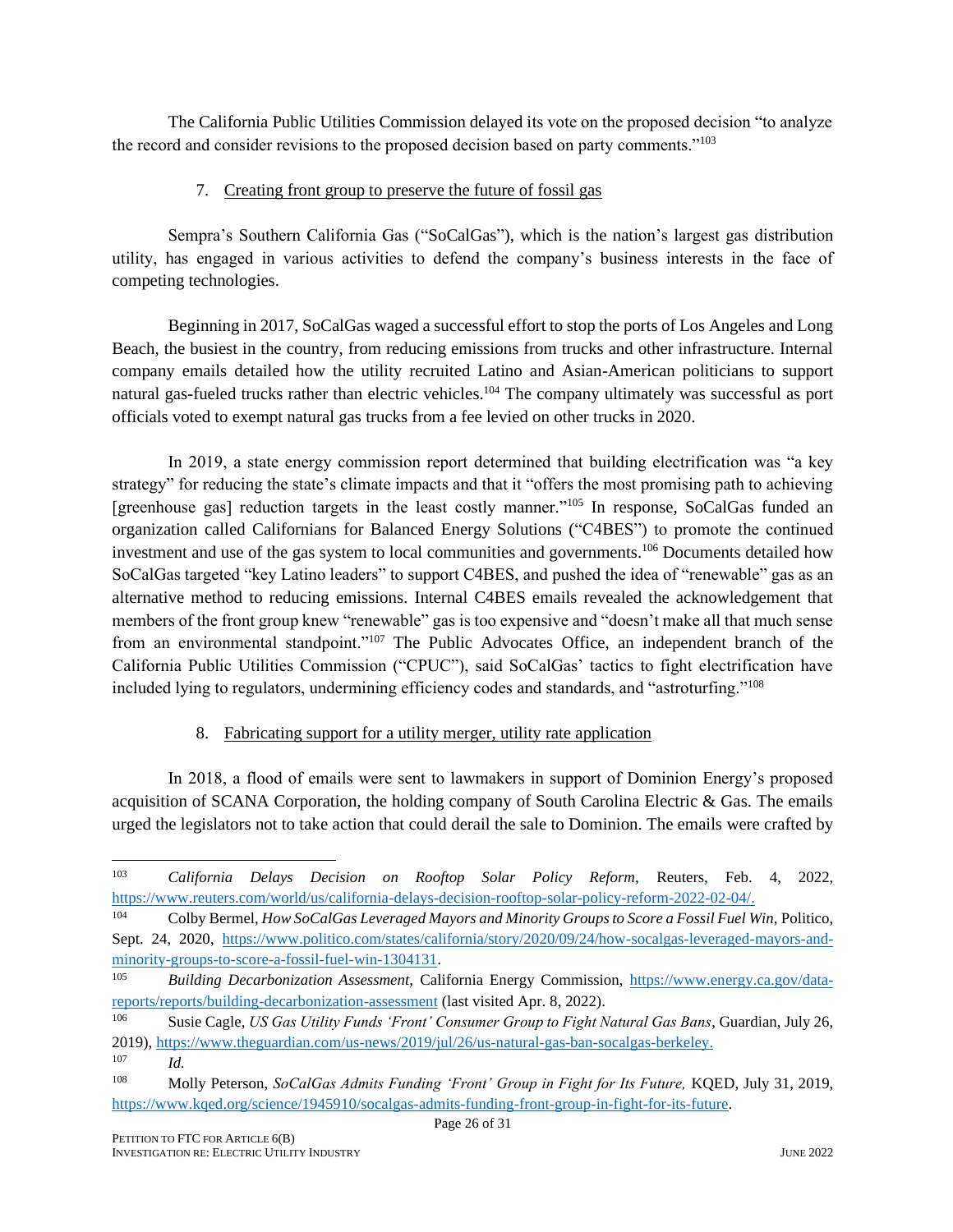The California Public Utilities Commission delayed its vote on the proposed decision "to analyze the record and consider revisions to the proposed decision based on party comments."<sup>103</sup>

#### 7. Creating front group to preserve the future of fossil gas

Sempra's Southern California Gas ("SoCalGas"), which is the nation's largest gas distribution utility, has engaged in various activities to defend the company's business interests in the face of competing technologies.

Beginning in 2017, SoCalGas waged a successful effort to stop the ports of Los Angeles and Long Beach, the busiest in the country, from reducing emissions from trucks and other infrastructure. Internal company emails detailed how the utility recruited Latino and Asian-American politicians to support natural gas-fueled trucks rather than electric vehicles.<sup>104</sup> The company ultimately was successful as port officials voted to exempt natural gas trucks from a fee levied on other trucks in 2020.

In 2019, a state energy commission report determined that building electrification was "a key strategy" for reducing the state's climate impacts and that it "offers the most promising path to achieving [greenhouse gas] reduction targets in the least costly manner."<sup>105</sup> In response, SoCalGas funded an organization called Californians for Balanced Energy Solutions ("C4BES") to promote the continued investment and use of the gas system to local communities and governments.<sup>106</sup> Documents detailed how SoCalGas targeted "key Latino leaders" to support C4BES, and pushed the idea of "renewable" gas as an alternative method to reducing emissions. Internal C4BES emails revealed the acknowledgement that members of the front group knew "renewable" gas is too expensive and "doesn't make all that much sense from an environmental standpoint."<sup>107</sup> The Public Advocates Office, an independent branch of the California Public Utilities Commission ("CPUC"), said SoCalGas' tactics to fight electrification have included lying to regulators, undermining efficiency codes and standards, and "astroturfing."<sup>108</sup>

### 8. Fabricating support for a utility merger, utility rate application

In 2018, a flood of emails were sent to lawmakers in support of Dominion Energy's proposed acquisition of SCANA Corporation, the holding company of South Carolina Electric & Gas. The emails urged the legislators not to take action that could derail the sale to Dominion. The emails were crafted by

<sup>103</sup> *California Delays Decision on Rooftop Solar Policy Reform,* Reuters, Feb. 4, 2022, [https://www.reuters.com/world/us/california-delays-decision-rooftop-solar-policy-reform-2022-02-04/.](https://www.reuters.com/world/us/california-delays-decision-rooftop-solar-policy-reform-2022-02-04/)

<sup>&</sup>lt;sup>104</sup> Colby Bermel, *How SoCalGas Leveraged Mayors and Minority Groups to Score a Fossil Fuel Win, Politico,* Sept. 24, 2020, [https://www.politico.com/states/california/story/2020/09/24/how-socalgas-leveraged-mayors-and](https://www.politico.com/states/california/story/2020/09/24/how-socalgas-leveraged-mayors-and-minority-groups-to-score-a-fossil-fuel-win-1304131)[minority-groups-to-score-a-fossil-fuel-win-1304131.](https://www.politico.com/states/california/story/2020/09/24/how-socalgas-leveraged-mayors-and-minority-groups-to-score-a-fossil-fuel-win-1304131)

<sup>105</sup> *Building Decarbonization Assessment,* California Energy Commission, [https://www.energy.ca.gov/data](https://www.energy.ca.gov/data-reports/reports/building-decarbonization-assessment)[reports/reports/building-decarbonization-assessment](https://www.energy.ca.gov/data-reports/reports/building-decarbonization-assessment) (last visited Apr. 8, 2022).

<sup>106</sup> Susie Cagle, *US Gas Utility Funds 'Front' Consumer Group to Fight Natural Gas Bans*, Guardian, July 26, 2019), [https://www.theguardian.com/us-news/2019/jul/26/us-natural-gas-ban-socalgas-berkeley.](https://www.theguardian.com/us-news/2019/jul/26/us-natural-gas-ban-socalgas-berkeley)

<sup>107</sup> *Id.*

<sup>108</sup> Molly Peterson, *SoCalGas Admits Funding 'Front' Group in Fight for Its Future,* KQED, July 31, 2019, [https://www.kqed.org/science/1945910/socalgas-admits-funding-front-group-in-fight-for-its-future.](https://www.kqed.org/science/1945910/socalgas-admits-funding-front-group-in-fight-for-its-future)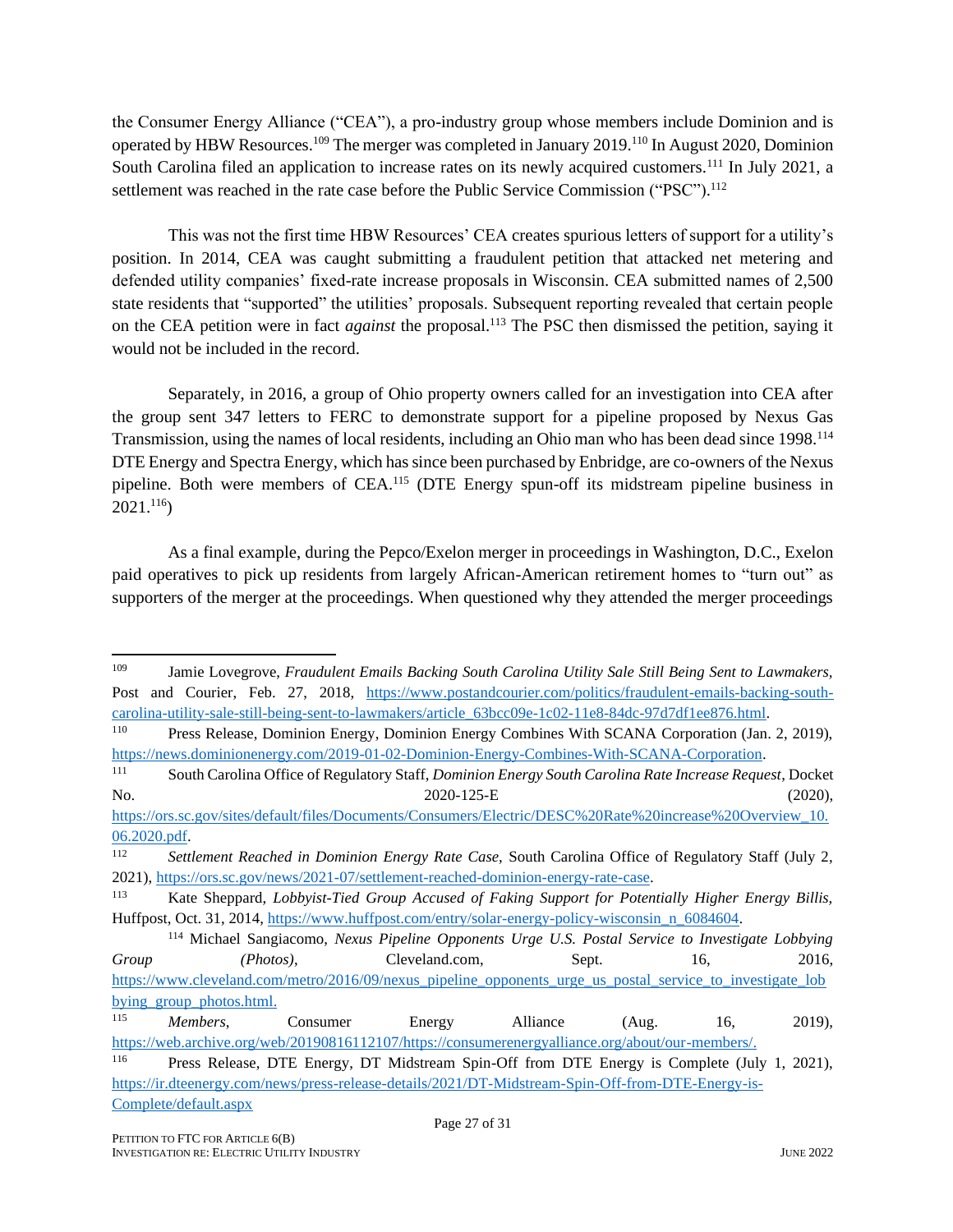the Consumer Energy Alliance ("CEA"), a pro-industry group whose members include Dominion and is operated by HBW Resources.<sup>109</sup> The merger was completed in January 2019.<sup>110</sup> In August 2020, Dominion South Carolina filed an application to increase rates on its newly acquired customers.<sup>111</sup> In July 2021, a settlement was reached in the rate case before the Public Service Commission ("PSC").<sup>112</sup>

This was not the first time HBW Resources' CEA creates spurious letters of support for a utility's position. In 2014, CEA was caught submitting a fraudulent petition that attacked net metering and defended utility companies' fixed-rate increase proposals in Wisconsin. CEA submitted names of 2,500 state residents that "supported" the utilities' proposals. Subsequent reporting revealed that certain people on the CEA petition were in fact *against* the proposal.<sup>113</sup> The PSC then dismissed the petition, saying it would not be included in the record.

Separately, in 2016, a group of Ohio property owners called for an investigation into CEA after the group sent 347 letters to FERC to demonstrate support for a pipeline proposed by Nexus Gas Transmission, using the names of local residents, including an Ohio man who has been dead since 1998.<sup>114</sup> DTE Energy and Spectra Energy, which has since been purchased by Enbridge, are co-owners of the Nexus pipeline. Both were members of CEA.<sup>115</sup> (DTE Energy spun-off its midstream pipeline business in 2021.<sup>116</sup>)

As a final example, during the Pepco/Exelon merger in proceedings in Washington, D.C., Exelon paid operatives to pick up residents from largely African-American retirement homes to "turn out" as supporters of the merger at the proceedings. When questioned why they attended the merger proceedings

<sup>109</sup> Jamie Lovegrove, *Fraudulent Emails Backing South Carolina Utility Sale Still Being Sent to Lawmakers,*  Post and Courier, Feb. 27, 2018, [https://www.postandcourier.com/politics/fraudulent-emails-backing-south](https://www.postandcourier.com/politics/fraudulent-emails-backing-south-carolina-utility-sale-still-being-sent-to-lawmakers/article_63bcc09e-1c02-11e8-84dc-97d7df1ee876.html)[carolina-utility-sale-still-being-sent-to-lawmakers/article\\_63bcc09e-1c02-11e8-84dc-97d7df1ee876.html.](https://www.postandcourier.com/politics/fraudulent-emails-backing-south-carolina-utility-sale-still-being-sent-to-lawmakers/article_63bcc09e-1c02-11e8-84dc-97d7df1ee876.html)<br><sup>110</sup> Press Release Dominion Energy Dominion Energy Combines With SCANA Corporation (Jan

Press Release, Dominion Energy, Dominion Energy Combines With SCANA Corporation (Jan. 2, 2019), [https://news.dominionenergy.com/2019-01-02-Dominion-Energy-Combines-With-SCANA-Corporation.](https://news.dominionenergy.com/2019-01-02-Dominion-Energy-Combines-With-SCANA-Corporation)

<sup>111</sup> South Carolina Office of Regulatory Staff, *Dominion Energy South Carolina Rate Increase Request*, Docket No. 2020-125-E (2020),

[https://ors.sc.gov/sites/default/files/Documents/Consumers/Electric/DESC%20Rate%20increase%20Overview\\_10.](https://ors.sc.gov/sites/default/files/Documents/Consumers/Electric/DESC%20Rate%20increase%20Overview_10.06.2020.pdf) [06.2020.pdf.](https://ors.sc.gov/sites/default/files/Documents/Consumers/Electric/DESC%20Rate%20increase%20Overview_10.06.2020.pdf) 

<sup>112</sup> *Settlement Reached in Dominion Energy Rate Case,* South Carolina Office of Regulatory Staff (July 2, 2021), [https://ors.sc.gov/news/2021-07/settlement-reached-dominion-energy-rate-case.](https://ors.sc.gov/news/2021-07/settlement-reached-dominion-energy-rate-case)

<sup>113</sup> Kate Sheppard, *Lobbyist-Tied Group Accused of Faking Support for Potentially Higher Energy Billis,*  Huffpost, Oct. 31, 2014, [https://www.huffpost.com/entry/solar-energy-policy-wisconsin\\_n\\_6084604.](https://www.huffpost.com/entry/solar-energy-policy-wisconsin_n_6084604)

<sup>114</sup> Michael Sangiacomo, *Nexus Pipeline Opponents Urge U.S. Postal Service to Investigate Lobbying Group (Photos)*, Cleveland.com, Sept. 16, 2016, [https://www.cleveland.com/metro/2016/09/nexus\\_pipeline\\_opponents\\_urge\\_us\\_postal\\_service\\_to\\_investigate\\_lob](https://www.cleveland.com/metro/2016/09/nexus_pipeline_opponents_urge_us_postal_service_to_investigate_lobbying_group_photos.html) bying group photos.html.

<sup>115</sup> *Members*, Consumer Energy Alliance (Aug. 16, 2019), [https://web.archive.org/web/20190816112107/https://consumerenergyalliance.org/about/our-members/.](https://web.archive.org/web/20190816112107/https:/consumerenergyalliance.org/about/our-members/)

<sup>116</sup> Press Release, DTE Energy, DT Midstream Spin-Off from DTE Energy is Complete (July 1, 2021), [https://ir.dteenergy.com/news/press-release-details/2021/DT-Midstream-Spin-Off-from-DTE-Energy-is-](https://ir.dteenergy.com/news/press-release-details/2021/DT-Midstream-Spin-Off-from-DTE-Energy-is-Complete/default.aspx)[Complete/default.aspx](https://ir.dteenergy.com/news/press-release-details/2021/DT-Midstream-Spin-Off-from-DTE-Energy-is-Complete/default.aspx)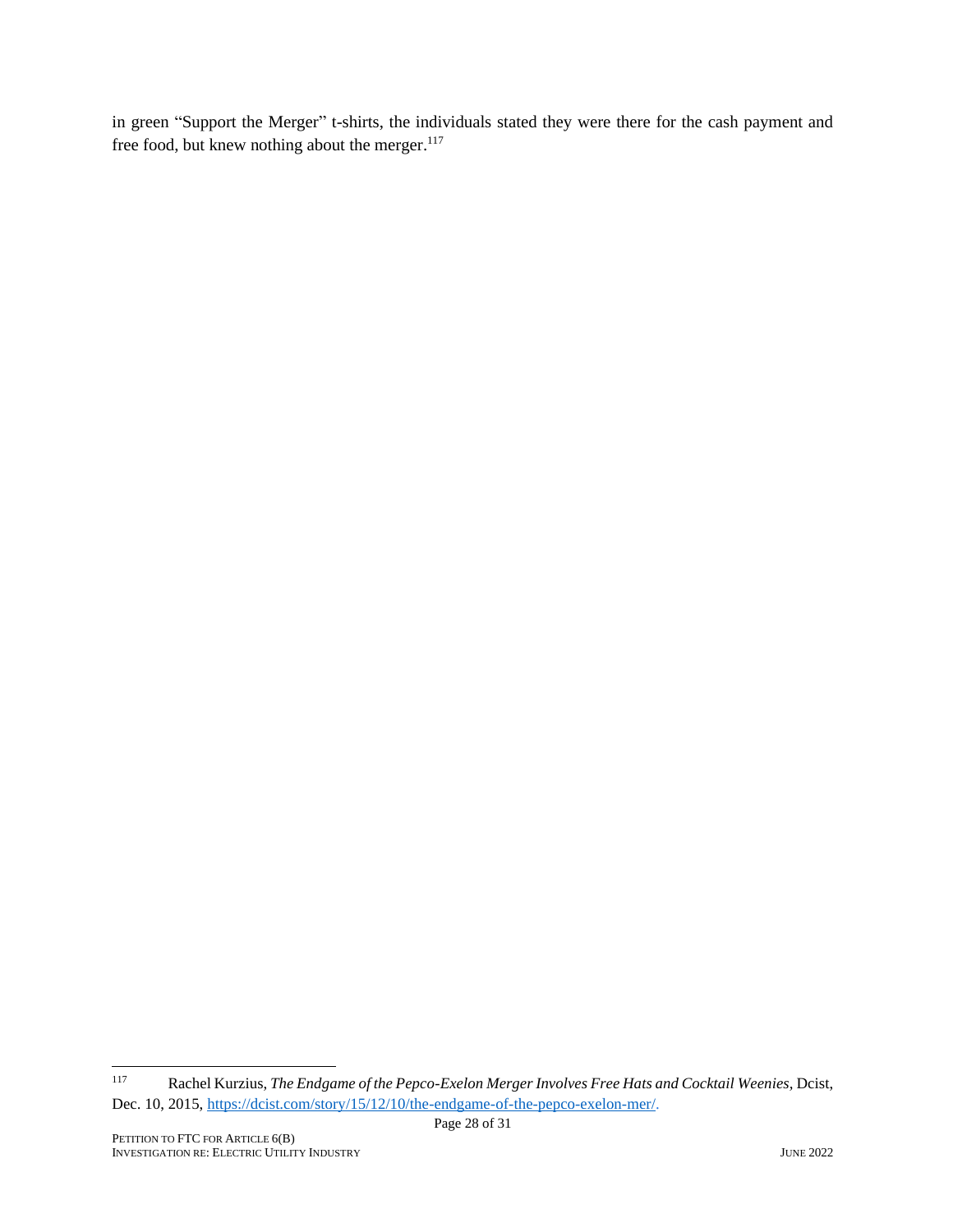in green "Support the Merger" t-shirts, the individuals stated they were there for the cash payment and free food, but knew nothing about the merger.<sup>117</sup>

<sup>117</sup> Rachel Kurzius, *The Endgame of the Pepco-Exelon Merger Involves Free Hats and Cocktail Weenies,* Dcist, Dec. 10, 2015, [https://dcist.com/story/15/12/10/the-endgame-of-the-pepco-exelon-mer/.](https://dcist.com/story/15/12/10/the-endgame-of-the-pepco-exelon-mer/)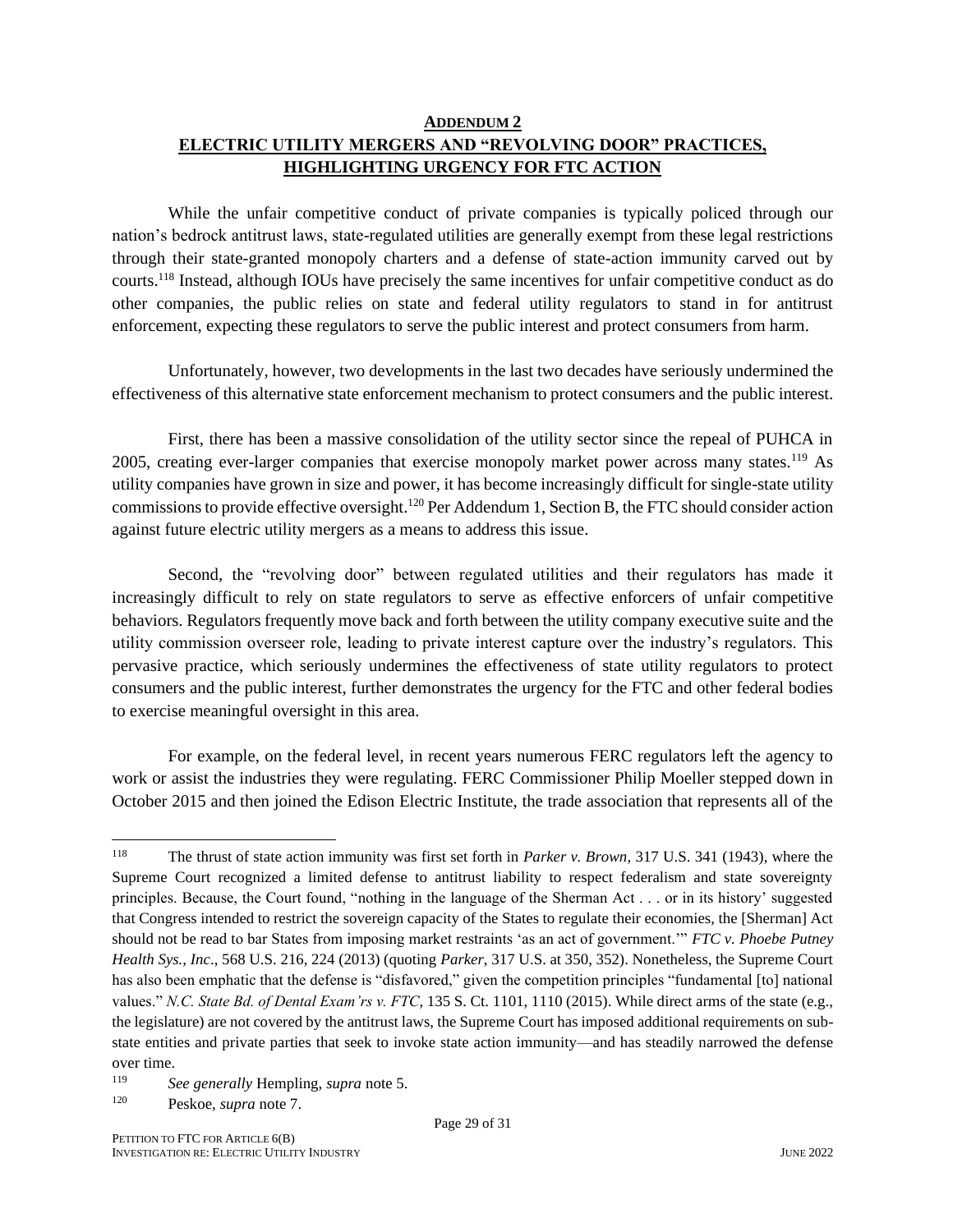#### **ADDENDUM 2 ELECTRIC UTILITY MERGERS AND "REVOLVING DOOR" PRACTICES, HIGHLIGHTING URGENCY FOR FTC ACTION**

While the unfair competitive conduct of private companies is typically policed through our nation's bedrock antitrust laws, state-regulated utilities are generally exempt from these legal restrictions through their state-granted monopoly charters and a defense of state-action immunity carved out by courts. <sup>118</sup> Instead, although IOUs have precisely the same incentives for unfair competitive conduct as do other companies, the public relies on state and federal utility regulators to stand in for antitrust enforcement, expecting these regulators to serve the public interest and protect consumers from harm.

Unfortunately, however, two developments in the last two decades have seriously undermined the effectiveness of this alternative state enforcement mechanism to protect consumers and the public interest.

First, there has been a massive consolidation of the utility sector since the repeal of PUHCA in 2005, creating ever-larger companies that exercise monopoly market power across many states.<sup>119</sup> As utility companies have grown in size and power, it has become increasingly difficult for single-state utility commissions to provide effective oversight.<sup>120</sup> Per Addendum 1, Section B, the FTC should consider action against future electric utility mergers as a means to address this issue.

Second, the "revolving door" between regulated utilities and their regulators has made it increasingly difficult to rely on state regulators to serve as effective enforcers of unfair competitive behaviors. Regulators frequently move back and forth between the utility company executive suite and the utility commission overseer role, leading to private interest capture over the industry's regulators. This pervasive practice, which seriously undermines the effectiveness of state utility regulators to protect consumers and the public interest, further demonstrates the urgency for the FTC and other federal bodies to exercise meaningful oversight in this area.

For example, on the federal level, in recent years numerous FERC regulators left the agency to work or assist the industries they were regulating. FERC Commissioner Philip Moeller stepped down in October 2015 and then joined the Edison Electric Institute, the trade association that represents all of the

<sup>118</sup> The thrust of state action immunity was first set forth in *Parker v. Brown*, 317 U.S. 341 (1943), where the Supreme Court recognized a limited defense to antitrust liability to respect federalism and state sovereignty principles. Because, the Court found, "nothing in the language of the Sherman Act . . . or in its history' suggested that Congress intended to restrict the sovereign capacity of the States to regulate their economies, the [Sherman] Act should not be read to bar States from imposing market restraints 'as an act of government.'" *FTC v. Phoebe Putney Health Sys., Inc*., 568 U.S. 216, 224 (2013) (quoting *Parker*, 317 U.S. at 350, 352). Nonetheless, the Supreme Court has also been emphatic that the defense is "disfavored," given the competition principles "fundamental [to] national values." *N.C. State Bd. of Dental Exam'rs v. FTC*, 135 S. Ct. 1101, 1110 (2015). While direct arms of the state (e.g., the legislature) are not covered by the antitrust laws, the Supreme Court has imposed additional requirements on substate entities and private parties that seek to invoke state action immunity—and has steadily narrowed the defense over time.

<sup>119</sup> *See generally* Hempling, *supra* note 5.

<sup>120</sup> Peskoe, *supra* note 7.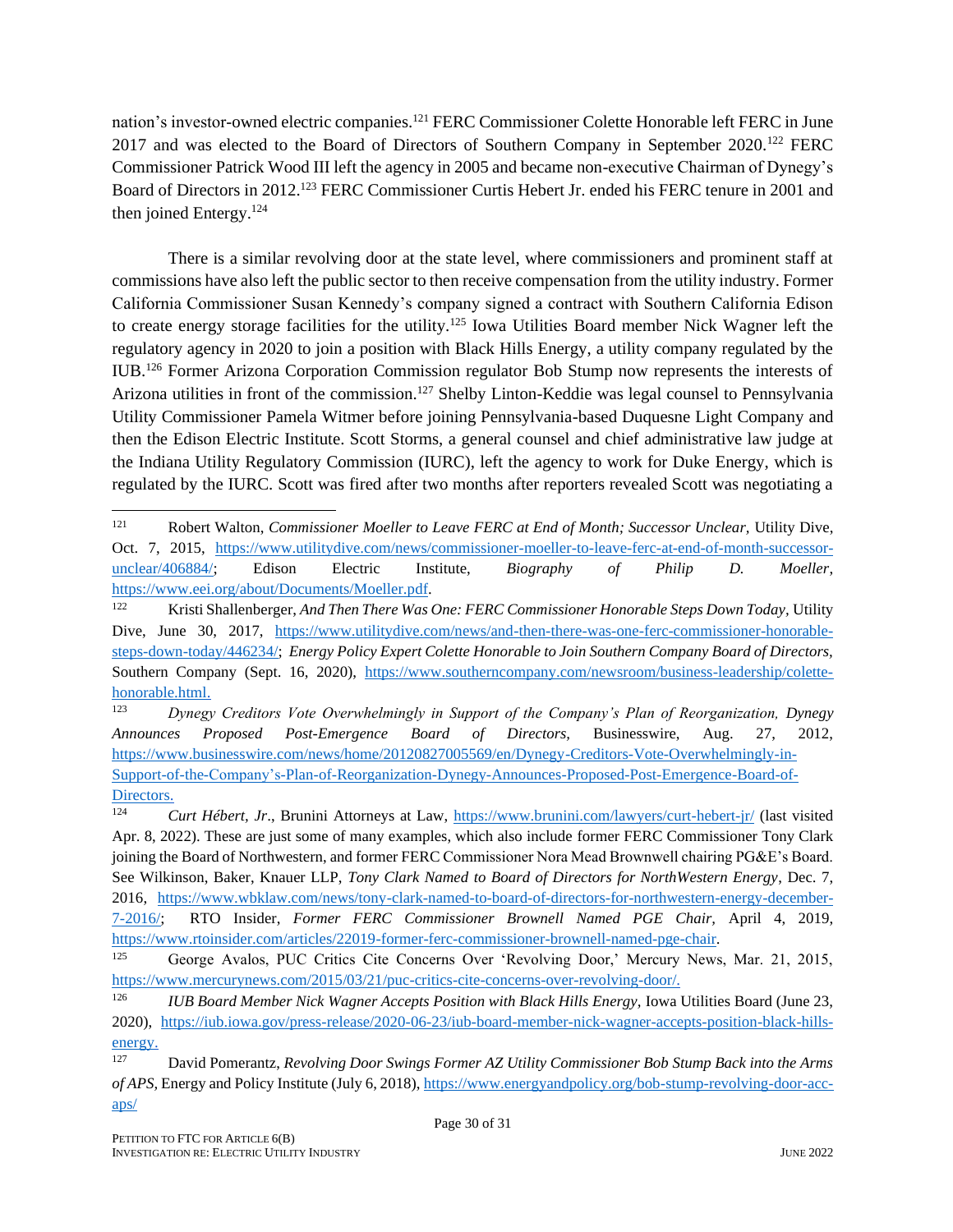nation's investor-owned electric companies.<sup>121</sup> FERC Commissioner Colette Honorable left FERC in June 2017 and was elected to the Board of Directors of Southern Company in September 2020.<sup>122</sup> FERC Commissioner Patrick Wood III left the agency in 2005 and became non-executive Chairman of Dynegy's Board of Directors in 2012.<sup>123</sup> FERC Commissioner Curtis Hebert Jr. ended his FERC tenure in 2001 and then joined Entergy.<sup>124</sup>

There is a similar revolving door at the state level, where commissioners and prominent staff at commissions have also left the public sector to then receive compensation from the utility industry. Former California Commissioner Susan Kennedy's company signed a contract with Southern California Edison to create energy storage facilities for the utility.<sup>125</sup> Iowa Utilities Board member Nick Wagner left the regulatory agency in 2020 to join a position with Black Hills Energy, a utility company regulated by the IUB.<sup>126</sup> Former Arizona Corporation Commission regulator Bob Stump now represents the interests of Arizona utilities in front of the commission.<sup>127</sup> Shelby Linton-Keddie was legal counsel to Pennsylvania Utility Commissioner Pamela Witmer before joining Pennsylvania-based Duquesne Light Company and then the Edison Electric Institute. Scott Storms, a general counsel and chief administrative law judge at the Indiana Utility Regulatory Commission (IURC), left the agency to work for Duke Energy, which is regulated by the IURC. Scott was fired after two months after reporters revealed Scott was negotiating a

<sup>121</sup> Robert Walton, *Commissioner Moeller to Leave FERC at End of Month; Successor Unclear, Utility Dive,* Oct. 7, 2015, https://www.utilitydive.com/news/commissioner-moeller-to-leave-ferc-at-end-of-month-successorunclear/406884/; Edison Electric Institute, *Biography of Philip D. Moeller*, https://www.eei.org/about/Documents/Moeller.pdf.

<sup>122</sup> Kristi Shallenberger, *And Then There Was One: FERC Commissioner Honorable Steps Down Today,* Utility Dive, June 30, 2017, https://www.utilitydive.com/news/and-then-there-was-one-ferc-commissioner-honorablesteps-down-today/446234/; *Energy Policy Expert Colette Honorable to Join Southern Company Board of Directors,*  Southern Company (Sept. 16, 2020), https://www.southerncompany.com/newsroom/business-leadership/colettehonorable.html.

<sup>123</sup> *Dynegy Creditors Vote Overwhelmingly in Support of the Company's Plan of Reorganization, Dynegy Announces Proposed Post-Emergence Board of Directors,* Businesswire, Aug. 27, 2012, https://www.businesswire.com/news/home/20120827005569/en/Dynegy-Creditors-Vote-Overwhelmingly-in-Support-of-the-Company's-Plan-of-Reorganization-Dynegy-Announces-Proposed-Post-Emergence-Board-of-Directors.

<sup>124</sup> *Curt Hébert, Jr*., Brunini Attorneys at Law, https://www.brunini.com/lawyers/curt-hebert-jr/ (last visited Apr. 8, 2022). These are just some of many examples, which also include former FERC Commissioner Tony Clark joining the Board of Northwestern, and former FERC Commissioner Nora Mead Brownwell chairing PG&E's Board. See Wilkinson, Baker, Knauer LLP, *Tony Clark Named to Board of Directors for NorthWestern Energy*, Dec. 7, 2016, https://www.wbklaw.com/news/tony-clark-named-to-board-of-directors-for-northwestern-energy-december-7-2016/; RTO Insider, *Former FERC Commissioner Brownell Named PGE Chair,* April 4, 2019, https://www.rtoinsider.com/articles/22019-former-ferc-commissioner-brownell-named-pge-chair.

<sup>125</sup> George Avalos, PUC Critics Cite Concerns Over 'Revolving Door,' Mercury News, Mar. 21, 2015, https://www.mercurynews.com/2015/03/21/puc-critics-cite-concerns-over-revolving-door/.

<sup>&</sup>lt;sup>126</sup> *IUB Board Member Nick Wagner Accepts Position with Black Hills Energy, Iowa Utilities Board (June 23,* 2020), https://iub.iowa.gov/press-release/2020-06-23/iub-board-member-nick-wagner-accepts-position-black-hillsenergy.

<sup>127</sup> David Pomerantz, *Revolving Door Swings Former AZ Utility Commissioner Bob Stump Back into the Arms of APS,* Energy and Policy Institute (July 6, 2018), https://www.energyandpolicy.org/bob-stump-revolving-door-accaps/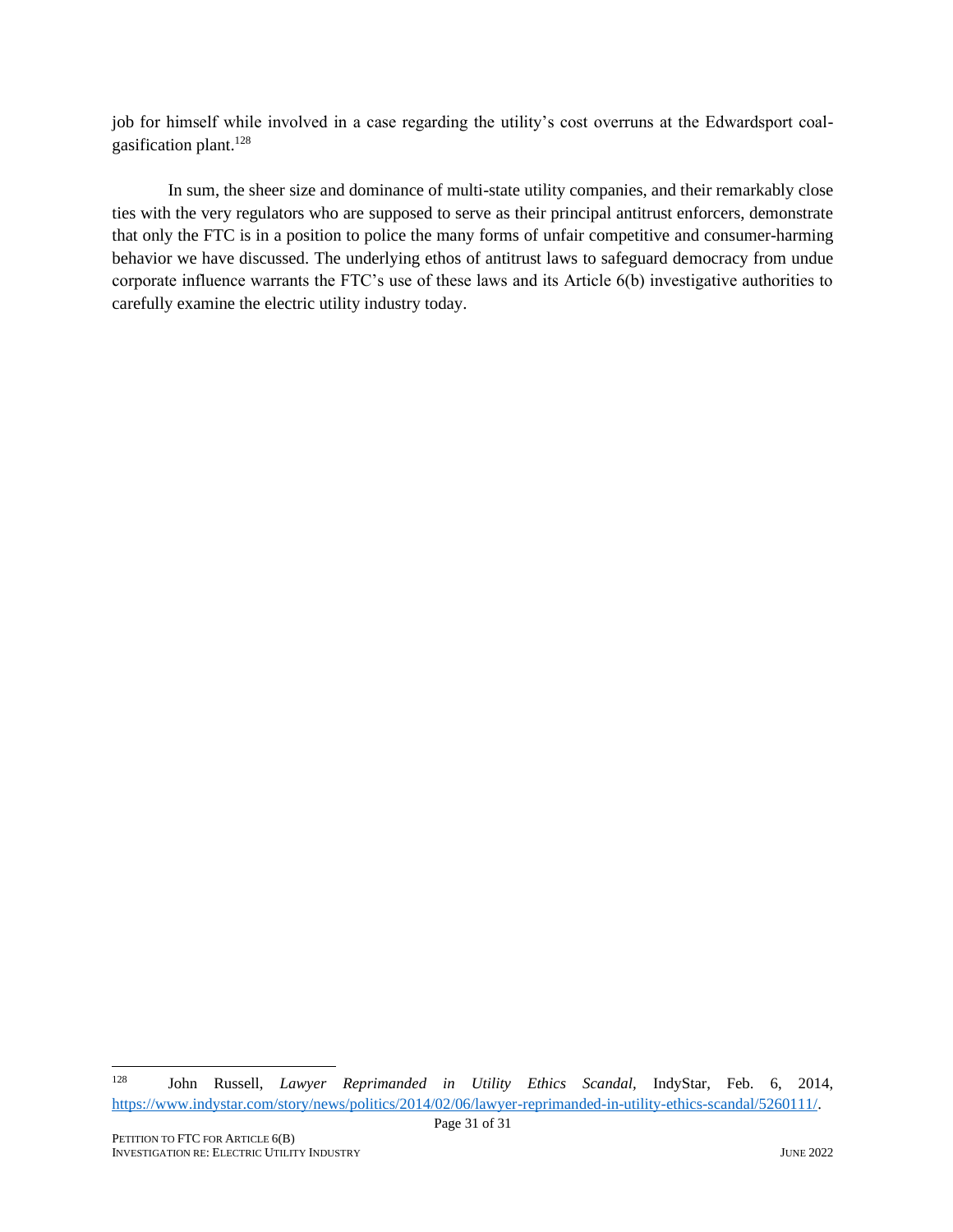job for himself while involved in a case regarding the utility's cost overruns at the Edwardsport coalgasification plant.<sup>128</sup>

In sum, the sheer size and dominance of multi-state utility companies, and their remarkably close ties with the very regulators who are supposed to serve as their principal antitrust enforcers, demonstrate that only the FTC is in a position to police the many forms of unfair competitive and consumer-harming behavior we have discussed. The underlying ethos of antitrust laws to safeguard democracy from undue corporate influence warrants the FTC's use of these laws and its Article 6(b) investigative authorities to carefully examine the electric utility industry today.

<sup>128</sup> John Russell, *Lawyer Reprimanded in Utility Ethics Scandal,* IndyStar, Feb. 6, 2014, https://www.indystar.com/story/news/politics/2014/02/06/lawyer-reprimanded-in-utility-ethics-scandal/5260111/.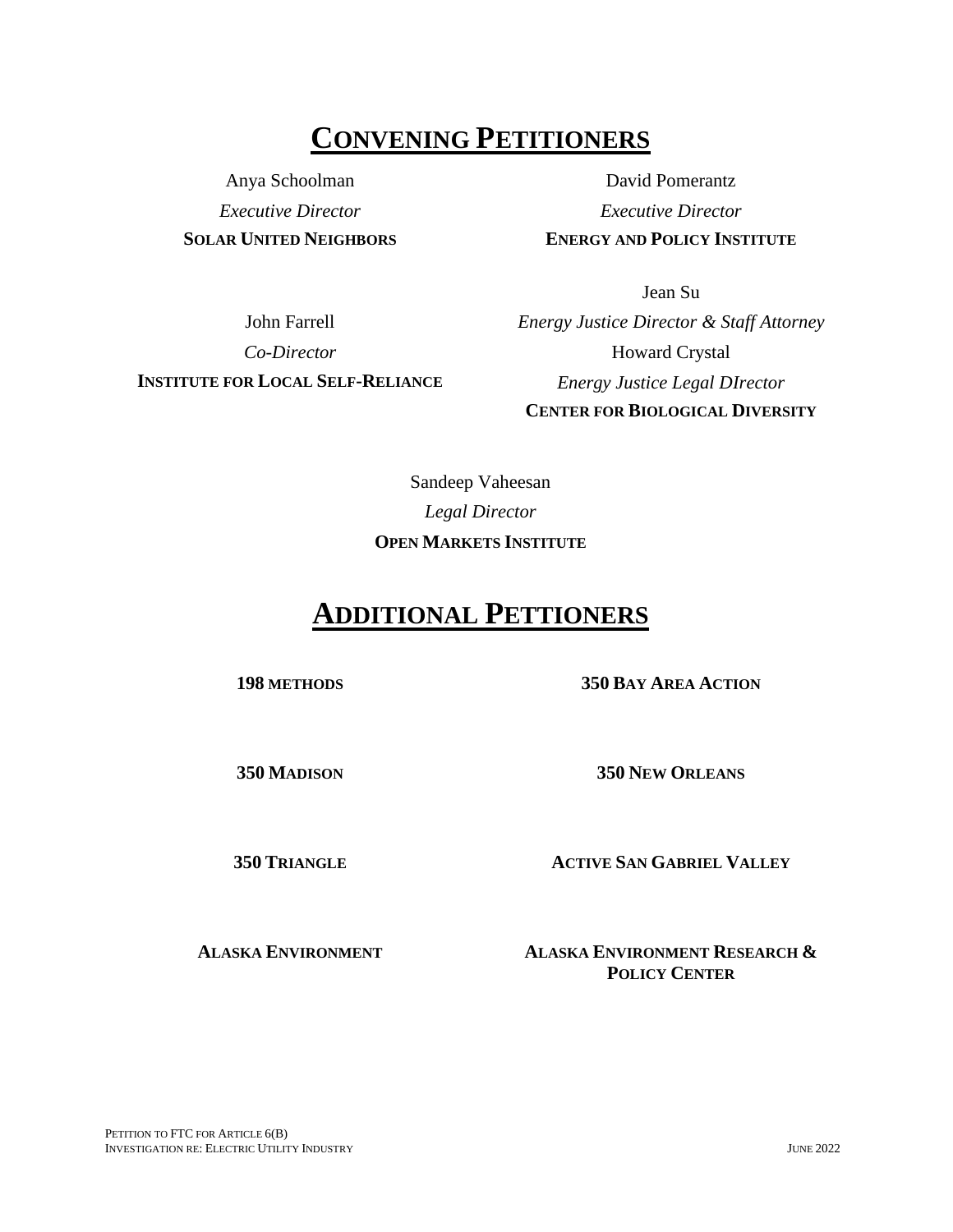## **CONVENING PETITIONERS**

Anya Schoolman *Executive Director* **SOLAR UNITED NEIGHBORS**

David Pomerantz *Executive Director* **ENERGY AND POLICY INSTITUTE**

John Farrell *Co-Director* **INSTITUTE FOR LOCAL SELF-RELIANCE**

Jean Su *Energy Justice Director & Staff Attorney* Howard Crystal *Energy Justice Legal DIrector* **CENTER FOR BIOLOGICAL DIVERSITY**

Sandeep Vaheesan *Legal Director* **OPEN MARKETS INSTITUTE**

# **ADDITIONAL PETTIONERS**

**198 METHODS 350 BAY AREA ACTION**

**350 MADISON 350 NEW ORLEANS**

**350 TRIANGLE ACTIVE SAN GABRIEL VALLEY**

**ALASKA ENVIRONMENT ALASKA ENVIRONMENT RESEARCH & POLICY CENTER**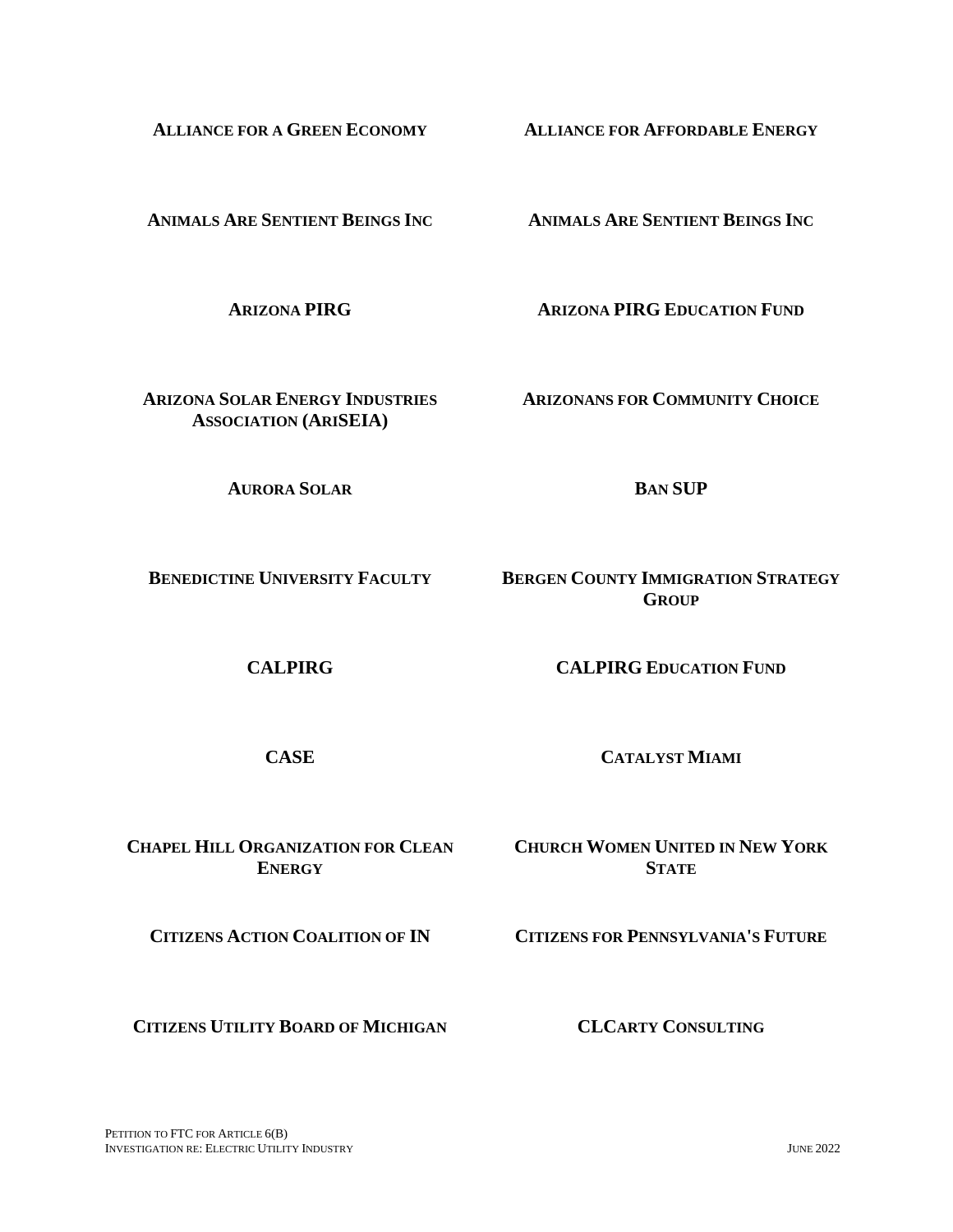PETITION TO FTC FOR ARTICLE  $6(B)$ INVESTIGATION RE: ELECTRIC UTILITY INDUSTRY JUNE 2022

**ANIMALS ARE SENTIENT BEINGS INC ANIMALS ARE SENTIENT BEINGS INC**

**ARIZONA PIRG ARIZONA PIRG EDUCATION FUND**

**ARIZONANS FOR COMMUNITY CHOICE**

**AURORA SOLAR BAN SUP**

**ARIZONA SOLAR ENERGY INDUSTRIES ASSOCIATION (ARISEIA)**

**BENEDICTINE UNIVERSITY FACULTY BERGEN COUNTY IMMIGRATION STRATEGY GROUP**

**CALPIRG CALPIRG EDUCATION FUND**

**CASE CATALYST MIAMI**

**CHAPEL HILL ORGANIZATION FOR CLEAN ENERGY CHURCH WOMEN UNITED IN NEW YORK** 

**CITIZENS ACTION COALITION OF IN CITIZENS FOR PENNSYLVANIA'S FUTURE**

**STATE**

**CITIZENS UTILITY BOARD OF MICHIGAN CLCARTY CONSULTING**

**ALLIANCE FOR A GREEN ECONOMY ALLIANCE FOR AFFORDABLE ENERGY**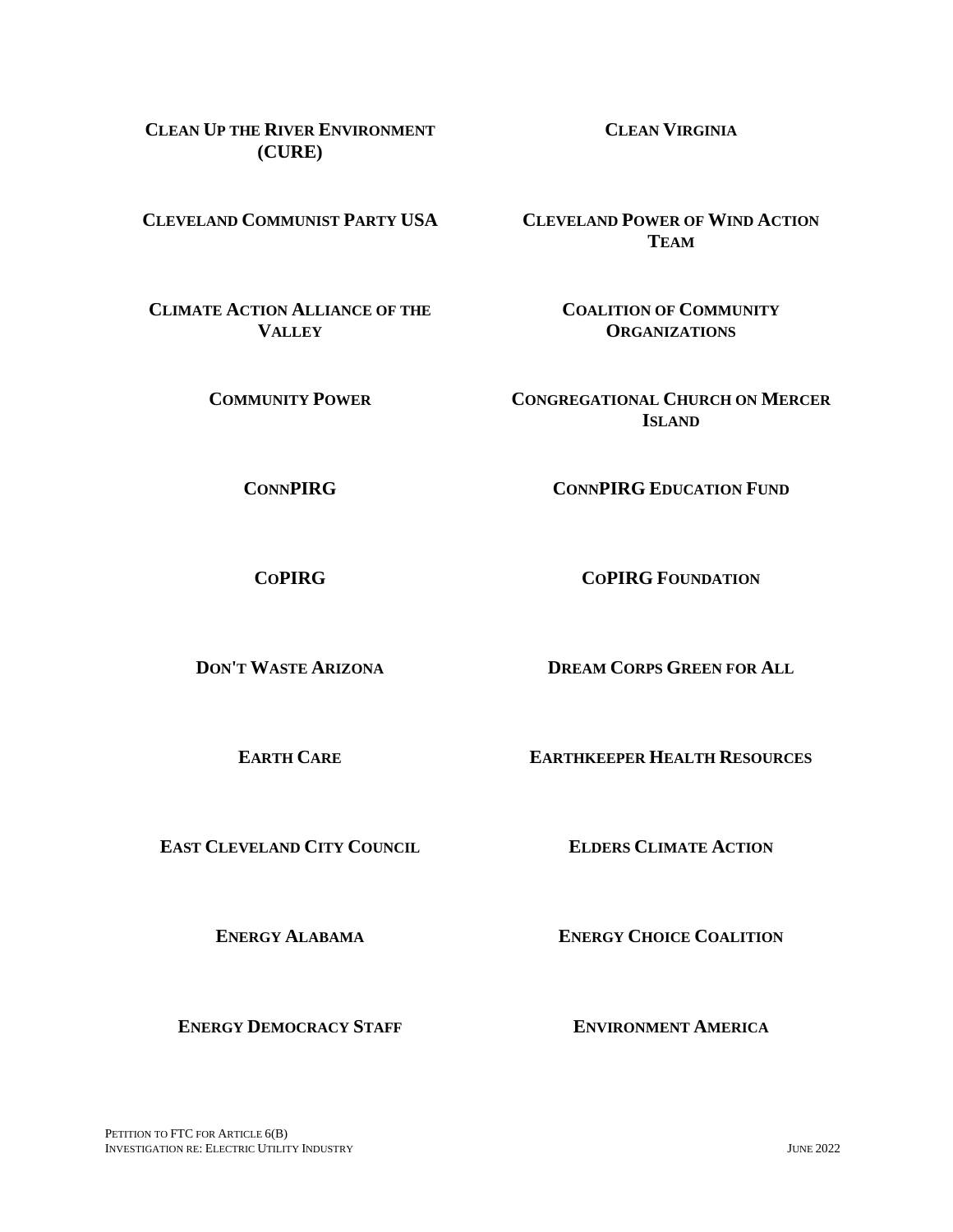**COMMUNITY POWER CONGREGATIONAL CHURCH ON MERCER** 

**CONNPIRG CONNPIRG EDUCATION FUND** 

**ISLAND**

**COPIRG COPIRG FOUNDATION** 

**DON'T WASTE ARIZONA DREAM CORPS GREEN FOR ALL**

**EARTH CARE EARTHKEEPER HEALTH RESOURCES**

**EAST CLEVELAND CITY COUNCIL ELDERS CLIMATE ACTION**

**ENERGY ALABAMA ENERGY CHOICE COALITION**

**ENERGY DEMOCRACY STAFF ENVIRONMENT AMERICA**

**CLEVELAND COMMUNIST PARTY USA CLEVELAND POWER OF WIND ACTION TEAM**

> **COALITION OF COMMUNITY ORGANIZATIONS**

**CLEAN UP THE RIVER ENVIRONMENT (CURE)**

**CLIMATE ACTION ALLIANCE OF THE VALLEY** 

**CLEAN VIRGINIA**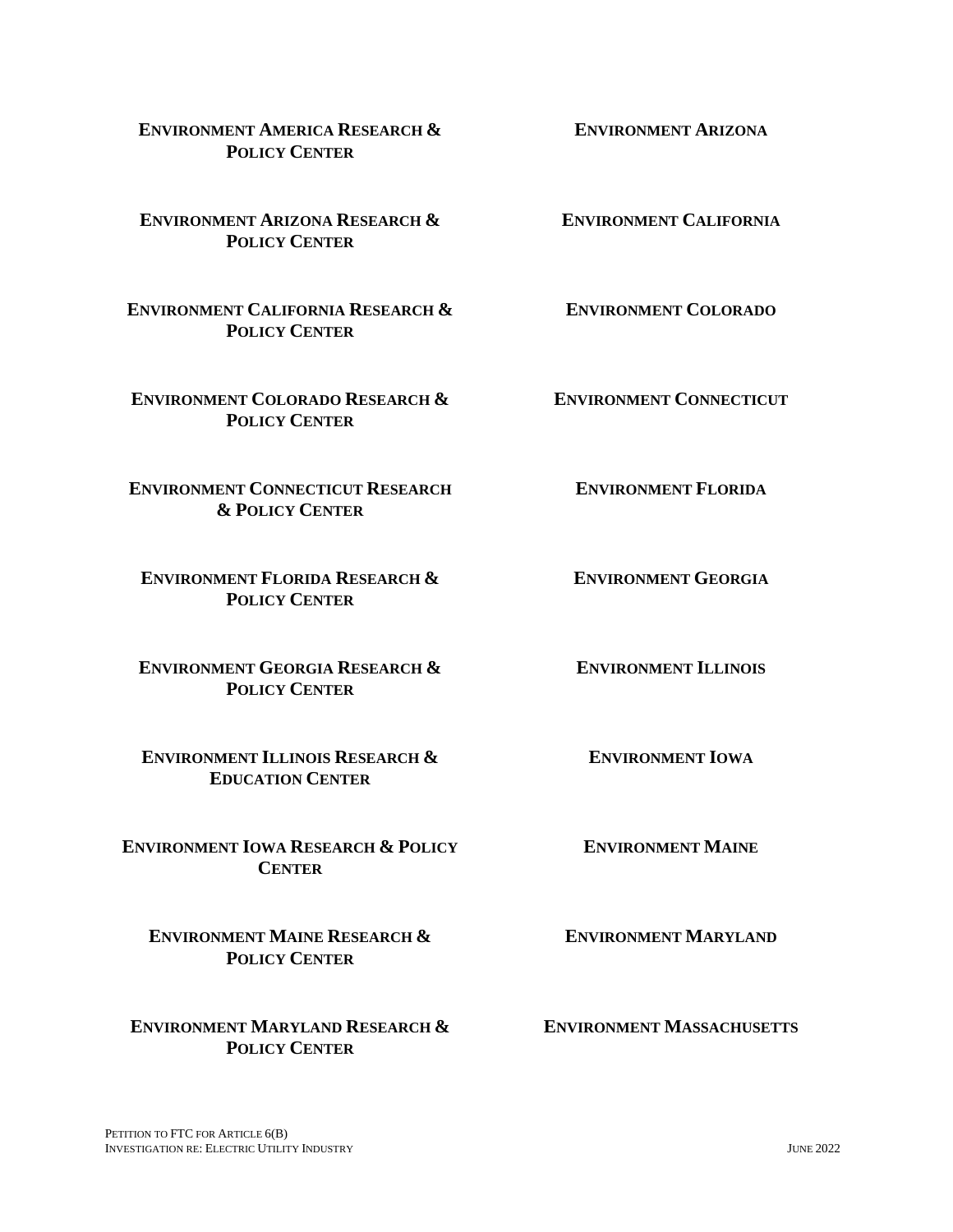**ENVIRONMENT AMERICA RESEARCH & POLICY CENTER**

**ENVIRONMENT ARIZONA RESEARCH & POLICY CENTER**

**ENVIRONMENT CALIFORNIA RESEARCH & POLICY CENTER**

**ENVIRONMENT COLORADO RESEARCH & POLICY CENTER**

**ENVIRONMENT CONNECTICUT RESEARCH & POLICY CENTER**

**ENVIRONMENT FLORIDA RESEARCH & POLICY CENTER**

**ENVIRONMENT GEORGIA RESEARCH & POLICY CENTER**

**ENVIRONMENT ILLINOIS RESEARCH & EDUCATION CENTER**

**ENVIRONMENT IOWA RESEARCH & POLICY CENTER**

**ENVIRONMENT MAINE RESEARCH & POLICY CENTER**

**ENVIRONMENT MARYLAND RESEARCH & POLICY CENTER**

**ENVIRONMENT CALIFORNIA**

**ENVIRONMENT ARIZONA**

**ENVIRONMENT COLORADO**

**ENVIRONMENT CONNECTICUT**

**ENVIRONMENT FLORIDA**

**ENVIRONMENT GEORGIA**

**ENVIRONMENT ILLINOIS**

**ENVIRONMENT IOWA**

**ENVIRONMENT MAINE**

**ENVIRONMENT MARYLAND**

**ENVIRONMENT MASSACHUSETTS**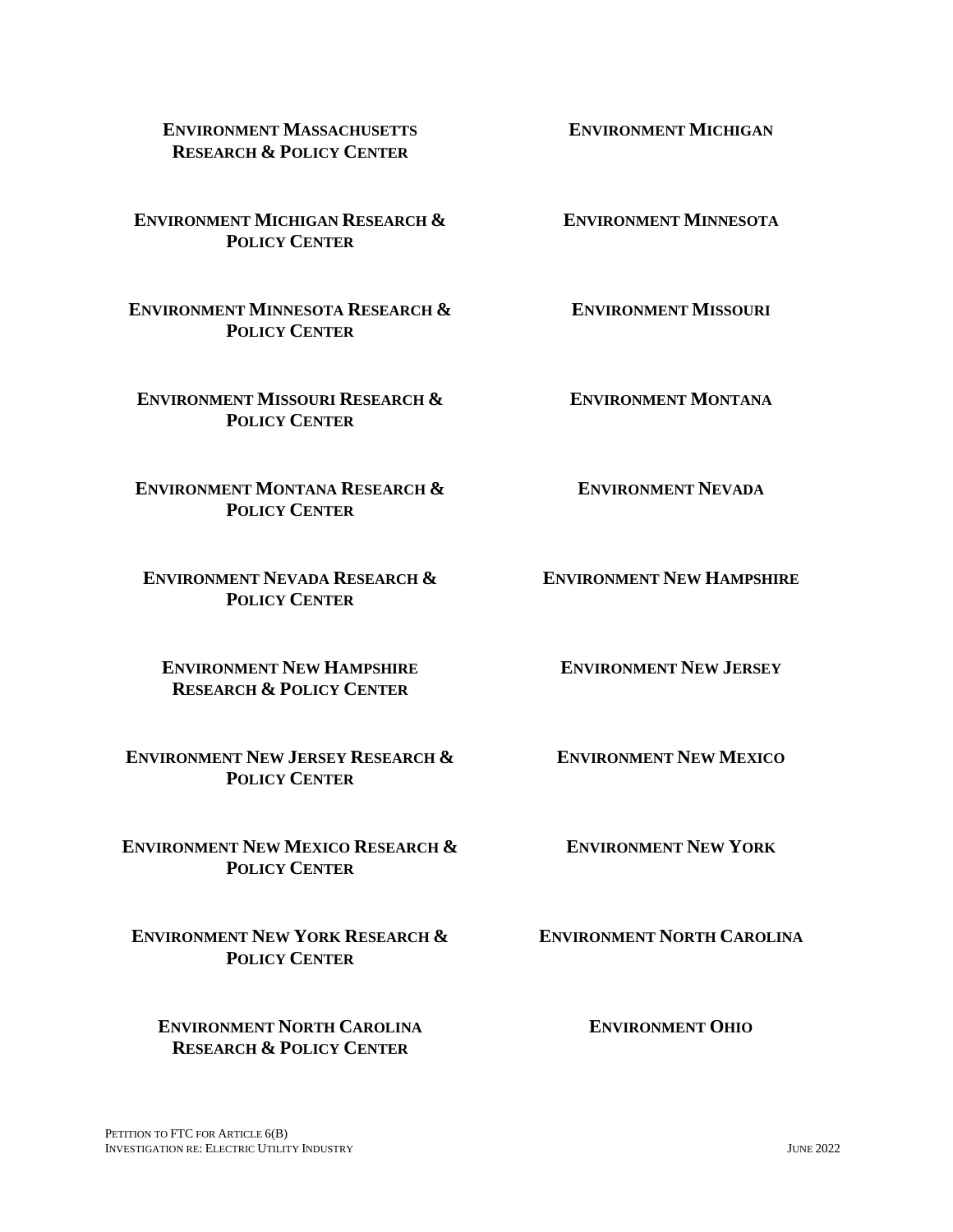#### **ENVIRONMENT MASSACHUSETTS RESEARCH & POLICY CENTER**

**ENVIRONMENT MICHIGAN RESEARCH & POLICY CENTER**

**ENVIRONMENT MINNESOTA RESEARCH & POLICY CENTER**

**ENVIRONMENT MISSOURI RESEARCH & POLICY CENTER**

**ENVIRONMENT MONTANA RESEARCH & POLICY CENTER**

**ENVIRONMENT NEVADA RESEARCH & POLICY CENTER**

**ENVIRONMENT NEW HAMPSHIRE RESEARCH & POLICY CENTER**

**ENVIRONMENT NEW JERSEY RESEARCH & POLICY CENTER**

**ENVIRONMENT NEW MEXICO RESEARCH & POLICY CENTER**

**ENVIRONMENT NEW YORK RESEARCH & POLICY CENTER**

**ENVIRONMENT NORTH CAROLINA RESEARCH & POLICY CENTER**

**ENVIRONMENT MINNESOTA**

**ENVIRONMENT MISSOURI**

**ENVIRONMENT MONTANA**

**ENVIRONMENT NEVADA**

**ENVIRONMENT NEW HAMPSHIRE**

**ENVIRONMENT NEW JERSEY**

**ENVIRONMENT NEW MEXICO**

**ENVIRONMENT NEW YORK**

**ENVIRONMENT NORTH CAROLINA**

**ENVIRONMENT OHIO**

**ENVIRONMENT MICHIGAN**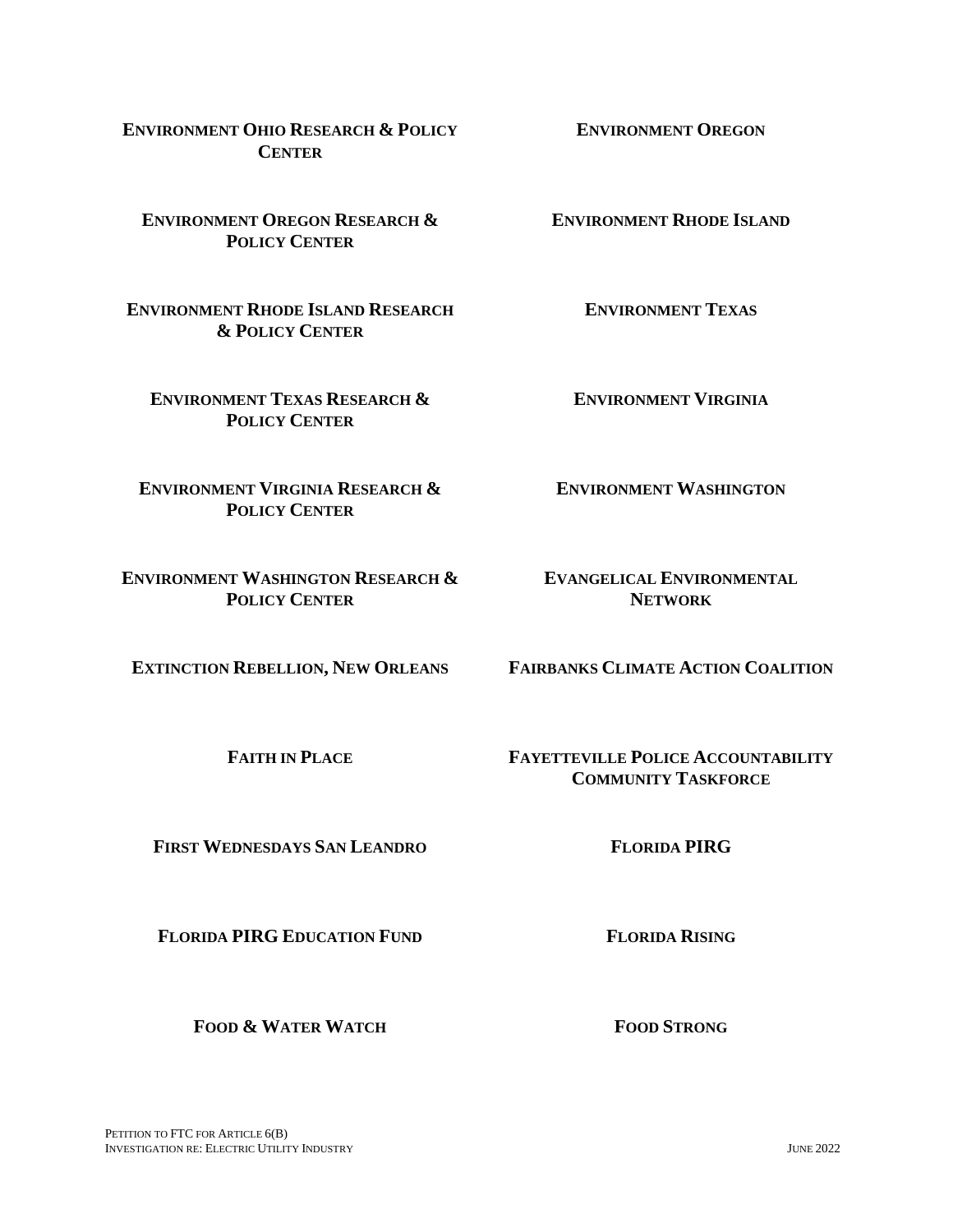**ENVIRONMENT OHIO RESEARCH & POLICY CENTER**

**ENVIRONMENT OREGON RESEARCH & POLICY CENTER**

**ENVIRONMENT RHODE ISLAND RESEARCH & POLICY CENTER**

**ENVIRONMENT TEXAS RESEARCH & POLICY CENTER**

**ENVIRONMENT VIRGINIA RESEARCH & POLICY CENTER**

**ENVIRONMENT WASHINGTON RESEARCH & POLICY CENTER**

**FIRST WEDNESDAYS SAN LEANDRO FLORIDA PIRG**

**FLORIDA PIRG EDUCATION FUND FLORIDA RISING**

**FOOD & WATER WATCH FOOD STRONG**

**ENVIRONMENT RHODE ISLAND**

**ENVIRONMENT OREGON**

**ENVIRONMENT TEXAS**

**ENVIRONMENT VIRGINIA**

**ENVIRONMENT WASHINGTON**

**EVANGELICAL ENVIRONMENTAL NETWORK**

**EXTINCTION REBELLION, NEW ORLEANS FAIRBANKS CLIMATE ACTION COALITION**

**FAITH IN PLACE FAYETTEVILLE POLICE ACCOUNTABILITY COMMUNITY TASKFORCE**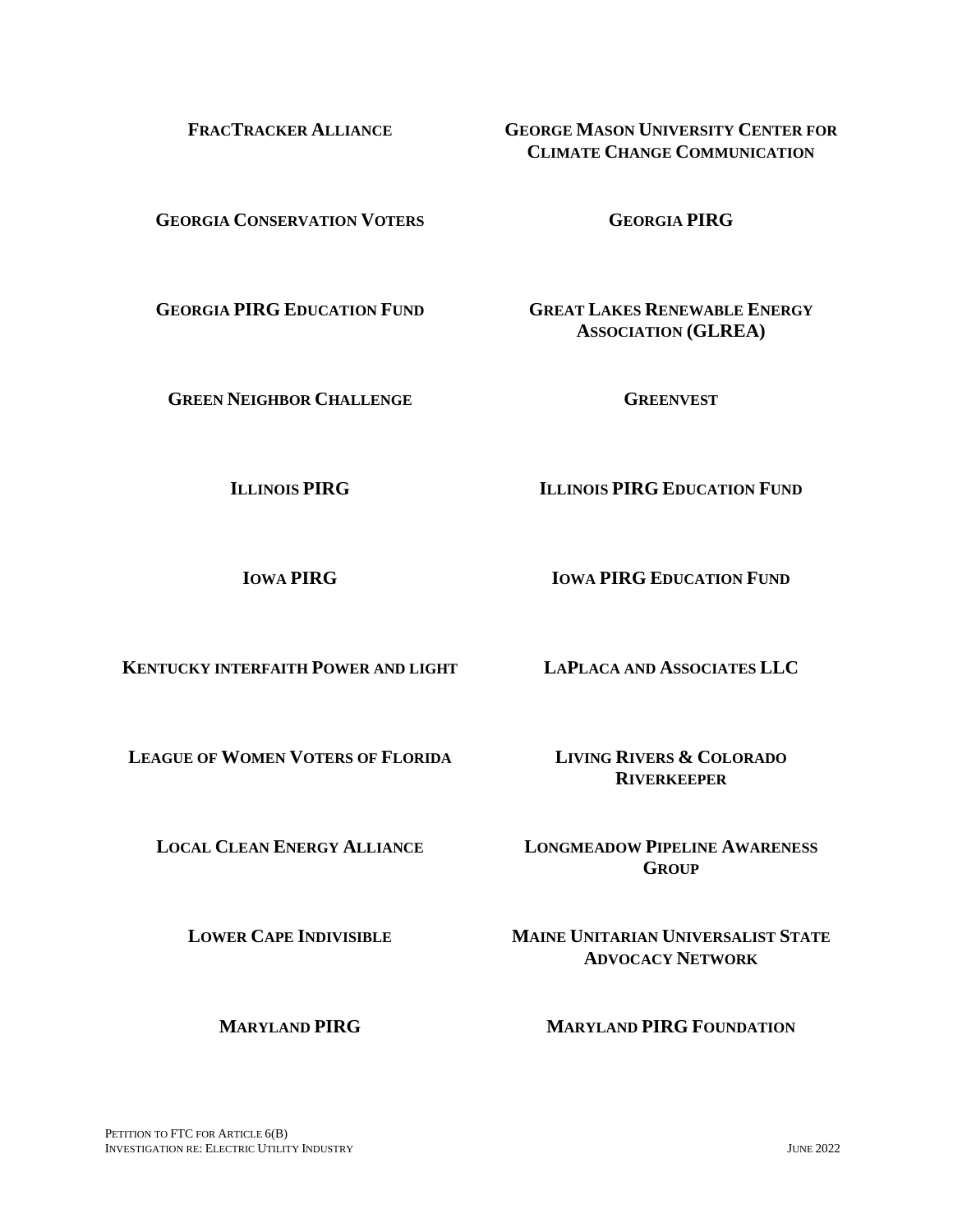**GEORGIA CONSERVATION VOTERS GEORGIA PIRG**

**GEORGIA PIRG EDUCATION FUND GREAT LAKES RENEWABLE ENERGY** 

**GREEN NEIGHBOR CHALLENGE GREENVEST**

**ILLINOIS PIRG ILLINOIS PIRG EDUCATION FUND**

**IOWA PIRG IOWA PIRG EDUCATION FUND** 

**KENTUCKY INTERFAITH POWER AND LIGHT LAPLACA AND ASSOCIATES LLC**

**LEAGUE OF WOMEN VOTERS OF FLORIDA LIVING RIVERS & COLORADO** 

**RIVERKEEPER**

**LOCAL CLEAN ENERGY ALLIANCE LONGMEADOW PIPELINE AWARENESS GROUP**

**LOWER CAPE INDIVISIBLE MAINE UNITARIAN UNIVERSALIST STATE ADVOCACY NETWORK**

**MARYLAND PIRG MARYLAND PIRG FOUNDATION**

**ASSOCIATION (GLREA)**

**FRACTRACKER ALLIANCE GEORGE MASON UNIVERSITY CENTER FOR CLIMATE CHANGE COMMUNICATION**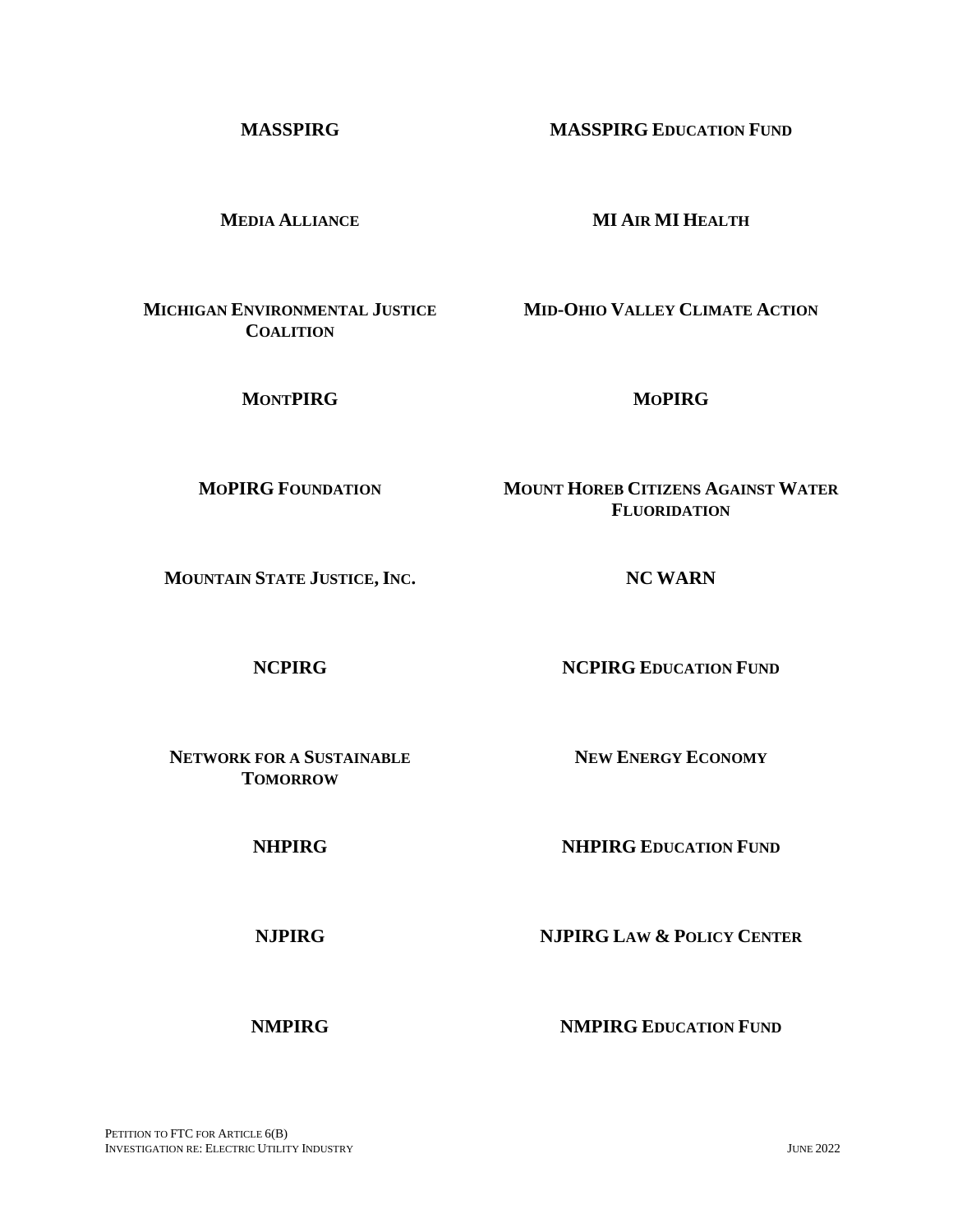**MEDIA ALLIANCE MI AIR MI HEALTH**

**MICHIGAN ENVIRONMENTAL JUSTICE COALITION**

**MONTPIRG MOPIRG**

**MOPIRG FOUNDATION MOUNT HOREB CITIZENS AGAINST WATER** 

**MOUNTAIN STATE JUSTICE, INC. NC WARN**

**NCPIRG NCPIRG EDUCATION FUND** 

**NEW ENERGY ECONOMY**

**NETWORK FOR A SUSTAINABLE TOMORROW**

**NHPIRG NHPIRG EDUCATION FUND**

**NJPIRG NJPIRG LAW & POLICY CENTER**

**NMPIRG NMPIRG EDUCATION FUND**

**FLUORIDATION**

**MID-OHIO VALLEY CLIMATE ACTION**

**MASSPIRG MASSPIRG EDUCATION FUND**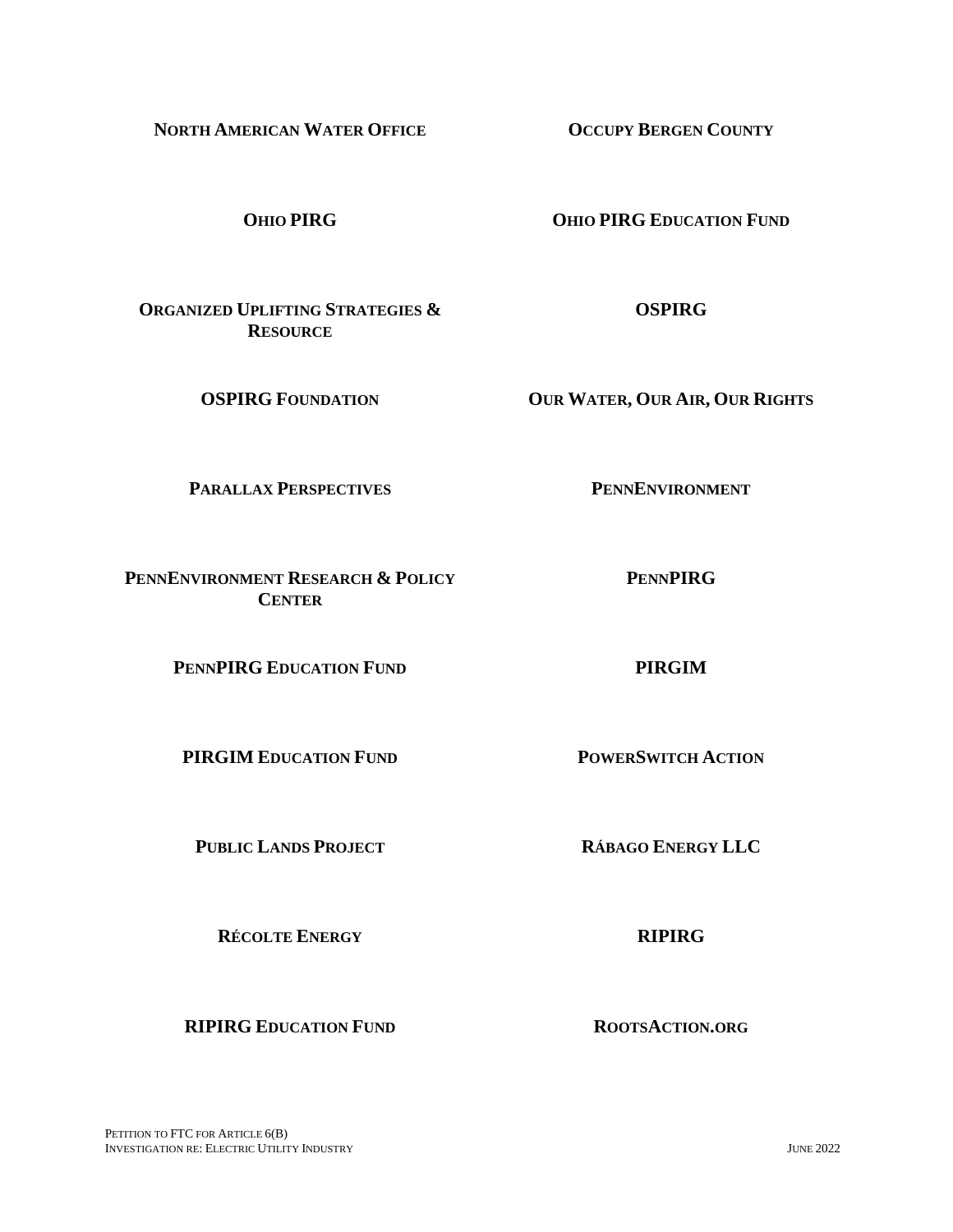**NORTH AMERICAN WATER OFFICE OCCUPY BERGEN COUNTY**

**OHIO PIRG OHIO PIRG EDUCATION FUND**

**ORGANIZED UPLIFTING STRATEGIES & RESOURCE**

**PARALLAX PERSPECTIVES PENNENVIRONMENT** 

**PENNENVIRONMENT RESEARCH & POLICY CENTER**

**PENNPIRG EDUCATION FUND PIRGIM**

**PIRGIM EDUCATION FUND POWERSWITCH ACTION**

**PUBLIC LANDS PROJECT RÁBAGO ENERGY LLC**

**RÉCOLTE ENERGY RIPIRG**

**RIPIRG EDUCATION FUND ROOTSACTION.ORG**

**OSPIRG**

**OSPIRG FOUNDATION OUR WATER, OUR AIR, OUR RIGHTS**

**PENNPIRG**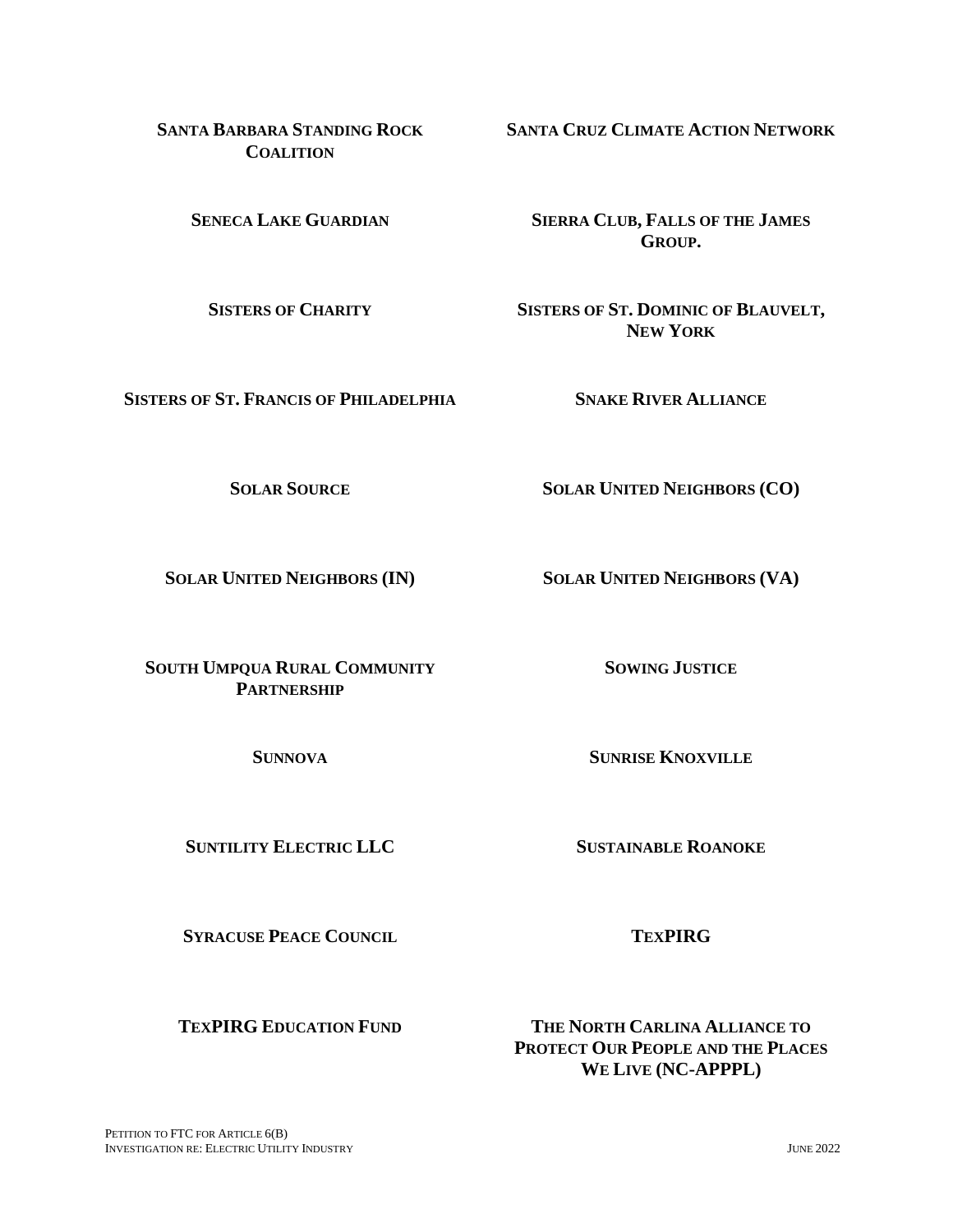**SANTA BARBARA STANDING ROCK COALITION**

**SISTERS OF ST. FRANCIS OF PHILADELPHIA SNAKE RIVER ALLIANCE**

**SOUTH UMPQUA RURAL COMMUNITY PARTNERSHIP**

**SUNTILITY ELECTRIC LLC SUSTAINABLE ROANOKE**

**SYRACUSE PEACE COUNCIL TEXPIRG**

**SENECA LAKE GUARDIAN SIERRA CLUB, FALLS OF THE JAMES GROUP.**

**SANTA CRUZ CLIMATE ACTION NETWORK**

**SISTERS OF CHARITY SISTERS OF ST. DOMINIC OF BLAUVELT, NEW YORK**

**SOLAR SOURCE SOLAR UNITED NEIGHBORS (CO)**

**SOLAR UNITED NEIGHBORS (IN) SOLAR UNITED NEIGHBORS (VA)**

**SOWING JUSTICE**

**SUNNOVA SUNRISE KNOXVILLE**

**TEXPIRG EDUCATION FUND THE NORTH CARLINA ALLIANCE TO PROTECT OUR PEOPLE AND THE PLACES WE LIVE (NC-APPPL)**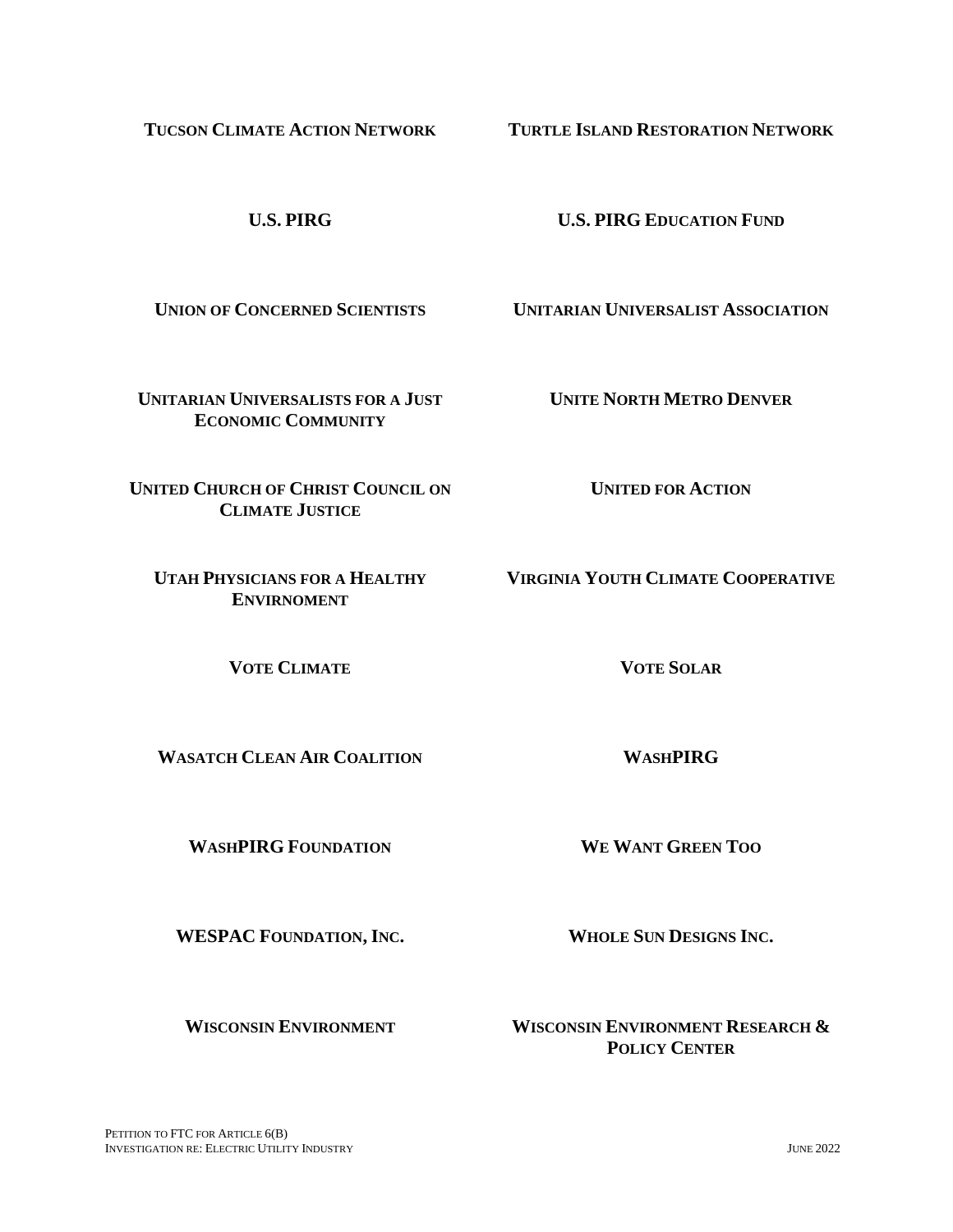PETITION TO FTC FOR ARTICLE  $6(B)$ INVESTIGATION RE: ELECTRIC UTILITY INDUSTRY JUNE 2022

**TUCSON CLIMATE ACTION NETWORK TURTLE ISLAND RESTORATION NETWORK**

**U.S. PIRG U.S. PIRG EDUCATION FUND**

**UNION OF CONCERNED SCIENTISTS UNITARIAN UNIVERSALIST ASSOCIATION**

**UNITARIAN UNIVERSALISTS FOR A JUST ECONOMIC COMMUNITY**

**UNITE NORTH METRO DENVER**

**UNITED CHURCH OF CHRIST COUNCIL ON CLIMATE JUSTICE**

**UTAH PHYSICIANS FOR A HEALTHY ENVIRNOMENT**

**VOTE CLIMATE VOTE SOLAR**

**WASATCH CLEAN AIR COALITION WASHPIRG**

**WASHPIRG FOUNDATION WE WANT GREEN TOO**

**WESPAC FOUNDATION, INC. WHOLE SUN DESIGNS INC.**

**WISCONSIN ENVIRONMENT WISCONSIN ENVIRONMENT RESEARCH & POLICY CENTER**

**UNITED FOR ACTION**

**VIRGINIA YOUTH CLIMATE COOPERATIVE**